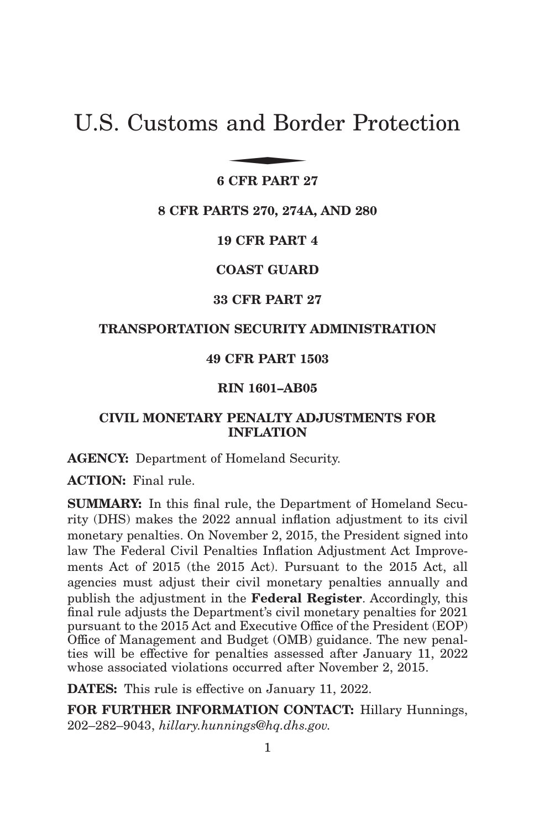# U.S. Customs and Border Protection and Bor

# **6 CFR PART 27**

#### **8 CFR PARTS 270, 274A, AND 280**

**19 CFR PART 4**

**COAST GUARD**

# **33 CFR PART 27**

# **TRANSPORTATION SECURITY ADMINISTRATION**

# **49 CFR PART 1503**

# **RIN 1601–AB05**

# **CIVIL MONETARY PENALTY ADJUSTMENTS FOR INFLATION**

**AGENCY:** Department of Homeland Security.

**ACTION:** Final rule.

**SUMMARY:** In this final rule, the Department of Homeland Security (DHS) makes the 2022 annual inflation adjustment to its civil monetary penalties. On November 2, 2015, the President signed into law The Federal Civil Penalties Inflation Adjustment Act Improvements Act of 2015 (the 2015 Act). Pursuant to the 2015 Act, all agencies must adjust their civil monetary penalties annually and publish the adjustment in the **Federal Register**. Accordingly, this final rule adjusts the Department's civil monetary penalties for 2021 pursuant to the 2015 Act and Executive Office of the President (EOP) Office of Management and Budget (OMB) guidance. The new penalties will be effective for penalties assessed after January 11, 2022 whose associated violations occurred after November 2, 2015.

**DATES:** This rule is effective on January 11, 2022.

**FOR FURTHER INFORMATION CONTACT:** Hillary Hunnings, 202–282–9043, *hillary.hunnings@hq.dhs.gov.*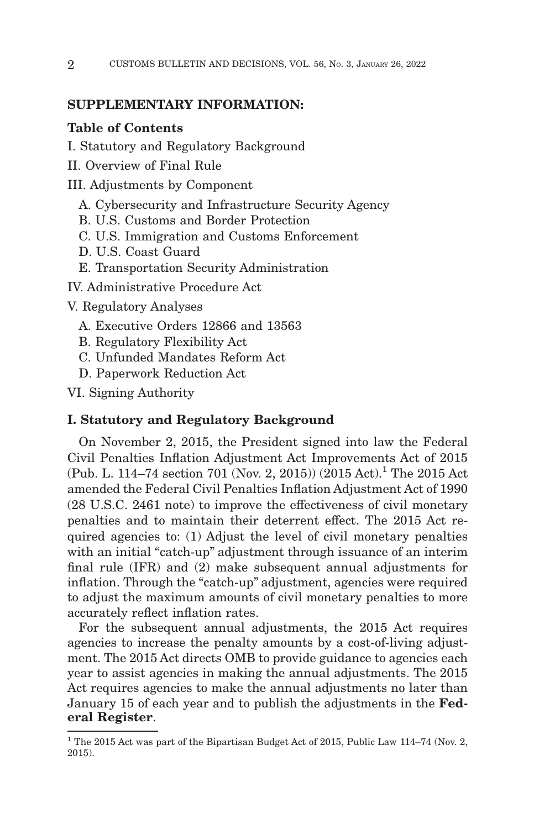# **SUPPLEMENTARY INFORMATION:**

# **Table of Contents**

- I. Statutory and Regulatory Background
- II. Overview of Final Rule
- III. Adjustments by Component
	- A. Cybersecurity and Infrastructure Security Agency
	- B. U.S. Customs and Border Protection
	- C. U.S. Immigration and Customs Enforcement
	- D. U.S. Coast Guard
	- E. Transportation Security Administration

IV. Administrative Procedure Act

V. Regulatory Analyses

- A. Executive Orders 12866 and 13563
- B. Regulatory Flexibility Act
- C. Unfunded Mandates Reform Act
- D. Paperwork Reduction Act

VI. Signing Authority

## **I. Statutory and Regulatory Background**

On November 2, 2015, the President signed into law the Federal Civil Penalties Inflation Adjustment Act Improvements Act of 2015 (Pub. L. 114–74 section 701 (Nov. 2, 2015)) (2015 Act).<sup>1</sup> The 2015 Act amended the Federal Civil Penalties Inflation Adjustment Act of 1990 (28 U.S.C. 2461 note) to improve the effectiveness of civil monetary penalties and to maintain their deterrent effect. The 2015 Act required agencies to: (1) Adjust the level of civil monetary penalties with an initial "catch-up" adjustment through issuance of an interim final rule (IFR) and (2) make subsequent annual adjustments for inflation. Through the "catch-up" adjustment, agencies were required to adjust the maximum amounts of civil monetary penalties to more accurately reflect inflation rates.

For the subsequent annual adjustments, the 2015 Act requires agencies to increase the penalty amounts by a cost-of-living adjustment. The 2015 Act directs OMB to provide guidance to agencies each year to assist agencies in making the annual adjustments. The 2015 Act requires agencies to make the annual adjustments no later than January 15 of each year and to publish the adjustments in the **Federal Register**.

 $^{\rm 1}$  The 2015 Act was part of the Bipartisan Budget Act of 2015, Public Law 114–74 (Nov. 2, 2015).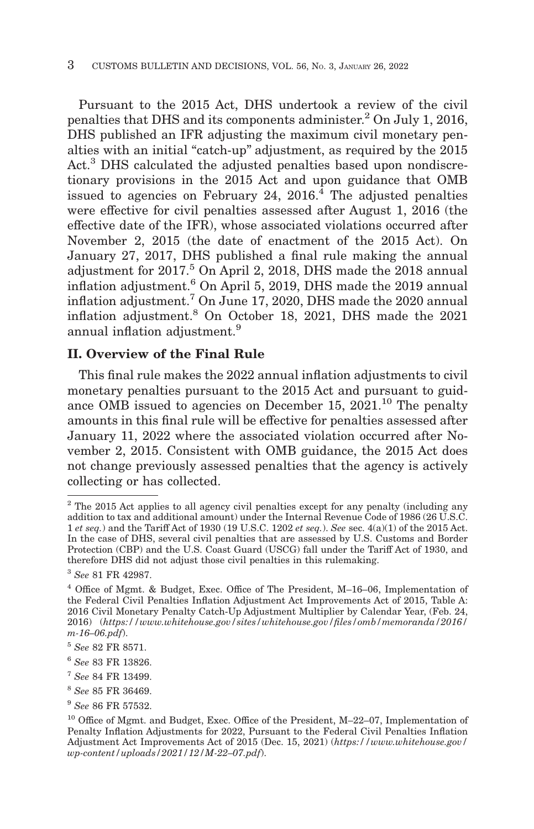Pursuant to the 2015 Act, DHS undertook a review of the civil penalties that DHS and its components administer.2 On July 1, 2016, DHS published an IFR adjusting the maximum civil monetary penalties with an initial "catch-up" adjustment, as required by the 2015 Act.<sup>3</sup> DHS calculated the adjusted penalties based upon nondiscretionary provisions in the 2015 Act and upon guidance that OMB issued to agencies on February 24,  $2016<sup>4</sup>$  The adjusted penalties were effective for civil penalties assessed after August 1, 2016 (the effective date of the IFR), whose associated violations occurred after November 2, 2015 (the date of enactment of the 2015 Act). On January 27, 2017, DHS published a final rule making the annual adjustment for 2017.5 On April 2, 2018, DHS made the 2018 annual inflation adjustment.6 On April 5, 2019, DHS made the 2019 annual inflation adjustment.7 On June 17, 2020, DHS made the 2020 annual inflation adjustment.8 On October 18, 2021, DHS made the 2021 annual inflation adjustment.<sup>9</sup>

# **II. Overview of the Final Rule**

This final rule makes the 2022 annual inflation adjustments to civil monetary penalties pursuant to the 2015 Act and pursuant to guidance OMB issued to agencies on December 15,  $2021$ .<sup>10</sup> The penalty amounts in this final rule will be effective for penalties assessed after January 11, 2022 where the associated violation occurred after November 2, 2015. Consistent with OMB guidance, the 2015 Act does not change previously assessed penalties that the agency is actively collecting or has collected.

<sup>9</sup>*See* 86 FR 57532.

 $2$ <sup>2</sup> The 2015 Act applies to all agency civil penalties except for any penalty (including any addition to tax and additional amount) under the Internal Revenue Code of 1986 (26 U.S.C. 1 *et seq.*) and the Tariff Act of 1930 (19 U.S.C. 1202 *et seq.*). *See* sec. 4(a)(1) of the 2015 Act. In the case of DHS, several civil penalties that are assessed by U.S. Customs and Border Protection (CBP) and the U.S. Coast Guard (USCG) fall under the Tariff Act of 1930, and therefore DHS did not adjust those civil penalties in this rulemaking.

<sup>3</sup>*See* 81 FR 42987.

<sup>4</sup> Office of Mgmt. & Budget, Exec. Office of The President, M–16–06, Implementation of the Federal Civil Penalties Inflation Adjustment Act Improvements Act of 2015, Table A: 2016 Civil Monetary Penalty Catch-Up Adjustment Multiplier by Calendar Year, (Feb. 24, 2016) (*https://www.whitehouse.gov/sites/whitehouse.gov/files/omb/memoranda/2016/ m-16–06.pdf*).

<sup>5</sup>*See* 82 FR 8571.

<sup>6</sup>*See* 83 FR 13826.

<sup>7</sup>*See* 84 FR 13499.

<sup>8</sup>*See* 85 FR 36469.

<sup>10</sup> Office of Mgmt. and Budget, Exec. Office of the President, M–22–07, Implementation of Penalty Inflation Adjustments for 2022, Pursuant to the Federal Civil Penalties Inflation Adjustment Act Improvements Act of 2015 (Dec. 15, 2021) (*https://www.whitehouse.gov/ wp-content/uploads/2021/12/M-22–07.pdf*).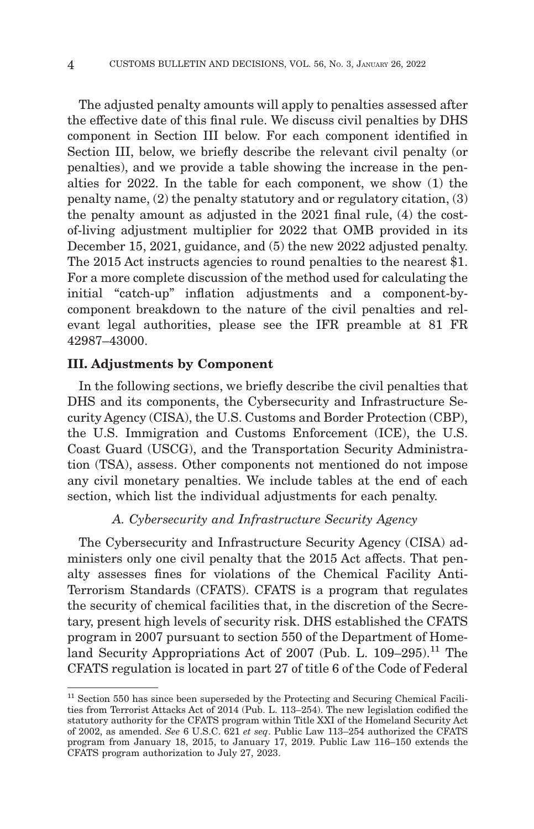The adjusted penalty amounts will apply to penalties assessed after the effective date of this final rule. We discuss civil penalties by DHS component in Section III below. For each component identified in Section III, below, we briefly describe the relevant civil penalty (or penalties), and we provide a table showing the increase in the penalties for 2022. In the table for each component, we show (1) the penalty name, (2) the penalty statutory and or regulatory citation, (3) the penalty amount as adjusted in the 2021 final rule, (4) the costof-living adjustment multiplier for 2022 that OMB provided in its December 15, 2021, guidance, and (5) the new 2022 adjusted penalty. The 2015 Act instructs agencies to round penalties to the nearest \$1. For a more complete discussion of the method used for calculating the initial "catch-up" inflation adjustments and a component-bycomponent breakdown to the nature of the civil penalties and relevant legal authorities, please see the IFR preamble at 81 FR 42987–43000.

## **III. Adjustments by Component**

In the following sections, we briefly describe the civil penalties that DHS and its components, the Cybersecurity and Infrastructure Security Agency (CISA), the U.S. Customs and Border Protection (CBP), the U.S. Immigration and Customs Enforcement (ICE), the U.S. Coast Guard (USCG), and the Transportation Security Administration (TSA), assess. Other components not mentioned do not impose any civil monetary penalties. We include tables at the end of each section, which list the individual adjustments for each penalty.

# *A. Cybersecurity and Infrastructure Security Agency*

The Cybersecurity and Infrastructure Security Agency (CISA) administers only one civil penalty that the 2015 Act affects. That penalty assesses fines for violations of the Chemical Facility Anti-Terrorism Standards (CFATS). CFATS is a program that regulates the security of chemical facilities that, in the discretion of the Secretary, present high levels of security risk. DHS established the CFATS program in 2007 pursuant to section 550 of the Department of Homeland Security Appropriations Act of 2007 (Pub. L.  $109-295$ ).<sup>11</sup> The CFATS regulation is located in part 27 of title 6 of the Code of Federal

 $11$  Section 550 has since been superseded by the Protecting and Securing Chemical Facilities from Terrorist Attacks Act of 2014 (Pub. L. 113–254). The new legislation codified the statutory authority for the CFATS program within Title XXI of the Homeland Security Act of 2002, as amended. *See* 6 U.S.C. 621 *et seq*. Public Law 113–254 authorized the CFATS program from January 18, 2015, to January 17, 2019. Public Law 116–150 extends the CFATS program authorization to July 27, 2023.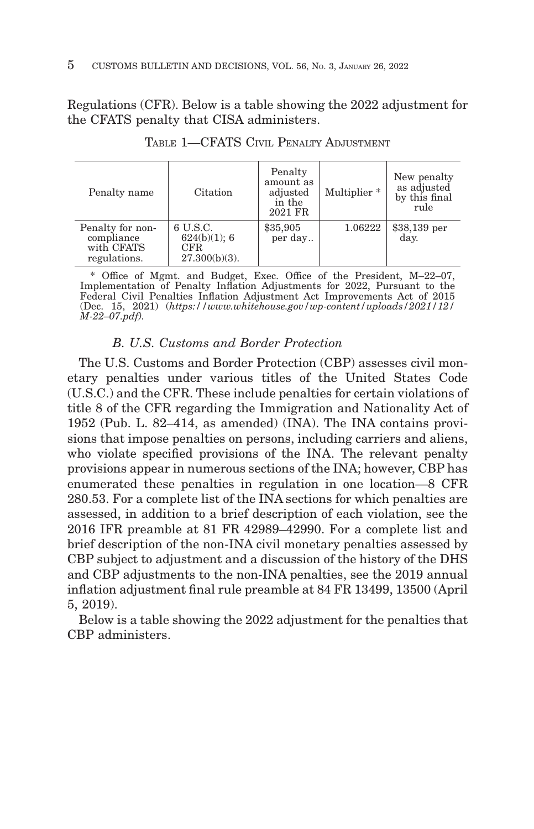Regulations (CFR). Below is a table showing the 2022 adjustment for the CFATS penalty that CISA administers.

| Penalty name                                                 | Citation                                            | Penalty<br>amount as<br>adjusted<br>in the<br>2021 FR | Multiplier <sup>*</sup> | New penalty<br>as adjusted<br>by this final<br>rule |
|--------------------------------------------------------------|-----------------------------------------------------|-------------------------------------------------------|-------------------------|-----------------------------------------------------|
| Penalty for non-<br>compliance<br>with CFATS<br>regulations. | 6 U.S.C.<br>624(b)(1); 6<br>CFR<br>$27.300(b)(3)$ . | \$35,905<br>per day                                   | 1.06222                 | $$38,139$ per<br>day.                               |

TABLE 1—CFATS CIVIL PENALTY ADJUSTMENT

\* Office of Mgmt. and Budget, Exec. Office of the President, M–22–07, Implementation of Penalty Inflation Adjustments for 2022, Pursuant to the Federal Civil Penalties Inflation Adjustment Act Improvements Act of 2015 (Dec. 15, 2021) (*https://www.whitehouse.gov/wp-content/uploads/2021/12/ M-22–07.pdf).*

# *B. U.S. Customs and Border Protection*

The U.S. Customs and Border Protection (CBP) assesses civil monetary penalties under various titles of the United States Code (U.S.C.) and the CFR. These include penalties for certain violations of title 8 of the CFR regarding the Immigration and Nationality Act of 1952 (Pub. L. 82–414, as amended) (INA). The INA contains provisions that impose penalties on persons, including carriers and aliens, who violate specified provisions of the INA. The relevant penalty provisions appear in numerous sections of the INA; however, CBP has enumerated these penalties in regulation in one location—8 CFR 280.53. For a complete list of the INA sections for which penalties are assessed, in addition to a brief description of each violation, see the 2016 IFR preamble at 81 FR 42989–42990. For a complete list and brief description of the non-INA civil monetary penalties assessed by CBP subject to adjustment and a discussion of the history of the DHS and CBP adjustments to the non-INA penalties, see the 2019 annual inflation adjustment final rule preamble at 84 FR 13499, 13500 (April 5, 2019).

Below is a table showing the 2022 adjustment for the penalties that CBP administers.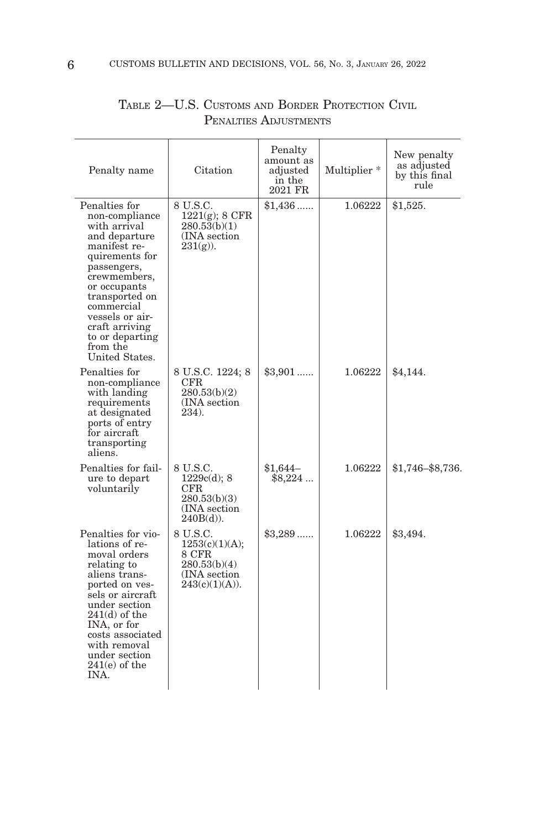| Penalty name                                                                                                                                                                                                                                                            | Citation                                                                                 | Penalty<br>amount as<br>adjusted<br>in the<br>2021 FR | Multiplier <sup>*</sup> | New penalty<br>as adjusted<br>by this final<br>rule |
|-------------------------------------------------------------------------------------------------------------------------------------------------------------------------------------------------------------------------------------------------------------------------|------------------------------------------------------------------------------------------|-------------------------------------------------------|-------------------------|-----------------------------------------------------|
| Penalties for<br>non-compliance<br>with arrival<br>and departure<br>manifest re-<br>quirements for<br>passengers,<br>crewmembers,<br>or occupants<br>transported on<br>commercial<br>vessels or air-<br>craft arriving<br>to or departing<br>from the<br>United States. | 8 U.S.C.<br>$1221(g)$ ; 8 CFR<br>280.53(b)(1)<br>(INA section)<br>$231(g)$ ).            | $$1,436$                                              | 1.06222                 | \$1,525.                                            |
| Penalties for<br>non-compliance<br>with landing<br>requirements<br>at designated<br>ports of entry<br>for aircraft<br>transporting<br>aliens.                                                                                                                           | 8 U.S.C. 1224; 8<br>CFR.<br>280.53(b)(2)<br>(INA section)<br>234).                       | $\$3,901$                                             | 1.06222                 | \$4,144.                                            |
| Penalties for fail-<br>ure to depart<br>voluntarily                                                                                                                                                                                                                     | 8 U.S.C.<br>1229c(d); 8<br>$_{\rm CFR}$<br>280.53(b)(3)<br>(INA section)<br>$240B(d)$ ). | $$1,644-$<br>$$8,224$                                 | 1.06222                 | \$1,746-\$8,736.                                    |
| Penalties for vio-<br>lations of re-<br>moval orders<br>relating to<br>aliens trans-<br>ported on ves-<br>sels or aircraft<br>under section<br>$241(d)$ of the<br>INA, or for<br>costs associated<br>with removal<br>under section<br>$241(e)$ of the<br>INA.           | 8 U.S.C.<br>1253(c)(1)(A);<br>8 CFR<br>280.53(b)(4)<br>(INA section)<br>243(c)(1)(A)).   | $$3,289$                                              | 1.06222                 | \$3,494.                                            |

| TABLE 2-U.S. CUSTOMS AND BORDER PROTECTION CIVIL |                       |  |  |
|--------------------------------------------------|-----------------------|--|--|
|                                                  | PENALTIES ADJUSTMENTS |  |  |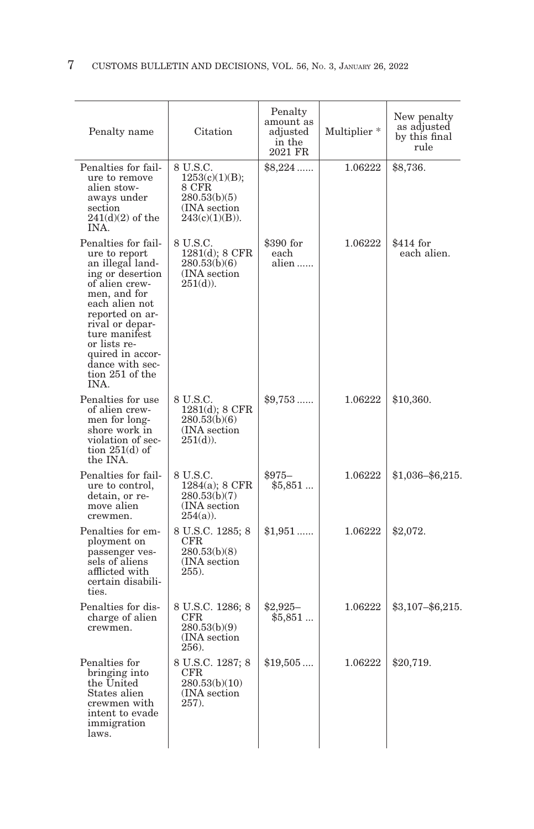| Penalty name                                                                                                                                                                                                                                                              | Citation                                                                                 | Penalty<br>amount as<br>adjusted<br>in the<br>2021 FR | Multiplier <sup>*</sup> | New penalty<br>as adjusted<br>by this final<br>rule |
|---------------------------------------------------------------------------------------------------------------------------------------------------------------------------------------------------------------------------------------------------------------------------|------------------------------------------------------------------------------------------|-------------------------------------------------------|-------------------------|-----------------------------------------------------|
| Penalties for fail-<br>ure to remove<br>alien stow-<br>aways under<br>section<br>$241(d)(2)$ of the<br>INA.                                                                                                                                                               | 8 U.S.C.<br>1253(c)(1)(B);<br>8 CFR<br>280.53(b)(5)<br>(INA section)<br>$243(c)(1)(B)$ . | $$8,224$                                              | 1.06222                 | \$8,736.                                            |
| Penalties for fail-<br>ure to report<br>an illegal land-<br>ing or desertion<br>of alien crew-<br>men, and for<br>each alien not<br>reported on ar-<br>rival or depar-<br>ture manifest<br>or lists re-<br>quired in accor-<br>dance with sec-<br>tion 251 of the<br>INA. | 8 U.S.C.<br>1281(d); 8 CFR<br>280.53(b)(6)<br>(INA section)<br>$251(d)$ ).               | \$390 for<br>each<br>alien                            | 1.06222                 | \$414 for<br>each alien.                            |
| Penalties for use<br>of alien crew-<br>men for long-<br>shore work in<br>violation of sec-<br>tion $251(d)$ of<br>the INA.                                                                                                                                                | 8 U.S.C.<br>$1281(d)$ ; 8 CFR<br>280.53(b)(6)<br>(INA section)<br>$251(d)$ ).            | $$9,753$                                              | 1.06222                 | \$10,360.                                           |
| Penalties for fail-<br>ure to control,<br>detain, or re-<br>move alien<br>crewmen.                                                                                                                                                                                        | 8 U.S.C.<br>1284(a); 8 CFR<br>280.53(b)(7)<br>(INA section)<br>$254(a)$ ).               | $$975-$<br>\$5,851                                    | 1.06222                 | $$1,036 - $6,215.$                                  |
| Penalties for em-<br>ployment on<br>passenger ves-<br>sels of aliens<br>afflicted with<br>certain disabili-<br>ties.                                                                                                                                                      | 8 U.S.C. 1285; 8<br>CFR.<br>280.53(b)(8)<br>(INA section)<br>255).                       | $$1,951$                                              | 1.06222                 | \$2,072.                                            |
| Penalties for dis-<br>charge of alien<br>crewmen.                                                                                                                                                                                                                         | 8 U.S.C. 1286; 8<br>CFR<br>280.53(b)(9)<br>(INA section)<br>256).                        | $$2,925-$<br>\$5,851                                  | 1.06222                 | $$3,107 - $6,215$                                   |
| Penalties for<br>bringing into<br>the United<br>States alien<br>crewmen with<br>intent to evade<br>immigration<br>laws.                                                                                                                                                   | 8 U.S.C. 1287; 8<br>${\rm CFR}$<br>280.53(b)(10)<br>(INA section)<br>257).               | \$19,505                                              | 1.06222                 | \$20,719.                                           |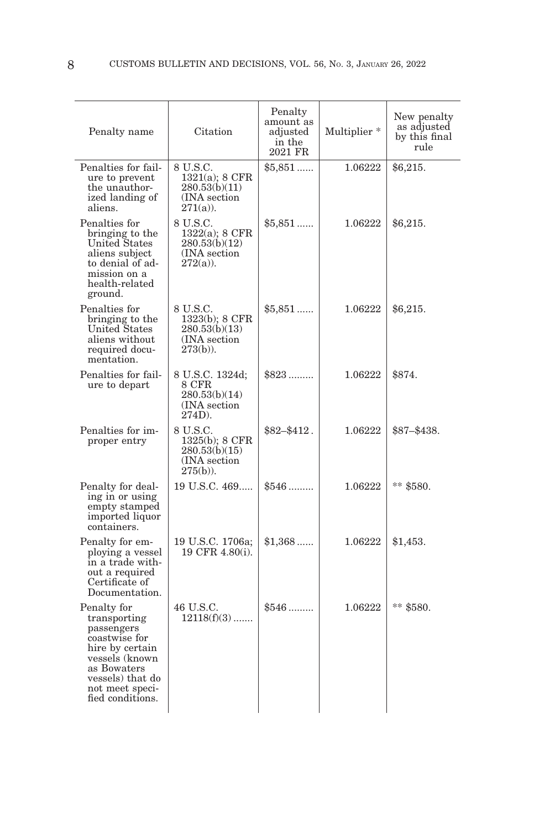| Penalty name                                                                                                                                                              | Citation                                                                      | Penalty<br>amount as<br>adjusted<br>in the<br>2021 FR | Multiplier * | New penalty<br>as adjusted<br>by this final<br>rule |
|---------------------------------------------------------------------------------------------------------------------------------------------------------------------------|-------------------------------------------------------------------------------|-------------------------------------------------------|--------------|-----------------------------------------------------|
| Penalties for fail-<br>ure to prevent<br>the unauthor-<br>ized landing of<br>aliens.                                                                                      | 8 U.S.C.<br>$1321(a)$ ; 8 CFR<br>280.53(b)(11)<br>(INA section<br>$271(a)$ ). | $$5,851$                                              | 1.06222      | \$6,215.                                            |
| Penalties for<br>bringing to the<br><b>United States</b><br>aliens subject<br>to denial of ad-<br>mission on a<br>health-related<br>ground.                               | 8 U.S.C.<br>1322(a); 8 CFR<br>280.53(b)(12)<br>(INA section<br>$272(a)$ ).    | $$5,851$                                              | 1.06222      | \$6,215.                                            |
| Penalties for<br>bringing to the<br>United States<br>aliens without<br>required docu-<br>mentation.                                                                       | 8 U.S.C.<br>1323(b); 8 CFR<br>280.53(b)(13)<br>(INA section)<br>$273(b)$ ).   | $$5,851$                                              | 1.06222      | \$6,215.                                            |
| Penalties for fail-<br>ure to depart                                                                                                                                      | 8 U.S.C. 1324d;<br>8 CFR<br>280.53(b)(14)<br>(INA section)<br>$274D$ ).       | $$823$                                                | 1.06222      | \$874.                                              |
| Penalties for im-<br>proper entry                                                                                                                                         | 8 U.S.C.<br>1325(b); 8 CFR<br>280.53(b)(15)<br>(INA section)<br>$275(b)$ ).   | $$82 - $412$ .                                        | 1.06222      | $$87 - $438.$                                       |
| Penalty for deal-<br>ing in or using<br>empty stamped<br>imported liquor<br>containers.                                                                                   | 19 U.S.C. 469                                                                 | $$546$                                                | 1.06222      | $**$ \$580.                                         |
| Penalty for em-<br>ploying a vessel<br>in a trade with-<br>out a required<br>Certificate of<br>Documentation.                                                             | 19 U.S.C. 1706a;<br>19 CFR 4.80(i).                                           | $$1,368$                                              | 1.06222      | \$1,453.                                            |
| Penalty for<br>transporting<br>passengers<br>coastwise for<br>hire by certain<br>vessels (known<br>as Bowaters<br>vessels) that do<br>not meet speci-<br>fied conditions. | 46 U.S.C.<br>$12118(f)(3)$                                                    | $$546$                                                | 1.06222      | ** \$580.                                           |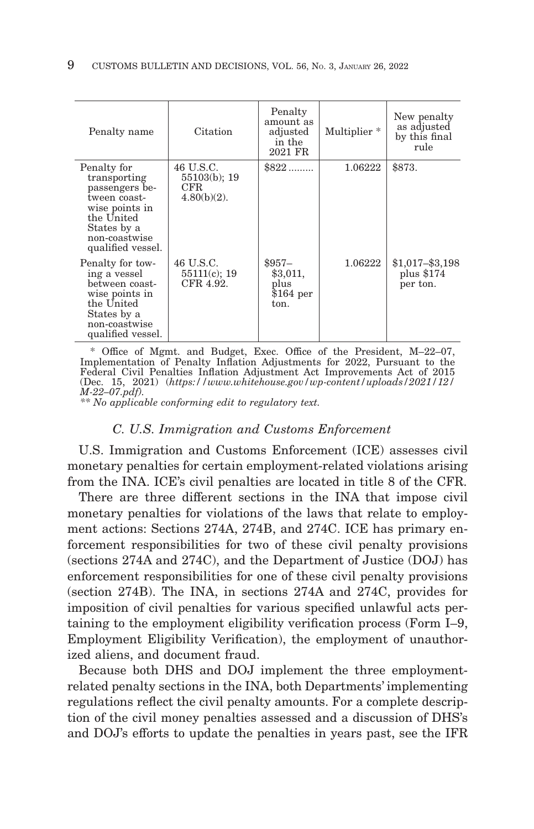| Penalty name                                                                                                                                       | Citation                                           | Penalty<br>amount as<br>adjusted<br>in the<br>2021 FR | Multiplier <sup>*</sup> | New penalty<br>as adjusted<br>by this final<br>rule |
|----------------------------------------------------------------------------------------------------------------------------------------------------|----------------------------------------------------|-------------------------------------------------------|-------------------------|-----------------------------------------------------|
| Penalty for<br>transporting<br>passengers be-<br>tween coast-<br>wise points in<br>the United<br>States by a<br>non-coastwise<br>qualified vessel. | 46 U.S.C.<br>55103(b); 19<br>CFR<br>$4.80(b)(2)$ . | $$822$                                                | 1.06222                 | \$873.                                              |
| Penalty for tow-<br>ing a vessel<br>between coast-<br>wise points in<br>the United<br>States by a<br>non-coastwise<br>qualified vessel.            | 46 U.S.C.<br>$55111(c)$ ; 19<br>CFR 4.92.          | $$957-$<br>\$3,011,<br>plus<br>$$164$ per<br>ton.     | 1.06222                 | $$1,017 - $3,198$<br>plus \$174<br>per ton.         |

 \* Office of Mgmt. and Budget, Exec. Office of the President, M–22–07, Implementation of Penalty Inflation Adjustments for 2022, Pursuant to the Federal Civil Penalties Inflation Adjustment Act Improvements Act of 2015 (Dec. 15, 2021) (*https://www.whitehouse.gov/wp-content/uploads/2021/12/ M-22–07.pdf). \*\* No applicable conforming edit to regulatory text.*

#### *C. U.S. Immigration and Customs Enforcement*

U.S. Immigration and Customs Enforcement (ICE) assesses civil monetary penalties for certain employment-related violations arising from the INA. ICE's civil penalties are located in title 8 of the CFR.

There are three different sections in the INA that impose civil monetary penalties for violations of the laws that relate to employment actions: Sections 274A, 274B, and 274C. ICE has primary enforcement responsibilities for two of these civil penalty provisions (sections 274A and 274C), and the Department of Justice (DOJ) has enforcement responsibilities for one of these civil penalty provisions (section 274B). The INA, in sections 274A and 274C, provides for imposition of civil penalties for various specified unlawful acts pertaining to the employment eligibility verification process (Form I–9, Employment Eligibility Verification), the employment of unauthorized aliens, and document fraud.

Because both DHS and DOJ implement the three employmentrelated penalty sections in the INA, both Departments' implementing regulations reflect the civil penalty amounts. For a complete description of the civil money penalties assessed and a discussion of DHS's and DOJ's efforts to update the penalties in years past, see the IFR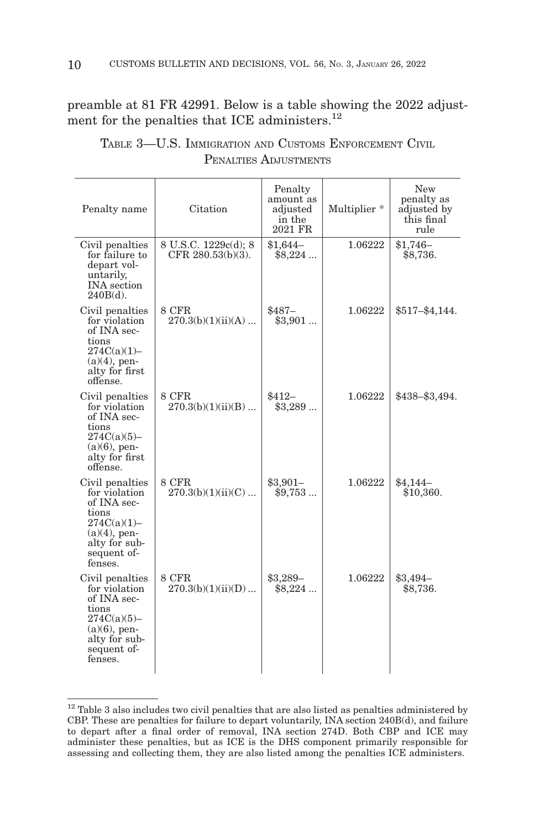preamble at 81 FR 42991. Below is a table showing the 2022 adjustment for the penalties that ICE administers.<sup>12</sup>

| Penalty name                                                                                                                             | Citation                                     | Penalty<br>amount as<br>adjusted<br>in the<br>2021 FR | Multiplier <sup>*</sup> | New<br>penalty as<br>adjusted by<br>this final<br>rule |
|------------------------------------------------------------------------------------------------------------------------------------------|----------------------------------------------|-------------------------------------------------------|-------------------------|--------------------------------------------------------|
| Civil penalties<br>for failure to<br>depart vol-<br>untarily,<br><b>INA</b> section<br>$240B(d)$ .                                       | 8 U.S.C. 1229c(d); 8<br>CFR $280.53(b)(3)$ . | $$1,644-$<br>$$8,224$                                 | 1.06222                 | $$1,746-$<br>\$8,736.                                  |
| Civil penalties<br>for violation<br>of INA sec-<br>tions<br>274C(a)(1)<br>$(a)(4)$ , pen-<br>alty for first<br>offense.                  | 8 CFR<br>$270.3(b)(1)(ii)(A)$                | $$487-$<br>\$3,901                                    | 1.06222                 | $$517 - $4,144.$                                       |
| Civil penalties<br>for violation<br>of INA sec-<br>tions<br>$274C(a)(5) -$<br>$(a)(6)$ , pen-<br>alty for first<br>offense.              | 8 CFR<br>$270.3(b)(1)(ii)(B)$                | $$412-$<br>\$3,289                                    | 1.06222                 | \$438-\$3,494.                                         |
| Civil penalties<br>for violation<br>of INA sec-<br>tions<br>$274C(a)(1) -$<br>$(a)(4)$ , pen-<br>alty for sub-<br>sequent of-<br>fenses. | 8 CFR<br>$270.3(b)(1)(ii)(C)$                | $$3,901-$<br>\$9,753                                  | 1.06222                 | $$4,144-$<br>\$10,360.                                 |
| Civil penalties<br>for violation<br>of INA sec-<br>tions<br>274C(a)(5)<br>$(a)(6)$ , pen-<br>alty for sub-<br>sequent of-<br>fenses.     | 8 CFR<br>270.3(b)(1)(ii)(D)                  | \$3,289-<br>$$8,224$                                  | 1.06222                 | $$3,494-$<br>\$8,736.                                  |

TABLE 3—U.S. IMMIGRATION AND CUSTOMS ENFORCEMENT CIVIL PENALTIES ADJUSTMENTS

 $12$  Table 3 also includes two civil penalties that are also listed as penalties administered by CBP. These are penalties for failure to depart voluntarily, INA section 240B(d), and failure to depart after a final order of removal, INA section 274D. Both CBP and ICE may administer these penalties, but as ICE is the DHS component primarily responsible for assessing and collecting them, they are also listed among the penalties ICE administers.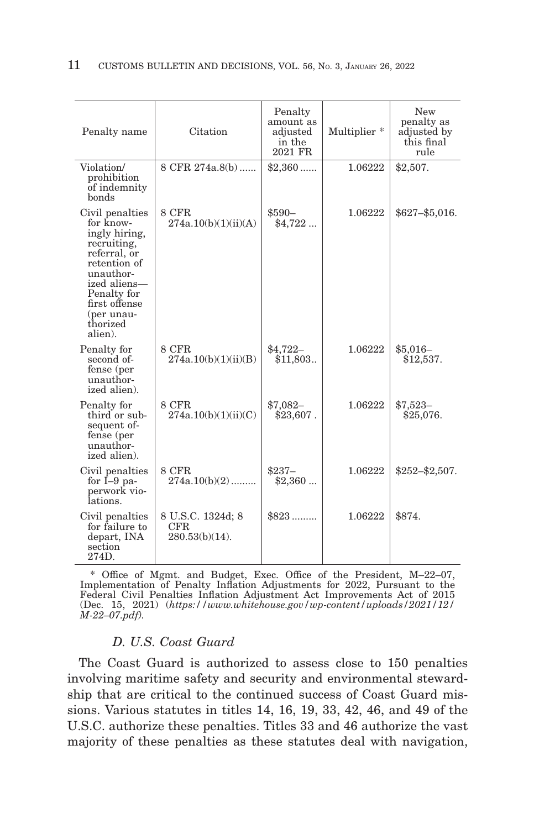| Penalty name                                                                                                                                                                                   | Citation                                             | Penalty<br>amount as<br>adjusted<br>in the<br>2021 FR | Multiplier <sup>*</sup> | <b>New</b><br>penalty as<br>adjusted by<br>this final<br>rule |
|------------------------------------------------------------------------------------------------------------------------------------------------------------------------------------------------|------------------------------------------------------|-------------------------------------------------------|-------------------------|---------------------------------------------------------------|
| Violation/<br>prohibition<br>of indemnity<br>bonds                                                                                                                                             | 8 CFR 274a.8(b)                                      | $$2,360$                                              | 1.06222                 | \$2,507.                                                      |
| Civil penalties<br>for know-<br>ingly hiring,<br>recruiting,<br>referral, or<br>retention of<br>unauthor-<br>ized aliens-<br>Penalty for<br>first offense<br>(per unau-<br>thorized<br>alien). | 8 CFR<br>274a.10(b)(1)(ii)(A)                        | $$590-$<br>\$4,722                                    | 1.06222                 | $$627 - $5,016.$                                              |
| Penalty for<br>second of-<br>fense (per<br>unauthor-<br>ized alien).                                                                                                                           | 8 CFR<br>274a.10(b)(1)(ii)(B)                        | $$4,722-$<br>\$11,803.                                | 1.06222                 | $$5,016-$<br>\$12,537.                                        |
| Penalty for<br>third or sub-<br>sequent of-<br>fense (per<br>unauthor-<br>ized alien).                                                                                                         | 8 CFR<br>274a.10(b)(1)(ii)(C)                        | $$7,082-$<br>$$23,607$ .                              | 1.06222                 | $$7,523-$<br>\$25,076.                                        |
| Civil penalties<br>for $I-9$ pa-<br>perwork vio-<br>lations.                                                                                                                                   | 8 CFR<br>$274a.10(b)(2)$                             | $$237-$<br>\$2,360                                    | 1.06222                 | $$252 - $2,507.$                                              |
| Civil penalties<br>for failure to<br>depart, INA<br>section<br>274D.                                                                                                                           | 8 U.S.C. 1324d; 8<br><b>CFR</b><br>$280.53(b)(14)$ . | $$823$                                                | 1.06222                 | \$874.                                                        |

 \* Office of Mgmt. and Budget, Exec. Office of the President, M–22–07, Implementation of Penalty Inflation Adjustments for 2022, Pursuant to the Federal Civil Penalties Inflation Adjustment Act Improvements Act of 2015 (Dec. 15, 2021) (*https://www.whitehouse.gov/wp-content/uploads/2021/12/ M-22–07.pdf).*

# *D. U.S. Coast Guard*

The Coast Guard is authorized to assess close to 150 penalties involving maritime safety and security and environmental stewardship that are critical to the continued success of Coast Guard missions. Various statutes in titles 14, 16, 19, 33, 42, 46, and 49 of the U.S.C. authorize these penalties. Titles 33 and 46 authorize the vast majority of these penalties as these statutes deal with navigation,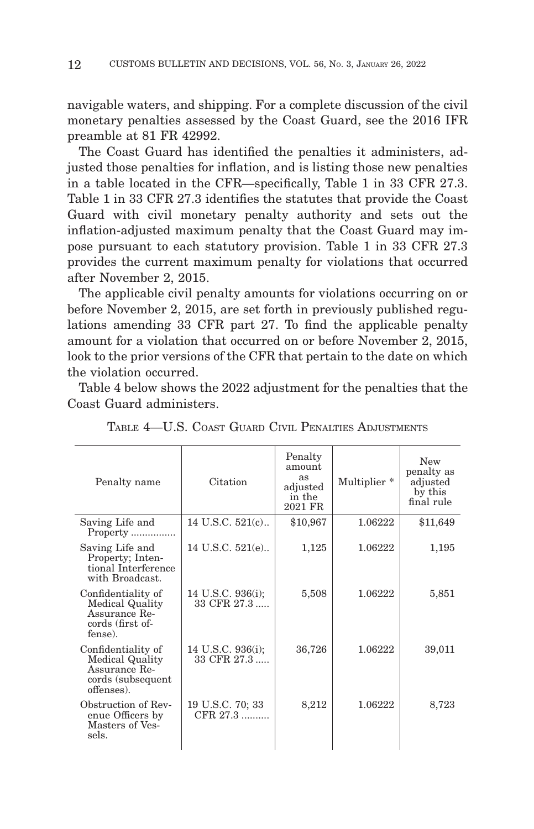navigable waters, and shipping. For a complete discussion of the civil monetary penalties assessed by the Coast Guard, see the 2016 IFR preamble at 81 FR 42992.

The Coast Guard has identified the penalties it administers, adjusted those penalties for inflation, and is listing those new penalties in a table located in the CFR—specifically, Table 1 in 33 CFR 27.3. Table 1 in 33 CFR 27.3 identifies the statutes that provide the Coast Guard with civil monetary penalty authority and sets out the inflation-adjusted maximum penalty that the Coast Guard may impose pursuant to each statutory provision. Table 1 in 33 CFR 27.3 provides the current maximum penalty for violations that occurred after November 2, 2015.

The applicable civil penalty amounts for violations occurring on or before November 2, 2015, are set forth in previously published regulations amending 33 CFR part 27. To find the applicable penalty amount for a violation that occurred on or before November 2, 2015, look to the prior versions of the CFR that pertain to the date on which the violation occurred.

Table 4 below shows the 2022 adjustment for the penalties that the Coast Guard administers.

| Penalty name                                                                                     | Citation                         | Penalty<br>amount<br>as<br>adjusted<br>in the<br>2021 FR | Multiplier <sup>*</sup> | New<br>penalty as<br>adjusted<br>by this<br>final rule |
|--------------------------------------------------------------------------------------------------|----------------------------------|----------------------------------------------------------|-------------------------|--------------------------------------------------------|
| Saving Life and<br>Property                                                                      | 14 U.S.C. 521(c)                 | \$10,967                                                 | 1.06222                 | \$11,649                                               |
| Saving Life and<br>Property; Inten-<br>tional Interference<br>with Broadcast.                    | 14 U.S.C. 521(e)                 | 1,125                                                    | 1.06222                 | 1,195                                                  |
| Confidentiality of<br><b>Medical Quality</b><br>Assurance Re-<br>cords (first of-<br>fense).     | 14 U.S.C. 936(i);<br>33 CFR 27.3 | 5,508                                                    | 1.06222                 | 5,851                                                  |
| Confidentiality of<br><b>Medical Quality</b><br>Assurance Re-<br>cords (subsequent<br>offenses). | 14 U.S.C. 936(i);<br>33 CFR 27.3 | 36,726                                                   | 1.06222                 | 39,011                                                 |
| Obstruction of Rev-<br>enue Officers by<br>Masters of Ves-<br>sels.                              | 19 U.S.C. 70; 33<br>CFR 27.3     | 8,212                                                    | 1.06222                 | 8,723                                                  |

TABLE 4—U.S. COAST GUARD CIVIL PENALTIES ADJUSTMENTS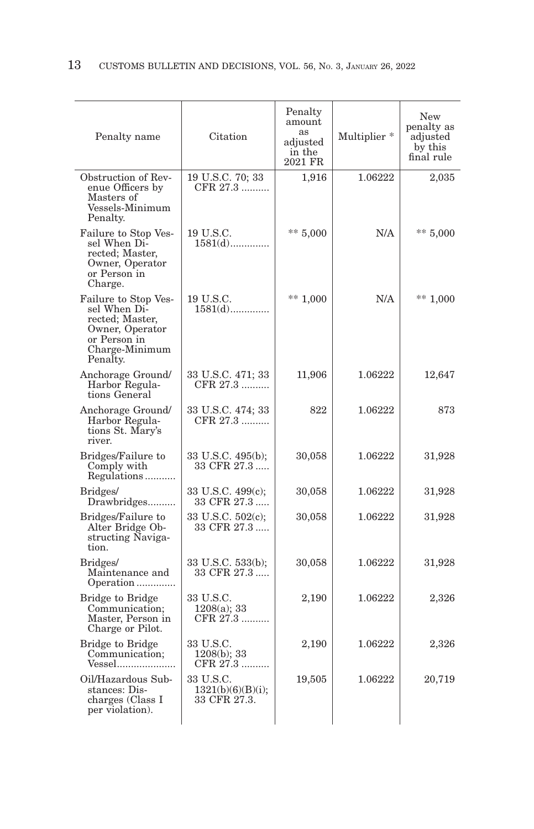| Penalty name                                                                                                             | Citation                                       | Penalty<br>amount<br>as<br>adjusted<br>in the<br>2021 FR | Multiplier * | New<br>penalty as<br>adjusted<br>by this<br>final rule |
|--------------------------------------------------------------------------------------------------------------------------|------------------------------------------------|----------------------------------------------------------|--------------|--------------------------------------------------------|
| Obstruction of Rev-<br>enue Officers by<br>Masters of<br>Vessels-Minimum<br>Penalty.                                     | 19 U.S.C. 70; 33<br>CFR 27.3                   | 1,916                                                    | 1.06222      | 2,035                                                  |
| Failure to Stop Ves-<br>sel When Di-<br>rected; Master,<br>Owner, Operator<br>or Person in<br>Charge.                    | 19 U.S.C.<br>$1581(d)$                         | ** $5,000$                                               | N/A          | $** 5,000$                                             |
| Failure to Stop Ves-<br>sel When Di-<br>rected; Master,<br>Owner, Operator<br>or Person in<br>Charge-Minimum<br>Penalty. | 19 U.S.C.<br>$1581(d)$                         | ** $1,000$                                               | N/A          | $** 1,000$                                             |
| Anchorage Ground/<br>Harbor Regula-<br>tions General                                                                     | 33 U.S.C. 471; 33<br>CFR 27.3                  | 11,906                                                   | 1.06222      | 12,647                                                 |
| Anchorage Ground/<br>Harbor Regula-<br>tions St. Mary's<br>river.                                                        | 33 U.S.C. 474; 33<br>CFR 27.3                  | 822                                                      | 1.06222      | 873                                                    |
| Bridges/Failure to<br>Comply with<br>Regulations                                                                         | 33 U.S.C. 495(b);<br>33 CFR 27.3               | 30,058                                                   | 1.06222      | 31,928                                                 |
| Bridges/<br>Drawbridges                                                                                                  | 33 U.S.C. 499(c);<br>33 CFR 27.3               | 30,058                                                   | 1.06222      | 31,928                                                 |
| Bridges/Failure to<br>Alter Bridge Ob-<br>structing Naviga-<br>tion.                                                     | 33 U.S.C. 502(c);<br>33 CFR 27.3               | 30,058                                                   | 1.06222      | 31,928                                                 |
| Bridges/<br>Maintenance and<br>Operation                                                                                 | 33 U.S.C. 533(b);<br>33 CFR 27.3               | 30,058                                                   | 1.06222      | 31,928                                                 |
| Bridge to Bridge<br>Communication;<br>Master, Person in<br>Charge or Pilot.                                              | 33 U.S.C.<br>$1208(a)$ ; 33<br>CFR 27.3        | 2,190                                                    | 1.06222      | 2,326                                                  |
| Bridge to Bridge<br>Communication;<br>Vessel                                                                             | 33 U.S.C.<br>$1208(b)$ ; 33<br>CFR 27.3        | 2,190                                                    | 1.06222      | 2,326                                                  |
| Oil/Hazardous Sub-<br>stances: Dis-<br>charges (Class I<br>per violation).                                               | 33 U.S.C.<br>1321(b)(6)(B)(i);<br>33 CFR 27.3. | 19,505                                                   | 1.06222      | 20,719                                                 |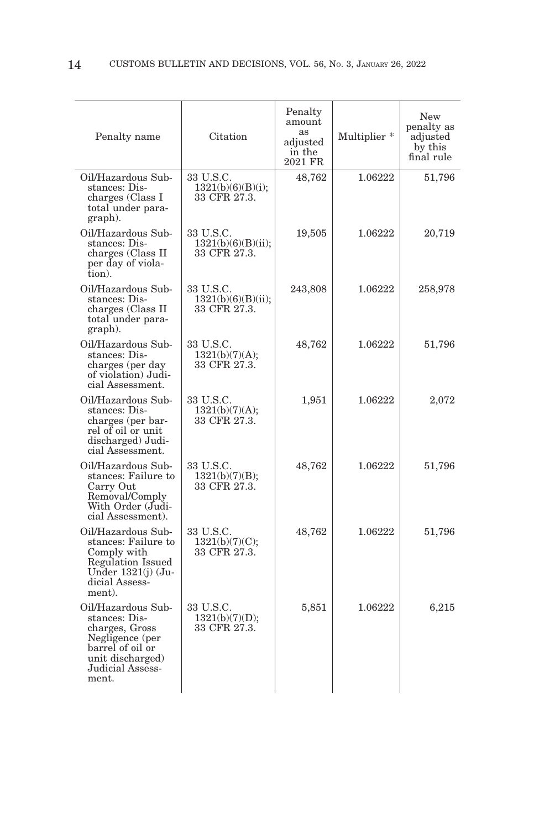| Penalty name                                                                                                                                  | Citation                                        | Penalty<br>amount<br>as<br>adjusted<br>in the<br>2021 FR | Multiplier * | <b>New</b><br>penalty as<br>adjusted<br>by this<br>final rule |
|-----------------------------------------------------------------------------------------------------------------------------------------------|-------------------------------------------------|----------------------------------------------------------|--------------|---------------------------------------------------------------|
| Oil/Hazardous Sub-<br>stances: Dis-<br>charges (Class I<br>total under para-<br>graph).                                                       | 33 U.S.C.<br>1321(b)(6)(B)(i);<br>33 CFR 27.3.  | 48,762                                                   | 1.06222      | 51,796                                                        |
| Oil/Hazardous Sub-<br>stances: Dis-<br>charges (Class II<br>per day of viola-<br>tion).                                                       | 33 U.S.C.<br>1321(b)(6)(B)(ii);<br>33 CFR 27.3. | 19,505                                                   | 1.06222      | 20,719                                                        |
| Oil/Hazardous Sub-<br>stances: Dis-<br>charges (Class II<br>total under para-<br>graph).                                                      | 33 U.S.C.<br>1321(b)(6)(B)(ii);<br>33 CFR 27.3. | 243,808                                                  | 1.06222      | 258,978                                                       |
| Oil/Hazardous Sub-<br>stances: Dis-<br>charges (per day<br>of violation) Judi-<br>cial Assessment.                                            | 33 U.S.C.<br>1321(b)(7)(A);<br>33 CFR 27.3.     | 48,762                                                   | 1.06222      | 51,796                                                        |
| Oil/Hazardous Sub-<br>stances: Dis-<br>charges (per bar-<br>rel of oil or unit<br>discharged) Judi-<br>cial Assessment.                       | 33 U.S.C.<br>1321(b)(7)(A);<br>33 CFR 27.3.     | 1,951                                                    | 1.06222      | 2,072                                                         |
| Oil/Hazardous Sub-<br>stances: Failure to<br>Carry Out<br>Removal/Comply<br>With Order (Judi-<br>cial Assessment).                            | 33 U.S.C.<br>1321(b)(7)(B);<br>33 CFR 27.3.     | 48,762                                                   | 1.06222      | 51,796                                                        |
| Oil/Hazardous Sub-<br>stances: Failure to<br>Comply with<br>Regulation Issued<br>Under $1321(j)$ (Ju-<br>dicial Assess-<br>ment).             | 33 U.S.C.<br>1321(b)(7)(C);<br>33 CFR 27.3.     | 48,762                                                   | 1.06222      | 51,796                                                        |
| Oil/Hazardous Sub-<br>stances: Dis-<br>charges, Gross<br>Negligence (per<br>barrel of oil or<br>unit discharged)<br>Judicial Assess-<br>ment. | 33 U.S.C.<br>1321(b)(7)(D);<br>33 CFR 27.3.     | 5,851                                                    | 1.06222      | 6,215                                                         |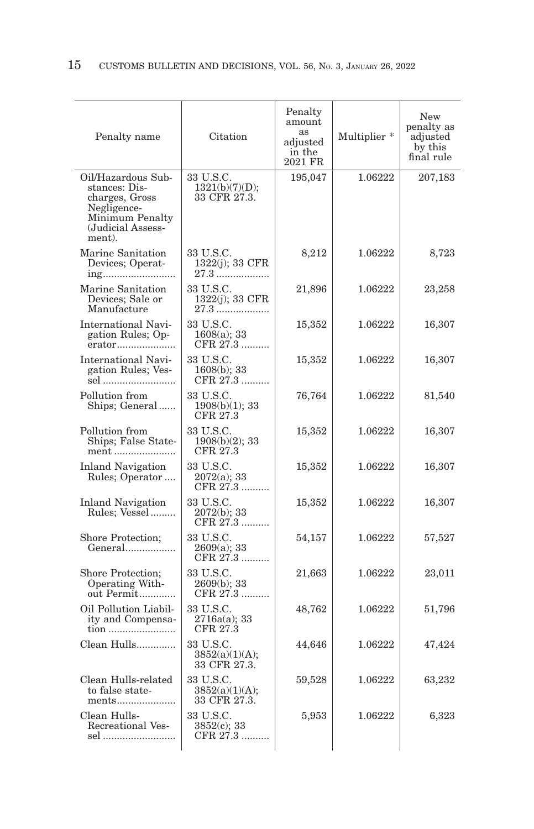| Citation                                    | Penalty<br>amount<br>as<br>adjusted<br>in the<br>2021 FR | Multiplier <sup>*</sup> | New<br>penalty as<br>adjusted<br>by this<br>final rule |
|---------------------------------------------|----------------------------------------------------------|-------------------------|--------------------------------------------------------|
| 33 U.S.C.<br>1321(b)(7)(D);<br>33 CFR 27.3. | 195,047                                                  | 1.06222                 | 207,183                                                |
| 33 U.S.C.<br>1322(j); 33 CFR<br>27.3        | 8,212                                                    | 1.06222                 | 8,723                                                  |
| 33 U.S.C.<br>1322(j); 33 CFR                | 21,896                                                   | 1.06222                 | 23,258                                                 |
| 33 U.S.C.<br>$1608(a)$ ; 33<br>CFR 27.3     | 15,352                                                   | 1.06222                 | 16,307                                                 |
| 33 U.S.C.<br>$1608(b)$ ; 33<br>CFR 27.3     | 15,352                                                   | 1.06222                 | 16,307                                                 |
| 33 U.S.C.<br>1908(b)(1); 33<br>CFR 27.3     | 76,764                                                   | 1.06222                 | 81,540                                                 |
| 33 U.S.C.<br>$1908(b)(2)$ ; 33<br>CFR 27.3  | 15,352                                                   | 1.06222                 | 16,307                                                 |
| 33 U.S.C.<br>$2072(a); 33$<br>CFR 27.3      | 15,352                                                   | 1.06222                 | 16,307                                                 |
| 33 U.S.C.<br>2072(b); 33<br>CFR 27.3        | 15,352                                                   | 1.06222                 | 16,307                                                 |
| 33 U.S.C.<br>2609(a); 33<br>CFR 27.3        | 54,157                                                   | 1.06222                 | 57,527                                                 |
| 33 U.S.C.<br>2609(b); 33<br>CFR 27.3        | 21,663                                                   | 1.06222                 | 23,011                                                 |
| 33 U.S.C.<br>2716a(a); 33<br>CFR 27.3       | 48,762                                                   | 1.06222                 | 51,796                                                 |
| 33 U.S.C.<br>3852(a)(1)(A);<br>33 CFR 27.3. | 44,646                                                   | 1.06222                 | 47,424                                                 |
| 33 U.S.C.<br>3852(a)(1)(A);<br>33 CFR 27.3. | 59,528                                                   | 1.06222                 | 63,232                                                 |
| 33 U.S.C.<br>$3852(c)$ ; 33<br>CFR 27.3     | 5,953                                                    | 1.06222                 | 6,323                                                  |
|                                             |                                                          |                         |                                                        |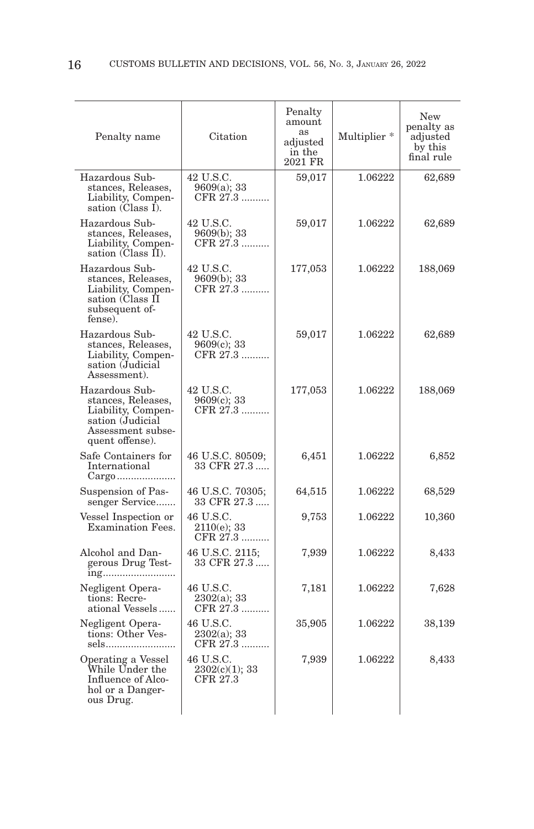| Penalty name                                                                                                           | Citation                                | Penalty<br>amount<br>as<br>adjusted<br>in the<br>2021 FR | Multiplier * | New<br>penalty as<br>adjusted<br>by this<br>final rule |
|------------------------------------------------------------------------------------------------------------------------|-----------------------------------------|----------------------------------------------------------|--------------|--------------------------------------------------------|
| Hazardous Sub-<br>stances, Releases,<br>Liability, Compen-<br>sation (Class I).                                        | 42 U.S.C.<br>9609(a); 33<br>CFR 27.3    | 59,017                                                   | 1.06222      | 62,689                                                 |
| Hazardous Sub-<br>stances, Releases,<br>Liability, Compen-<br>sation (Class II).                                       | 42 U.S.C.<br>9609(b): 33<br>CFR 27.3    | 59,017                                                   | 1.06222      | 62,689                                                 |
| Hazardous Sub-<br>stances, Releases,<br>Liability, Compen-<br>sation (Class II<br>subsequent of-<br>fense).            | 42 U.S.C.<br>9609(b); 33<br>CFR 27.3    | 177,053                                                  | 1.06222      | 188,069                                                |
| Hazardous Sub-<br>stances, Releases,<br>Liability, Compen-<br>sation (Judicial<br>Assessment).                         | 42 U.S.C.<br>$9609(c)$ ; 33<br>CFR 27.3 | 59,017                                                   | 1.06222      | 62,689                                                 |
| Hazardous Sub-<br>stances, Releases,<br>Liability, Compen-<br>sation (Judicial<br>Assessment subse-<br>quent offense). | 42 U.S.C.<br>9609(c); 33<br>CFR 27.3    | 177,053                                                  | 1.06222      | 188,069                                                |
| Safe Containers for<br>International                                                                                   | 46 U.S.C. 80509;<br>33 CFR 27.3         | 6,451                                                    | 1.06222      | 6,852                                                  |
| Suspension of Pas-<br>senger Service                                                                                   | 46 U.S.C. 70305;<br>33 CFR 27.3         | 64,515                                                   | 1.06222      | 68,529                                                 |
| Vessel Inspection or<br>Examination Fees.                                                                              | 46 U.S.C.<br>$2110(e)$ ; 33<br>CFR 27.3 | 9,753                                                    | 1.06222      | 10,360                                                 |
| Alcohol and Dan-<br>gerous Drug Test-                                                                                  | 46 U.S.C. 2115:<br>33 CFR 27.3          | 7,939                                                    | 1.06222      | 8,433                                                  |
| Negligent Opera-<br>tions: Recre-<br>ational Vessels                                                                   | 46 U.S.C.<br>$2302(a)$ ; 33<br>CFR 27.3 | 7,181                                                    | 1.06222      | 7,628                                                  |
| Negligent Opera-<br>tions: Other Ves-<br>sels                                                                          | 46 U.S.C.<br>2302(a); 33<br>CFR 27.3    | 35,905                                                   | 1.06222      | 38,139                                                 |
| Operating a Vessel<br>While Under the<br>Influence of Alco-<br>hol or a Danger-<br>ous Drug.                           | 46 U.S.C.<br>2302(c)(1); 33<br>CFR 27.3 | 7,939                                                    | 1.06222      | 8,433                                                  |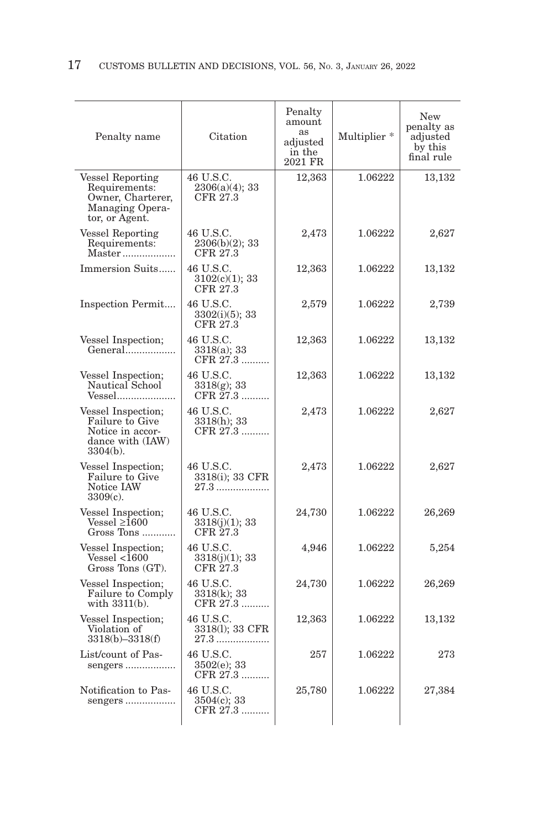| Penalty name                                                                                       | Citation                                   | Penalty<br>amount<br>as<br>adjusted<br>in the<br>2021 FR | Multiplier * | New<br>penalty as<br>adjusted<br>by this<br>final rule |
|----------------------------------------------------------------------------------------------------|--------------------------------------------|----------------------------------------------------------|--------------|--------------------------------------------------------|
| <b>Vessel Reporting</b><br>Requirements:<br>Owner, Charterer,<br>Managing Opera-<br>tor, or Agent. | 46 U.S.C.<br>2306(a)(4); 33<br>CFR 27.3    | 12,363                                                   | 1.06222      | 13,132                                                 |
| <b>Vessel Reporting</b><br>Requirements:                                                           | 46 U.S.C.<br>$2306(b)(2)$ ; 33<br>CFR 27.3 | 2,473                                                    | 1.06222      | 2,627                                                  |
| Immersion Suits                                                                                    | 46 U.S.C.<br>$3102(c)(1)$ ; 33<br>CFR 27.3 | 12,363                                                   | 1.06222      | 13,132                                                 |
| Inspection Permit                                                                                  | 46 U.S.C.<br>3302(i)(5); 33<br>CFR 27.3    | 2,579                                                    | 1.06222      | 2,739                                                  |
| Vessel Inspection;<br>General                                                                      | 46 U.S.C.<br>3318(a); 33<br>CFR 27.3       | 12,363                                                   | 1.06222      | 13,132                                                 |
| Vessel Inspection;<br>Nautical School<br>Vessel                                                    | 46 U.S.C.<br>$3318(g)$ ; 33<br>CFR 27.3    | 12,363                                                   | 1.06222      | 13,132                                                 |
| Vessel Inspection;<br>Failure to Give<br>Notice in accor-<br>dance with (IAW)<br>$3304(b)$ .       | 46 U.S.C.<br>3318(h); 33<br>CFR 27.3       | 2,473                                                    | 1.06222      | 2,627                                                  |
| Vessel Inspection;<br>Failure to Give<br>Notice IAW<br>$3309(c)$ .                                 | 46 U.S.C.<br>3318(i); 33 CFR<br>27.3       | 2,473                                                    | 1.06222      | 2,627                                                  |
| Vessel Inspection;<br>$Vessel \ge 1600$<br>Gross Tons                                              | 46 U.S.C.<br>3318(j)(1); 33<br>CFR 27.3    | 24,730                                                   | 1.06222      | 26,269                                                 |
| Vessel Inspection;<br>Vessel < 1600<br>Gross Tons (GT).                                            | 46 U.S.C.<br>3318(j)(1); 33<br>CFR 27.3    | 4,946                                                    | 1.06222      | 5,254                                                  |
| Vessel Inspection;<br>Failure to Comply<br>with 3311(b).                                           | 46 U.S.C.<br>3318(k); 33<br>CFR 27.3       | 24,730                                                   | 1.06222      | 26,269                                                 |
| Vessel Inspection;<br>Violation of<br>$3318(b) - 3318(f)$                                          | 46 U.S.C.<br>3318(1); 33 CFR<br>27.3       | 12,363                                                   | 1.06222      | 13,132                                                 |
| List/count of Pas-<br>sengers                                                                      | 46 U.S.C.<br>3502(e); 33<br>CFR 27.3       | 257                                                      | 1.06222      | 273                                                    |
| Notification to Pas-<br>sengers                                                                    | 46 U.S.C.<br>3504(c); 33<br>CFR 27.3       | 25,780                                                   | 1.06222      | 27,384                                                 |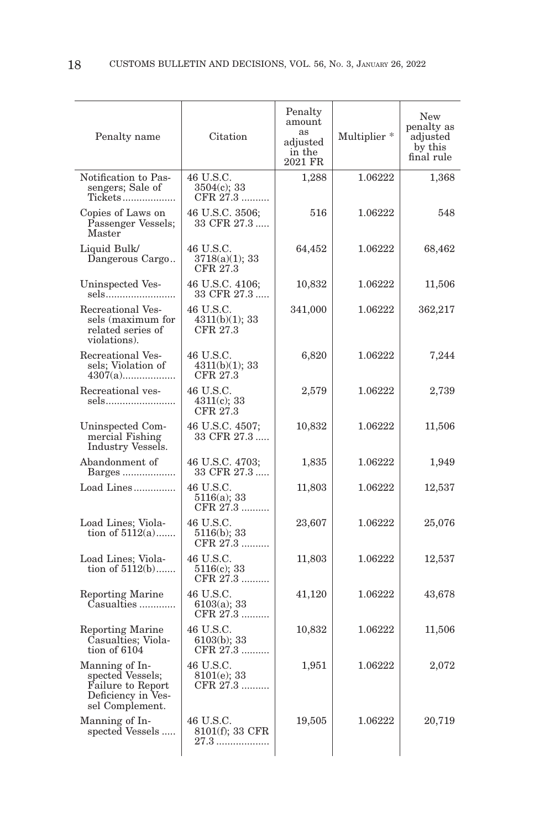| Penalty name                                                                                     | Citation                                | Penalty<br>amount<br>as<br>adjusted<br>in the<br>2021 FR | Multiplier <sup>*</sup> | <b>New</b><br>penalty as<br>adjusted<br>by this<br>final rule |
|--------------------------------------------------------------------------------------------------|-----------------------------------------|----------------------------------------------------------|-------------------------|---------------------------------------------------------------|
| Notification to Pas-<br>sengers; Sale of<br>Tickets                                              | 46 U.S.C.<br>$3504(c)$ ; 33<br>CFR 27.3 | 1,288                                                    | 1.06222                 | 1,368                                                         |
| Copies of Laws on<br>Passenger Vessels;<br>Master                                                | 46 U.S.C. 3506;<br>33 CFR 27.3          | 516                                                      | 1.06222                 | 548                                                           |
| Liquid Bulk/<br>Dangerous Cargo                                                                  | 46 U.S.C.<br>3718(a)(1); 33<br>CFR 27.3 | 64,452                                                   | 1.06222                 | 68,462                                                        |
| Uninspected Ves-                                                                                 | 46 U.S.C. 4106;<br>33 CFR 27.3          | 10,832                                                   | 1.06222                 | 11,506                                                        |
| Recreational Ves-<br>sels (maximum for<br>related series of<br>violations).                      | 46 U.S.C.<br>4311(b)(1); 33<br>CFR 27.3 | 341,000                                                  | 1.06222                 | 362,217                                                       |
| Recreational Ves-<br>sels; Violation of                                                          | 46 U.S.C.<br>4311(b)(1); 33<br>CFR 27.3 | 6,820                                                    | 1.06222                 | 7,244                                                         |
| Recreational ves-<br>sels                                                                        | 46 U.S.C.<br>$4311(c)$ ; 33<br>CFR 27.3 | 2,579                                                    | 1.06222                 | 2,739                                                         |
| Uninspected Com-<br>mercial Fishing<br>Industry Vessels.                                         | 46 U.S.C. 4507;<br>33 CFR 27.3          | 10,832                                                   | 1.06222                 | 11,506                                                        |
| Abandonment of<br>Barges                                                                         | 46 U.S.C. 4703;<br>33 CFR 27.3          | 1,835                                                    | 1.06222                 | 1,949                                                         |
| Load Lines<br>46 U.S.C.<br>5116(a); 33<br>CFR 27.3                                               |                                         | 11,803                                                   | 1.06222                 | 12,537                                                        |
| Load Lines; Viola-<br>tion of $5112(a)$                                                          | 46 U.S.C.<br>5116(b); 33<br>CFR 27.3    | 23,607                                                   | 1.06222                 | 25,076                                                        |
| Load Lines; Viola-<br>tion of $5112(b)$                                                          | 46 U.S.C.<br>$5116(c)$ ; 33<br>CFR 27.3 | 11,803                                                   | 1.06222                 | 12,537                                                        |
| <b>Reporting Marine</b><br>Casualties                                                            | 46 U.S.C.<br>6103(a); 33<br>CFR 27.3    | 41,120                                                   | 1.06222                 | 43,678                                                        |
| Reporting Marine<br>Casualties; Viola-<br>tion of 6104                                           | 46 U.S.C.<br>6103(b); 33<br>CFR 27.3    | 10,832                                                   | 1.06222                 | 11,506                                                        |
| Manning of In-<br>spected Vessels;<br>Failure to Report<br>Deficiency in Ves-<br>sel Complement. | 46 U.S.C.<br>8101(e); 33<br>CFR 27.3    | 1,951                                                    | 1.06222                 | 2,072                                                         |
| Manning of In-<br>spected Vessels                                                                | 46 U.S.C.<br>8101(f); 33 CFR<br>27.3    | 19,505                                                   | 1.06222                 | 20,719                                                        |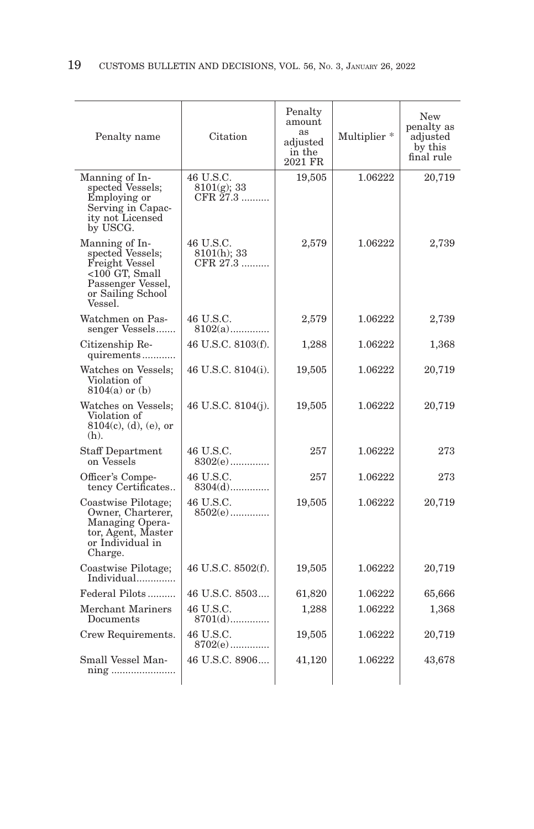| Penalty name                                                                                                                         | Citation                                | Penalty<br>amount<br><b>as</b><br>adjusted<br>in the<br>2021 FR | Multiplier * | New<br>penalty as<br>adjusted<br>by this<br>final rule |
|--------------------------------------------------------------------------------------------------------------------------------------|-----------------------------------------|-----------------------------------------------------------------|--------------|--------------------------------------------------------|
| Manning of In-<br>spected Vessels;<br>Employing or<br>Serving in Capacity not Licensed<br>by USCG.                                   | 46 U.S.C.<br>$8101(g)$ ; 33<br>CFR 27.3 | 19,505                                                          | 1.06222      | 20,719                                                 |
| Manning of In-<br>spected Vessels;<br>Freight Vessel<br>$<$ 100 GT, Small<br>Passenger Vessel,<br>or Sailing School<br><b>Vessel</b> | 46 U.S.C.<br>8101(h); 33<br>CFR 27.3    | 2,579                                                           | 1.06222      | 2,739                                                  |
| Watchmen on Pas-<br>senger Vessels                                                                                                   | 46 U.S.C.<br>$8102(a)$                  | 2,579                                                           | 1.06222      | 2,739                                                  |
| Citizenship Re-<br>quirements                                                                                                        | 46 U.S.C. 8103(f).                      | 1,288                                                           | 1.06222      | 1,368                                                  |
| Watches on Vessels;<br>Violation of<br>$8104(a)$ or $(b)$                                                                            | 46 U.S.C. 8104(i).                      | 19,505                                                          | 1.06222      | 20,719                                                 |
| Watches on Vessels;<br>Violation of<br>$8104(c)$ , (d), (e), or<br>$(h)$ .                                                           | 46 U.S.C. 8104(j).                      | 19,505                                                          | 1.06222      | 20,719                                                 |
| <b>Staff Department</b><br>on Vessels                                                                                                | 46 U.S.C.<br>$8302(e)$                  | 257                                                             | 1.06222      | 273                                                    |
| Officer's Compe-<br>tency Certificates                                                                                               | 46 U.S.C.<br>$8304(d)$                  | 257                                                             | 1.06222      | 273                                                    |
| Coastwise Pilotage;<br>Owner, Charterer,<br>Managing Opera-<br>tor, Agent, Master<br>or Individual in<br>Charge.                     | 46 U.S.C.<br>$8502(e)$                  | 19,505                                                          | 1.06222      | 20,719                                                 |
| Coastwise Pilotage;<br>Individual                                                                                                    | 46 U.S.C. 8502(f).                      | 19,505                                                          | 1.06222      | 20,719                                                 |
| Federal Pilots                                                                                                                       | 46 U.S.C. 8503                          | 61,820                                                          | 1.06222      | 65,666                                                 |
| Merchant Mariners<br>Documents                                                                                                       | 46 U.S.C.<br>$8701(d)$                  | 1,288                                                           | 1.06222      | 1,368                                                  |
| Crew Requirements.                                                                                                                   | 46 U.S.C.<br>$8702(e)$                  | 19,505                                                          | 1.06222      | 20,719                                                 |
| Small Vessel Man-                                                                                                                    | 46 U.S.C. 8906                          | 41,120                                                          | 1.06222      | 43,678                                                 |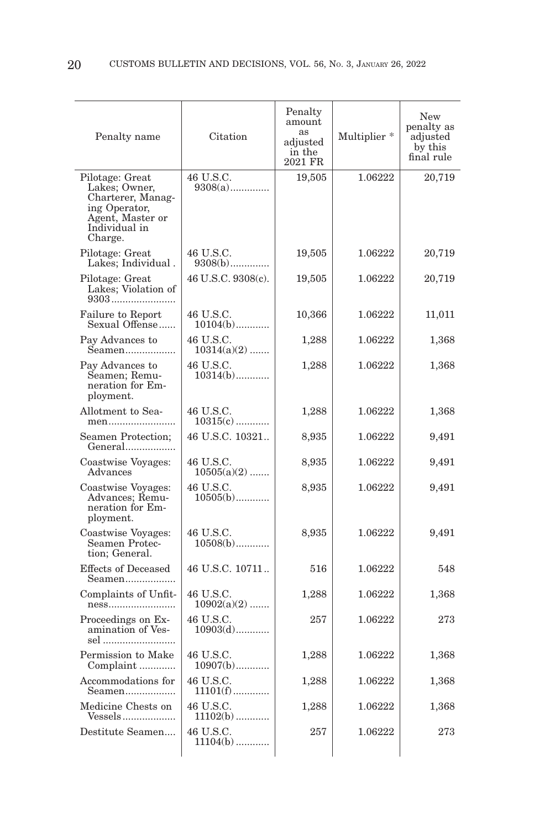| Penalty name                                                                                                           | Citation                   | Penalty<br>amount<br>as<br>adjusted<br>in the<br>2021 FR | Multiplier <sup>*</sup> | New<br>penalty as<br>adjusted<br>by this<br>final rule |
|------------------------------------------------------------------------------------------------------------------------|----------------------------|----------------------------------------------------------|-------------------------|--------------------------------------------------------|
| Pilotage: Great<br>Lakes; Owner,<br>Charterer, Manag-<br>ing Operator,<br>Agent, Master or<br>Individual in<br>Charge. | 46 U.S.C.<br>$9308(a)$     | 19,505                                                   | 1.06222                 | 20,719                                                 |
| Pilotage: Great<br>Lakes; Individual.                                                                                  | 46 U.S.C.<br>$9308(b)$     | 19,505                                                   | 1.06222                 | 20,719                                                 |
| Pilotage: Great<br>Lakes; Violation of<br>9303                                                                         | 46 U.S.C. 9308(c).         | 19,505                                                   | 1.06222                 | $20{,}719$                                             |
| Failure to Report<br>Sexual Offense                                                                                    | 46 U.S.C.<br>$10104(b)$    | 10,366                                                   | 1.06222                 | 11,011                                                 |
| Pay Advances to<br>Seamen                                                                                              | 46 U.S.C.<br>$10314(a)(2)$ | 1,288                                                    | 1.06222                 | 1,368                                                  |
| Pay Advances to<br>Seamen; Remu-<br>neration for Em-<br>ployment.                                                      | 46 U.S.C.<br>$10314(b)$    | 1,288                                                    | 1.06222                 | 1,368                                                  |
| Allotment to Sea-<br>men                                                                                               | 46 U.S.C.<br>$10315(c)$    | 1,288                                                    | 1.06222                 | 1,368                                                  |
| Seamen Protection;<br>General                                                                                          | 46 U.S.C. 10321            | 8,935                                                    | 1.06222                 | 9,491                                                  |
| Coastwise Voyages:<br>Advances                                                                                         | 46 U.S.C.<br>$10505(a)(2)$ | 8,935                                                    | 1.06222                 | 9,491                                                  |
| Coastwise Voyages:<br>Advances; Remu-<br>neration for Em-<br>ployment.                                                 | 46 U.S.C.<br>$10505(b)$    | 8,935                                                    | 1.06222                 | 9,491                                                  |
| Coastwise Voyages:<br>Seamen Protec-<br>tion; General.                                                                 | 46 U.S.C.<br>$10508(b)$    | 8,935                                                    | 1.06222                 | 9,491                                                  |
| <b>Effects of Deceased</b><br>Seamen                                                                                   | 46 U.S.C. 10711            | 516                                                      | 1.06222                 | 548                                                    |
| Complaints of Unfit-<br>ness                                                                                           | 46 U.S.C.<br>$10902(a)(2)$ | 1,288                                                    | 1.06222                 | 1,368                                                  |
| Proceedings on Ex-<br>amination of Ves-<br>sel                                                                         | 46 U.S.C.<br>$10903(d)$    | 257                                                      | 1.06222                 | 273                                                    |
| Permission to Make<br>Complaint                                                                                        | 46 U.S.C.<br>$10907(b)$    | 1,288                                                    | 1.06222                 | 1,368                                                  |
| Accommodations for<br>Seamen                                                                                           | 46 U.S.C.<br>$11101(f)$    | 1,288                                                    | 1.06222                 | 1,368                                                  |
| Medicine Chests on<br>Vessels                                                                                          | 46 U.S.C.<br>$11102(b)$    | 1,288                                                    | 1.06222                 | 1,368                                                  |
| Destitute Seamen                                                                                                       | 46 U.S.C.<br>$11104(b)$    | 257                                                      | 1.06222                 | 273                                                    |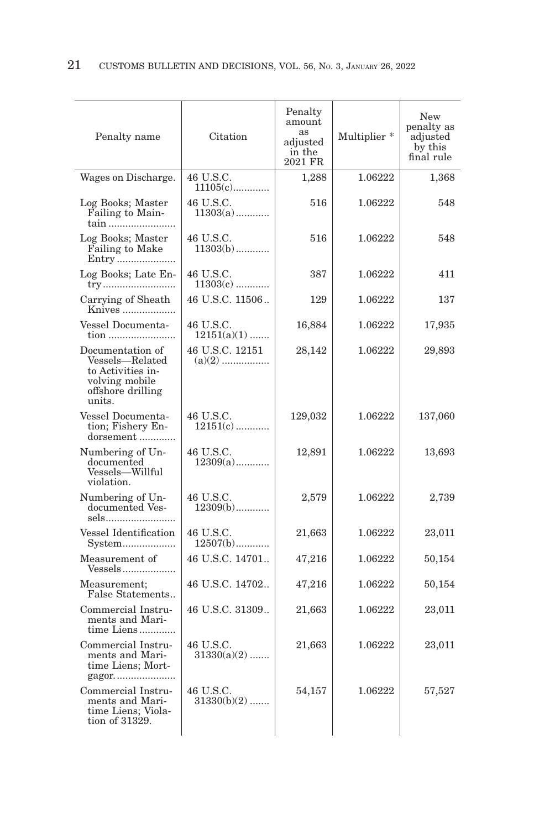| Penalty name                                                                                              | Citation                   | Penalty<br>amount<br>as<br>adjusted<br>in the<br>2021 FR | Multiplier <sup>*</sup> | New<br>penalty as<br>adjusted<br>by this<br>final rule |
|-----------------------------------------------------------------------------------------------------------|----------------------------|----------------------------------------------------------|-------------------------|--------------------------------------------------------|
| Wages on Discharge.                                                                                       | 46 U.S.C.<br>$11105(c)$    | 1,288                                                    | 1.06222                 | 1,368                                                  |
| Log Books; Master<br>Failing to Main-<br>tain                                                             | 46 U.S.C.<br>$11303(a)$    | 516                                                      | 1.06222                 | 548                                                    |
| Log Books; Master<br><b>Failing to Make</b>                                                               | 46 U.S.C.<br>$11303(b)$    | 516                                                      | 1.06222                 | 548                                                    |
| Log Books; Late En-                                                                                       | 46 U.S.C.<br>$11303(c)$    | 387                                                      | 1.06222                 | 411                                                    |
| Carrying of Sheath<br>Knives                                                                              | 46 U.S.C. 11506            | 129                                                      | 1.06222                 | 137                                                    |
| Vessel Documenta-<br>tion                                                                                 | 46 U.S.C.<br>$12151(a)(1)$ | 16,884                                                   | 1.06222                 | 17,935                                                 |
| Documentation of<br>Vessels-Related<br>to Activities in-<br>volving mobile<br>offshore drilling<br>units. | 46 U.S.C. 12151            | 28,142                                                   | 1.06222                 | 29,893                                                 |
| Vessel Documenta-<br>tion; Fishery En-<br>dorsement                                                       | 46 U.S.C.<br>$12151(c)$    | 129,032                                                  | 1.06222                 | 137,060                                                |
| Numbering of Un-<br>documented<br>Vessels-Willful<br>violation.                                           | 46 U.S.C.<br>$12309(a)$    | 12,891                                                   | 1.06222                 | 13,693                                                 |
| Numbering of Un-<br>documented Ves-<br>sels                                                               | 46 U.S.C.<br>$12309(b)$    | 2,579                                                    | 1.06222                 | 2,739                                                  |
| Vessel Identification<br>System                                                                           | 46 U.S.C.<br>$12507(b)$    | 21,663                                                   | 1.06222                 | 23,011                                                 |
| Measurement of<br>Vessels                                                                                 | 46 U.S.C. 14701            | 47,216                                                   | 1.06222                 | 50,154                                                 |
| Measurement;<br>False Statements                                                                          | 46 U.S.C. 14702            | 47,216                                                   | 1.06222                 | 50,154                                                 |
| Commercial Instru-<br>ments and Mari-<br>time Liens                                                       | 46 U.S.C. 31309            | 21,663                                                   | 1.06222                 | 23,011                                                 |
| Commercial Instru-<br>ments and Mari-<br>time Liens; Mort-<br>gagor                                       | 46 U.S.C.<br>$31330(a)(2)$ | 21,663                                                   | 1.06222                 | 23,011                                                 |
| Commercial Instru-<br>ments and Mari-<br>time Liens; Viola-<br>tion of 31329.                             | 46 U.S.C.<br>$31330(b)(2)$ | 54,157                                                   | 1.06222                 | 57,527                                                 |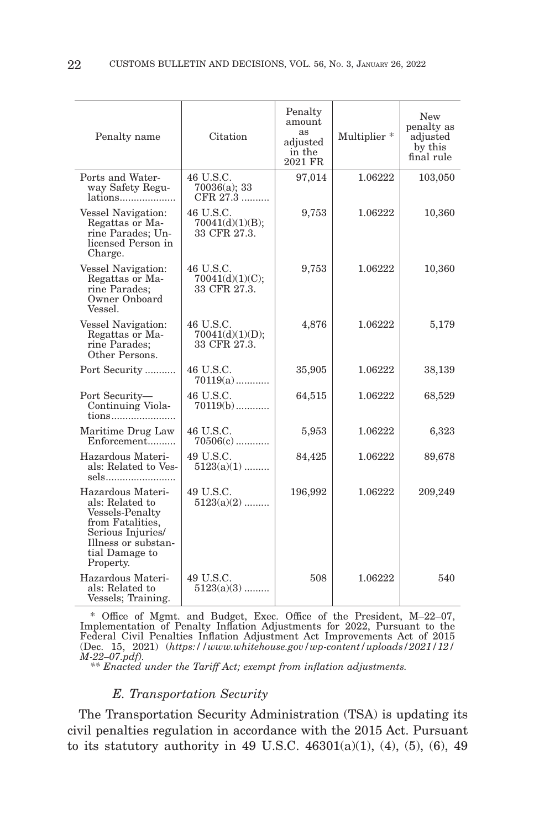| Penalty name                                                                                                                                          | Citation                                     | Penalty<br>amount<br>as<br>adjusted<br>in the<br>2021 FR | Multiplier * | New<br>penalty as<br>adjusted<br>by this<br>final rule |
|-------------------------------------------------------------------------------------------------------------------------------------------------------|----------------------------------------------|----------------------------------------------------------|--------------|--------------------------------------------------------|
| Ports and Water-<br>way Safety Regu-<br>lations                                                                                                       | 46 U.S.C.<br>70036(a); 33<br>CFR 27.3        | 97,014                                                   | 1.06222      | 103,050                                                |
| Vessel Navigation:<br>Regattas or Ma-<br>rine Parades; Un-<br>licensed Person in<br>Charge.                                                           | 46 U.S.C.<br>70041(d)(1)(B);<br>33 CFR 27.3. | 9,753                                                    | 1.06222      | 10,360                                                 |
| Vessel Navigation:<br>Regattas or Ma-<br>rine Parades;<br>Owner Onboard<br>Vessel.                                                                    | 46 U.S.C.<br>70041(d)(1)(C);<br>33 CFR 27.3. | 9,753                                                    | 1.06222      | 10,360                                                 |
| Vessel Navigation:<br>Regattas or Ma-<br>rine Parades:<br>Other Persons.                                                                              | 46 U.S.C.<br>70041(d)(1)(D);<br>33 CFR 27.3. | 4,876                                                    | 1.06222      | 5,179                                                  |
| Port Security                                                                                                                                         | 46 U.S.C.<br>$70119(a)$                      | 35,905                                                   | 1.06222      | 38,139                                                 |
| Port Security-<br>Continuing Viola-<br>tions                                                                                                          | 46 U.S.C.<br>$70119(b)$                      | 64,515                                                   | 1.06222      | 68,529                                                 |
| Maritime Drug Law<br>Enforcement                                                                                                                      | 46 U.S.C.<br>$70506(c)$                      | 5,953                                                    | 1.06222      | 6,323                                                  |
| Hazardous Materi-<br>als: Related to Ves-<br>sels                                                                                                     | 49 U.S.C.<br>$5123(a)(1)$                    | 84,425                                                   | 1.06222      | 89,678                                                 |
| Hazardous Materi-<br>als: Related to<br>Vessels-Penalty<br>from Fatalities,<br>Serious Injuries<br>Illness or substan-<br>tial Damage to<br>Property. | 49 U.S.C.<br>$5123(a)(2)$                    | 196,992                                                  | 1.06222      | 209,249                                                |
| Hazardous Materi-<br>als: Related to<br>Vessels; Training.                                                                                            | 49 U.S.C.<br>$5123(a)(3)$                    | 508                                                      | 1.06222      | 540                                                    |

 \* Office of Mgmt. and Budget, Exec. Office of the President, M–22–07, Implementation of Penalty Inflation Adjustments for 2022, Pursuant to the Federal Civil Penalties Inflation Adjustment Act Improvements Act of 2015 (Dec. 15, 2021) (*https://www.whitehouse.gov/wp-content/uploads/2021/12/ M-22–07.pdf).*

 *\*\* Enacted under the Tariff Act; exempt from inflation adjustments.*

# *E. Transportation Security*

The Transportation Security Administration (TSA) is updating its civil penalties regulation in accordance with the 2015 Act. Pursuant to its statutory authority in 49 U.S.C.  $46301(a)(1)$ ,  $(4)$ ,  $(5)$ ,  $(6)$ ,  $49$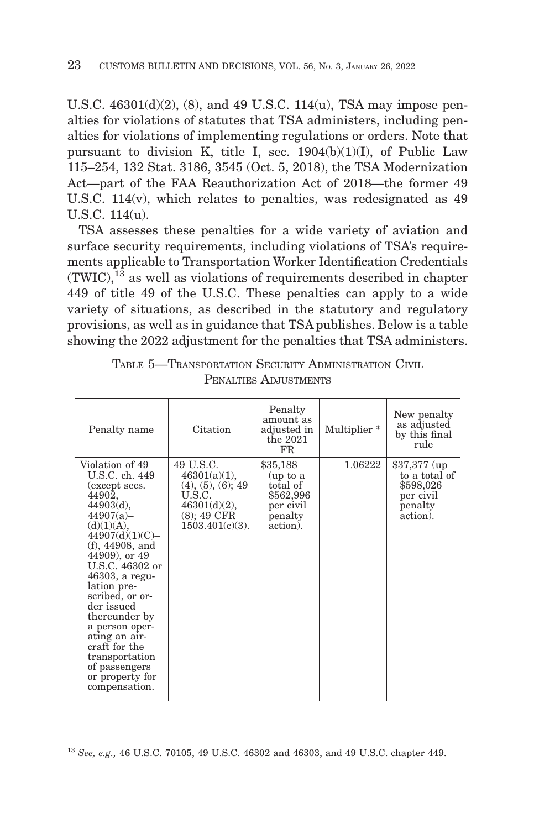U.S.C. 46301(d)(2), (8), and 49 U.S.C. 114(u), TSA may impose penalties for violations of statutes that TSA administers, including penalties for violations of implementing regulations or orders. Note that pursuant to division K, title I, sec.  $1904(b)(1)(I)$ , of Public Law 115–254, 132 Stat. 3186, 3545 (Oct. 5, 2018), the TSA Modernization Act—part of the FAA Reauthorization Act of 2018—the former 49 U.S.C. 114(v), which relates to penalties, was redesignated as 49 U.S.C. 114(u).

TSA assesses these penalties for a wide variety of aviation and surface security requirements, including violations of TSA's requirements applicable to Transportation Worker Identification Credentials  $(TWIC),<sup>13</sup>$  as well as violations of requirements described in chapter 449 of title 49 of the U.S.C. These penalties can apply to a wide variety of situations, as described in the statutory and regulatory provisions, as well as in guidance that TSA publishes. Below is a table showing the 2022 adjustment for the penalties that TSA administers.

| Penalty name                                                                                                                                                                                                                                                                                                                                                                                     | Citation                                                                                                                  | Penalty<br>amount as<br>adjusted in<br>the $2021$<br>FR.                          | Multiplier <sup>*</sup> | New penalty<br>as adjusted<br>by this final<br>rule                             |
|--------------------------------------------------------------------------------------------------------------------------------------------------------------------------------------------------------------------------------------------------------------------------------------------------------------------------------------------------------------------------------------------------|---------------------------------------------------------------------------------------------------------------------------|-----------------------------------------------------------------------------------|-------------------------|---------------------------------------------------------------------------------|
| Violation of 49<br>U.S.C. ch. 449<br>(except secs.<br>44902,<br>44903(d),<br>44907(a)<br>(d)(1)(A),<br>44907(d)(1)(C)<br>$(f)$ , 44908, and<br>44909), or 49<br>U.S.C. 46302 or<br>$46303$ , a regu-<br>lation pre-<br>scribed, or or-<br>der issued<br>thereunder by<br>a person oper-<br>ating an air-<br>craft for the<br>transportation<br>of passengers<br>or property for<br>compensation. | 49 U.S.C.<br>$46301(a)(1)$ ,<br>$(4), (5), (6)$ ; 49<br>U.S.C.<br>$46301(d)(2)$ ,<br>$(8)$ ; 49 CFR<br>$1503.401(c)(3)$ . | \$35,188<br>(up to a<br>total of<br>\$562,996<br>per civil<br>penalty<br>action). | 1.06222                 | $$37,377$ (up<br>to a total of<br>\$598,026<br>per civil<br>penalty<br>action). |

| TABLE 5-TRANSPORTATION SECURITY ADMINISTRATION CIVIL |  |
|------------------------------------------------------|--|
| PENALTIES ADJUSTMENTS                                |  |

<sup>13</sup>*See, e.g.,* 46 U.S.C. 70105, 49 U.S.C. 46302 and 46303, and 49 U.S.C. chapter 449.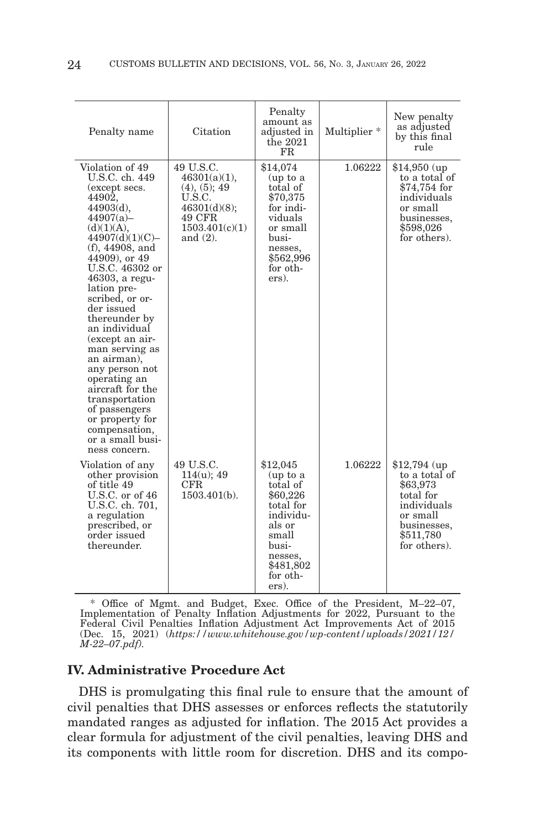| Penalty name                                                                                                                                                                                                                                                                                                                                                                                                                                                                                                 | Citation                                                                                                       | Penalty<br>amount as<br>adjusted in<br>the $2021$<br>FR.                                                                                        | Multiplier <sup>*</sup> | New penalty<br>as adjusted<br>by this final<br>rule                                                                             |
|--------------------------------------------------------------------------------------------------------------------------------------------------------------------------------------------------------------------------------------------------------------------------------------------------------------------------------------------------------------------------------------------------------------------------------------------------------------------------------------------------------------|----------------------------------------------------------------------------------------------------------------|-------------------------------------------------------------------------------------------------------------------------------------------------|-------------------------|---------------------------------------------------------------------------------------------------------------------------------|
| Violation of 49<br>U.S.C. ch. 449<br>(except secs.<br>44902,<br>$44903(d)$ ,<br>44907(a)<br>(d)(1)(A),<br>44907(d)(1)(C)<br>$(f)$ , 44908, and<br>44909), or 49<br>U.S.C. 46302 or<br>46303, a regu-<br>lation pre-<br>scribed, or or-<br>der issued<br>thereunder by<br>an individual<br>(except an air-<br>man serving as<br>an airman),<br>any person not<br>operating an<br>aircraft for the<br>transportation<br>of passengers<br>or property for<br>compensation,<br>or a small busi-<br>ness concern. | 49 U.S.C.<br>46301(a)(1),<br>(4), (5); 49<br>U.S.C.<br>46301(d)(8);<br>49 CFR<br>1503.401(c)(1)<br>and $(2)$ . | \$14,074<br>(up to a<br>total of<br>\$70,375<br>for indi-<br>viduals<br>or small<br>busi-<br>nesses,<br>\$562,996<br>for oth-<br>ers).          | 1.06222                 | $$14,950$ (up)<br>to a total of<br>\$74,754 for<br>individuals<br>or small<br>businesses,<br>\$598,026<br>for others).          |
| Violation of any<br>other provision<br>of title 49<br>U.S.C. or of 46<br>U.S.C. ch. 701,<br>a regulation<br>prescribed, or<br>order issued<br>thereunder.                                                                                                                                                                                                                                                                                                                                                    | 49 U.S.C.<br>114(u); 49<br>$_{\rm CFR}$<br>$1503.401(b)$ .                                                     | \$12,045<br>(up to a<br>total of<br>\$60,226<br>total for<br>individu-<br>als or<br>small<br>busi-<br>nesses,<br>\$481,802<br>for oth-<br>ers). | 1.06222                 | $$12,794$ (up)<br>to a total of<br>\$63,973<br>total for<br>individuals<br>or small<br>businesses.<br>\$511,780<br>for others). |

 \* Office of Mgmt. and Budget, Exec. Office of the President, M–22–07, Implementation of Penalty Inflation Adjustments for 2022, Pursuant to the Federal Civil Penalties Inflation Adjustment Act Improvements Act of 2015<br>(Dec. 15, 2021) (https://www.whitehouse.gov/wp-content/uploads/2021/12/ *M-22–07.pdf).*

## **IV. Administrative Procedure Act**

DHS is promulgating this final rule to ensure that the amount of civil penalties that DHS assesses or enforces reflects the statutorily mandated ranges as adjusted for inflation. The 2015 Act provides a clear formula for adjustment of the civil penalties, leaving DHS and its components with little room for discretion. DHS and its compo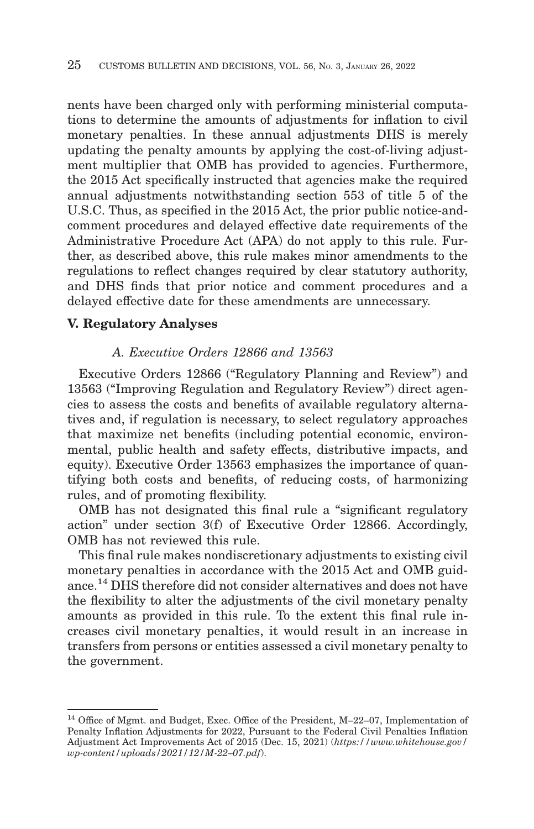nents have been charged only with performing ministerial computations to determine the amounts of adjustments for inflation to civil monetary penalties. In these annual adjustments DHS is merely updating the penalty amounts by applying the cost-of-living adjustment multiplier that OMB has provided to agencies. Furthermore, the 2015 Act specifically instructed that agencies make the required annual adjustments notwithstanding section 553 of title 5 of the U.S.C. Thus, as specified in the 2015 Act, the prior public notice-andcomment procedures and delayed effective date requirements of the Administrative Procedure Act (APA) do not apply to this rule. Further, as described above, this rule makes minor amendments to the regulations to reflect changes required by clear statutory authority, and DHS finds that prior notice and comment procedures and a delayed effective date for these amendments are unnecessary.

# **V. Regulatory Analyses**

# *A. Executive Orders 12866 and 13563*

Executive Orders 12866 (''Regulatory Planning and Review'') and 13563 (''Improving Regulation and Regulatory Review'') direct agencies to assess the costs and benefits of available regulatory alternatives and, if regulation is necessary, to select regulatory approaches that maximize net benefits (including potential economic, environmental, public health and safety effects, distributive impacts, and equity). Executive Order 13563 emphasizes the importance of quantifying both costs and benefits, of reducing costs, of harmonizing rules, and of promoting flexibility.

OMB has not designated this final rule a ''significant regulatory action'' under section 3(f) of Executive Order 12866. Accordingly, OMB has not reviewed this rule.

This final rule makes nondiscretionary adjustments to existing civil monetary penalties in accordance with the 2015 Act and OMB guidance.14 DHS therefore did not consider alternatives and does not have the flexibility to alter the adjustments of the civil monetary penalty amounts as provided in this rule. To the extent this final rule increases civil monetary penalties, it would result in an increase in transfers from persons or entities assessed a civil monetary penalty to the government.

<sup>14</sup> Office of Mgmt. and Budget, Exec. Office of the President, M–22–07, Implementation of Penalty Inflation Adjustments for 2022, Pursuant to the Federal Civil Penalties Inflation Adjustment Act Improvements Act of 2015 (Dec. 15, 2021) (*https://www.whitehouse.gov/ wp-content/uploads/2021/12/M-22–07.pdf*).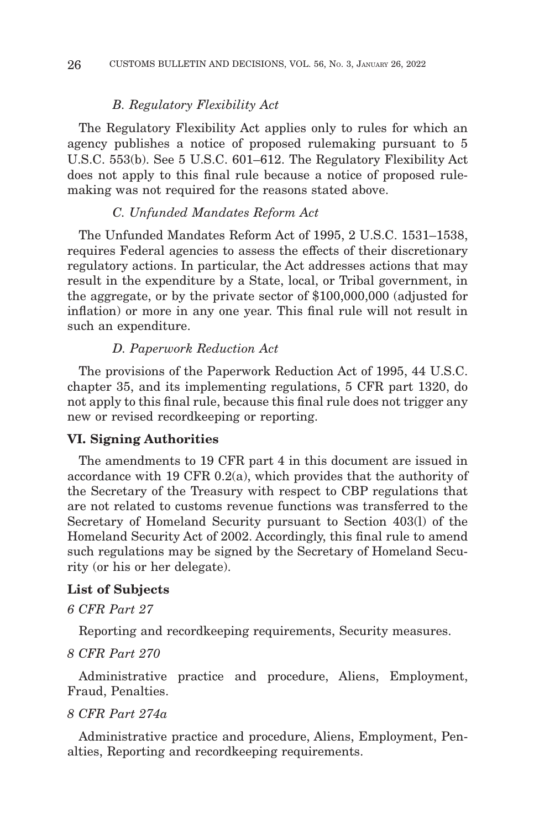#### *B. Regulatory Flexibility Act*

The Regulatory Flexibility Act applies only to rules for which an agency publishes a notice of proposed rulemaking pursuant to 5 U.S.C. 553(b). See 5 U.S.C. 601–612. The Regulatory Flexibility Act does not apply to this final rule because a notice of proposed rulemaking was not required for the reasons stated above.

# *C. Unfunded Mandates Reform Act*

The Unfunded Mandates Reform Act of 1995, 2 U.S.C. 1531–1538, requires Federal agencies to assess the effects of their discretionary regulatory actions. In particular, the Act addresses actions that may result in the expenditure by a State, local, or Tribal government, in the aggregate, or by the private sector of \$100,000,000 (adjusted for inflation) or more in any one year. This final rule will not result in such an expenditure.

#### *D. Paperwork Reduction Act*

The provisions of the Paperwork Reduction Act of 1995, 44 U.S.C. chapter 35, and its implementing regulations, 5 CFR part 1320, do not apply to this final rule, because this final rule does not trigger any new or revised recordkeeping or reporting.

# **VI. Signing Authorities**

The amendments to 19 CFR part 4 in this document are issued in accordance with 19 CFR 0.2(a), which provides that the authority of the Secretary of the Treasury with respect to CBP regulations that are not related to customs revenue functions was transferred to the Secretary of Homeland Security pursuant to Section 403(l) of the Homeland Security Act of 2002. Accordingly, this final rule to amend such regulations may be signed by the Secretary of Homeland Security (or his or her delegate).

#### **List of Subjects**

#### *6 CFR Part 27*

Reporting and recordkeeping requirements, Security measures.

#### *8 CFR Part 270*

Administrative practice and procedure, Aliens, Employment, Fraud, Penalties.

# *8 CFR Part 274a*

Administrative practice and procedure, Aliens, Employment, Penalties, Reporting and recordkeeping requirements.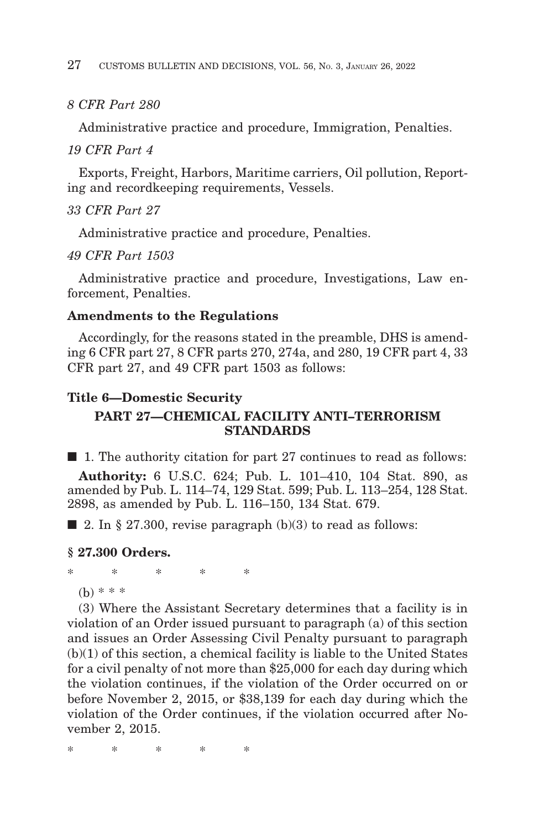# *8 CFR Part 280*

Administrative practice and procedure, Immigration, Penalties.

## *19 CFR Part 4*

Exports, Freight, Harbors, Maritime carriers, Oil pollution, Reporting and recordkeeping requirements, Vessels.

# *33 CFR Part 27*

Administrative practice and procedure, Penalties.

# *49 CFR Part 1503*

Administrative practice and procedure, Investigations, Law enforcement, Penalties.

## **Amendments to the Regulations**

Accordingly, for the reasons stated in the preamble, DHS is amending 6 CFR part 27, 8 CFR parts 270, 274a, and 280, 19 CFR part 4, 33 CFR part 27, and 49 CFR part 1503 as follows:

# **Title 6—Domestic Security**

# **PART 27—CHEMICAL FACILITY ANTI–TERRORISM STANDARDS**

 $\blacksquare$  1. The authority citation for part 27 continues to read as follows:

**Authority:** 6 U.S.C. 624; Pub. L. 101–410, 104 Stat. 890, as amended by Pub. L. 114–74, 129 Stat. 599; Pub. L. 113–254, 128 Stat. 2898, as amended by Pub. L. 116–150, 134 Stat. 679.

 $\blacksquare$  2. In § 27.300, revise paragraph (b)(3) to read as follows:

#### **§ 27.300 Orders.**

\*\*\*\* \*

(b) \* \* \*

(3) Where the Assistant Secretary determines that a facility is in violation of an Order issued pursuant to paragraph (a) of this section and issues an Order Assessing Civil Penalty pursuant to paragraph (b)(1) of this section, a chemical facility is liable to the United States for a civil penalty of not more than \$25,000 for each day during which the violation continues, if the violation of the Order occurred on or before November 2, 2015, or \$38,139 for each day during which the violation of the Order continues, if the violation occurred after November 2, 2015.

\*\*\*\* \*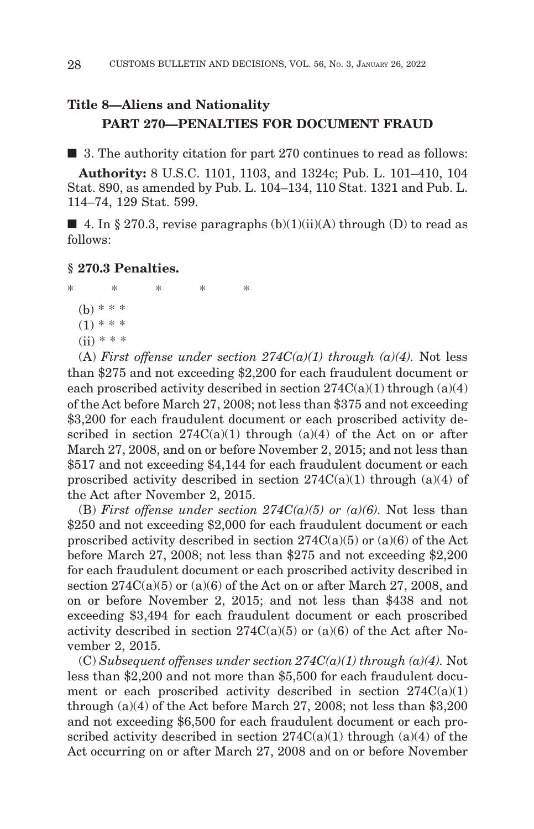# **Title 8—Aliens and Nationality PART 270—PENALTIES FOR DOCUMENT FRAUD**

■ 3. The authority citation for part 270 continues to read as follows:

**Authority:** 8 U.S.C. 1101, 1103, and 1324c; Pub. L. 101–410, 104 Stat. 890, as amended by Pub. L. 104–134, 110 Stat. 1321 and Pub. L. 114–74, 129 Stat. 599.

 $\blacksquare$  4. In § 270.3, revise paragraphs (b)(1)(ii)(A) through (D) to read as follows:

## **§ 270.3 Penalties.**

\*\*\*\* \* (b) \* \* \*  $(1)$  \* \* \*  $(ii) * * * *$ 

(A) *First offense under section*  $274C(a)(1)$  *through (a)(4)*. Not less than \$275 and not exceeding \$2,200 for each fraudulent document or each proscribed activity described in section  $274C(a)(1)$  through  $(a)(4)$ of the Act before March 27, 2008; not less than \$375 and not exceeding \$3,200 for each fraudulent document or each proscribed activity described in section  $274C(a)(1)$  through  $(a)(4)$  of the Act on or after March 27, 2008, and on or before November 2, 2015; and not less than \$517 and not exceeding \$4,144 for each fraudulent document or each proscribed activity described in section  $274C(a)(1)$  through  $(a)(4)$  of the Act after November 2, 2015.

(B) *First offense under section 274C(a)(5) or (a)(6)*. Not less than \$250 and not exceeding \$2,000 for each fraudulent document or each proscribed activity described in section  $274C(a)(5)$  or  $(a)(6)$  of the Act before March 27, 2008; not less than \$275 and not exceeding \$2,200 for each fraudulent document or each proscribed activity described in section 274C(a)(5) or (a)(6) of the Act on or after March 27, 2008, and on or before November 2, 2015; and not less than \$438 and not exceeding \$3,494 for each fraudulent document or each proscribed activity described in section  $274C(a)(5)$  or  $(a)(6)$  of the Act after November 2, 2015.

 $(C) Subsequent$  offenses under section  $274C(a)(1)$  through  $(a)(4)$ . Not less than \$2,200 and not more than \$5,500 for each fraudulent document or each proscribed activity described in section  $274C(a)(1)$ through (a)(4) of the Act before March 27, 2008; not less than \$3,200 and not exceeding \$6,500 for each fraudulent document or each proscribed activity described in section  $274C(a)(1)$  through  $(a)(4)$  of the Act occurring on or after March 27, 2008 and on or before November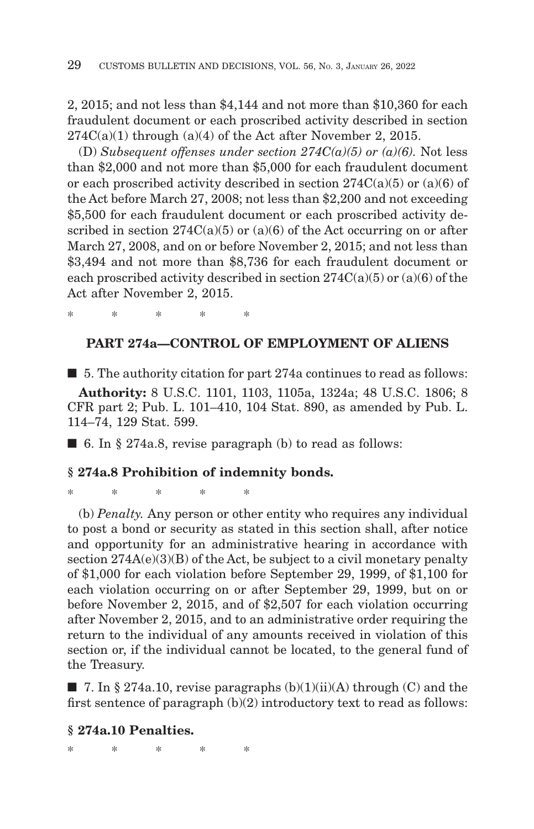2, 2015; and not less than \$4,144 and not more than \$10,360 for each fraudulent document or each proscribed activity described in section  $274C(a)(1)$  through  $(a)(4)$  of the Act after November 2, 2015.

(D) Subsequent offenses under section  $274C(a)(5)$  or (a)(6). Not less than \$2,000 and not more than \$5,000 for each fraudulent document or each proscribed activity described in section  $274C(a)(5)$  or  $(a)(6)$  of the Act before March 27, 2008; not less than \$2,200 and not exceeding \$5,500 for each fraudulent document or each proscribed activity described in section  $274C(a)(5)$  or  $(a)(6)$  of the Act occurring on or after March 27, 2008, and on or before November 2, 2015; and not less than \$3,494 and not more than \$8,736 for each fraudulent document or each proscribed activity described in section  $274C(a)(5)$  or  $(a)(6)$  of the Act after November 2, 2015.

## **PART 274a—CONTROL OF EMPLOYMENT OF ALIENS**

■ 5. The authority citation for part 274a continues to read as follows: **Authority:** 8 U.S.C. 1101, 1103, 1105a, 1324a; 48 U.S.C. 1806; 8 CFR part 2; Pub. L. 101–410, 104 Stat. 890, as amended by Pub. L. 114–74, 129 Stat. 599.

 $\blacksquare$  6. In § 274a.8, revise paragraph (b) to read as follows:

#### **§ 274a.8 Prohibition of indemnity bonds.**

\*\*\*\* \*

\*\*\*\* \*

(b) *Penalty.* Any person or other entity who requires any individual to post a bond or security as stated in this section shall, after notice and opportunity for an administrative hearing in accordance with section  $274A(e)(3)(B)$  of the Act, be subject to a civil monetary penalty of \$1,000 for each violation before September 29, 1999, of \$1,100 for each violation occurring on or after September 29, 1999, but on or before November 2, 2015, and of \$2,507 for each violation occurring after November 2, 2015, and to an administrative order requiring the return to the individual of any amounts received in violation of this section or, if the individual cannot be located, to the general fund of the Treasury.

 $\blacksquare$  7. In § 274a.10, revise paragraphs (b)(1)(ii)(A) through (C) and the first sentence of paragraph  $(b)(2)$  introductory text to read as follows:

#### **§ 274a.10 Penalties.**

\*\*\*\* \*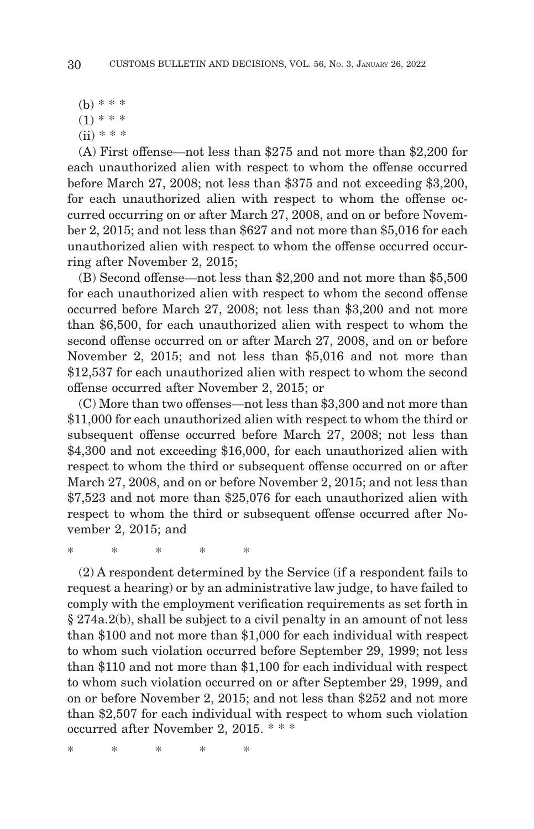(b) \* \* \*

 $(1)$  \* \* \*

 $(ii) * * * *$ 

(A) First offense—not less than \$275 and not more than \$2,200 for each unauthorized alien with respect to whom the offense occurred before March 27, 2008; not less than \$375 and not exceeding \$3,200, for each unauthorized alien with respect to whom the offense occurred occurring on or after March 27, 2008, and on or before November 2, 2015; and not less than \$627 and not more than \$5,016 for each unauthorized alien with respect to whom the offense occurred occurring after November 2, 2015;

(B) Second offense—not less than \$2,200 and not more than \$5,500 for each unauthorized alien with respect to whom the second offense occurred before March 27, 2008; not less than \$3,200 and not more than \$6,500, for each unauthorized alien with respect to whom the second offense occurred on or after March 27, 2008, and on or before November 2, 2015; and not less than \$5,016 and not more than \$12,537 for each unauthorized alien with respect to whom the second offense occurred after November 2, 2015; or

(C) More than two offenses—not less than \$3,300 and not more than \$11,000 for each unauthorized alien with respect to whom the third or subsequent offense occurred before March 27, 2008; not less than \$4,300 and not exceeding \$16,000, for each unauthorized alien with respect to whom the third or subsequent offense occurred on or after March 27, 2008, and on or before November 2, 2015; and not less than \$7,523 and not more than \$25,076 for each unauthorized alien with respect to whom the third or subsequent offense occurred after November 2, 2015; and

\*\*\*\* \*

(2) A respondent determined by the Service (if a respondent fails to request a hearing) or by an administrative law judge, to have failed to comply with the employment verification requirements as set forth in § 274a.2(b), shall be subject to a civil penalty in an amount of not less than \$100 and not more than \$1,000 for each individual with respect to whom such violation occurred before September 29, 1999; not less than \$110 and not more than \$1,100 for each individual with respect to whom such violation occurred on or after September 29, 1999, and on or before November 2, 2015; and not less than \$252 and not more than \$2,507 for each individual with respect to whom such violation occurred after November 2, 2015. \* \* \*

\*\*\*\* \*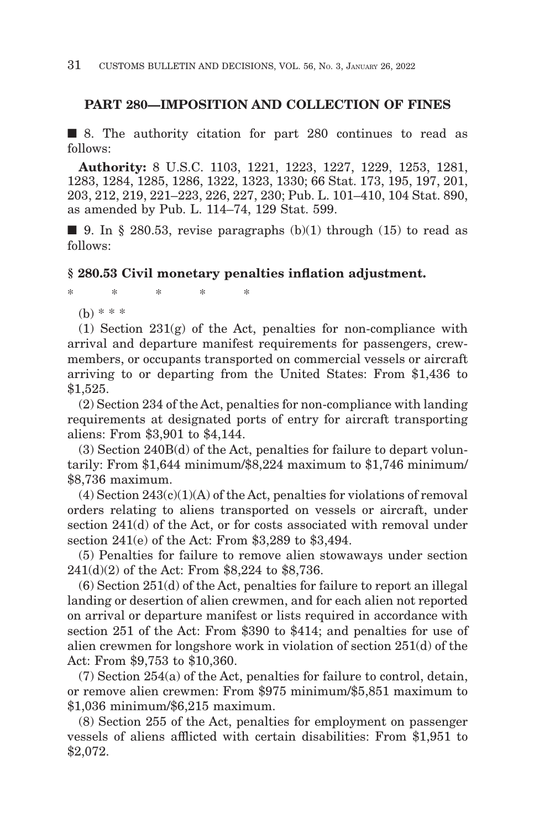#### **PART 280—IMPOSITION AND COLLECTION OF FINES**

■ 8. The authority citation for part 280 continues to read as follows:

**Authority:** 8 U.S.C. 1103, 1221, 1223, 1227, 1229, 1253, 1281, 1283, 1284, 1285, 1286, 1322, 1323, 1330; 66 Stat. 173, 195, 197, 201, 203, 212, 219, 221–223, 226, 227, 230; Pub. L. 101–410, 104 Stat. 890, as amended by Pub. L. 114–74, 129 Stat. 599.

 $\blacksquare$  9. In § 280.53, revise paragraphs (b)(1) through (15) to read as follows:

#### **§ 280.53 Civil monetary penalties inflation adjustment.**

\*\*\*\* \*

(b) \* \* \*

(1) Section 231(g) of the Act, penalties for non-compliance with arrival and departure manifest requirements for passengers, crewmembers, or occupants transported on commercial vessels or aircraft arriving to or departing from the United States: From \$1,436 to \$1,525.

(2) Section 234 of the Act, penalties for non-compliance with landing requirements at designated ports of entry for aircraft transporting aliens: From \$3,901 to \$4,144.

(3) Section 240B(d) of the Act, penalties for failure to depart voluntarily: From \$1,644 minimum/\$8,224 maximum to \$1,746 minimum/ \$8,736 maximum.

 $(4)$  Section  $243(c)(1)(A)$  of the Act, penalties for violations of removal orders relating to aliens transported on vessels or aircraft, under section 241(d) of the Act, or for costs associated with removal under section 241(e) of the Act: From \$3,289 to \$3,494.

(5) Penalties for failure to remove alien stowaways under section 241(d)(2) of the Act: From \$8,224 to \$8,736.

(6) Section 251(d) of the Act, penalties for failure to report an illegal landing or desertion of alien crewmen, and for each alien not reported on arrival or departure manifest or lists required in accordance with section 251 of the Act: From \$390 to \$414; and penalties for use of alien crewmen for longshore work in violation of section 251(d) of the Act: From \$9,753 to \$10,360.

(7) Section 254(a) of the Act, penalties for failure to control, detain, or remove alien crewmen: From \$975 minimum/\$5,851 maximum to \$1,036 minimum/\$6,215 maximum.

(8) Section 255 of the Act, penalties for employment on passenger vessels of aliens afflicted with certain disabilities: From \$1,951 to \$2,072.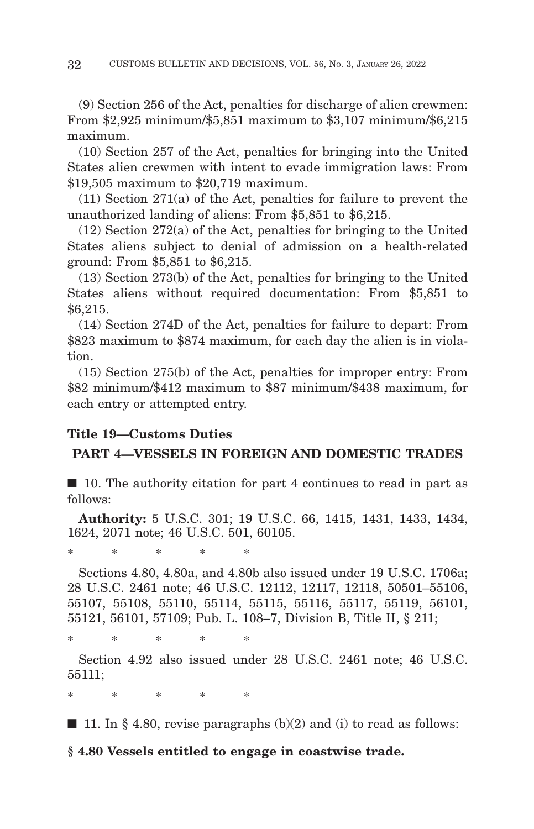(9) Section 256 of the Act, penalties for discharge of alien crewmen: From \$2,925 minimum/\$5,851 maximum to \$3,107 minimum/\$6,215 maximum.

(10) Section 257 of the Act, penalties for bringing into the United States alien crewmen with intent to evade immigration laws: From \$19,505 maximum to \$20,719 maximum.

(11) Section 271(a) of the Act, penalties for failure to prevent the unauthorized landing of aliens: From \$5,851 to \$6,215.

(12) Section 272(a) of the Act, penalties for bringing to the United States aliens subject to denial of admission on a health-related ground: From \$5,851 to \$6,215.

(13) Section 273(b) of the Act, penalties for bringing to the United States aliens without required documentation: From \$5,851 to \$6,215.

(14) Section 274D of the Act, penalties for failure to depart: From \$823 maximum to \$874 maximum, for each day the alien is in violation.

(15) Section 275(b) of the Act, penalties for improper entry: From \$82 minimum/\$412 maximum to \$87 minimum/\$438 maximum, for each entry or attempted entry.

# **Title 19—Customs Duties**

# **PART 4—VESSELS IN FOREIGN AND DOMESTIC TRADES**

■ 10. The authority citation for part 4 continues to read in part as follows:

**Authority:** 5 U.S.C. 301; 19 U.S.C. 66, 1415, 1431, 1433, 1434, 1624, 2071 note; 46 U.S.C. 501, 60105.

\*\*\*\* \*

Sections 4.80, 4.80a, and 4.80b also issued under 19 U.S.C. 1706a; 28 U.S.C. 2461 note; 46 U.S.C. 12112, 12117, 12118, 50501–55106, 55107, 55108, 55110, 55114, 55115, 55116, 55117, 55119, 56101, 55121, 56101, 57109; Pub. L. 108–7, Division B, Title II, § 211;

\*\*\*\* \*

Section 4.92 also issued under 28 U.S.C. 2461 note; 46 U.S.C. 55111;

\*\*\*\* \*

 $\blacksquare$  11. In § 4.80, revise paragraphs (b)(2) and (i) to read as follows:

# **§ 4.80 Vessels entitled to engage in coastwise trade.**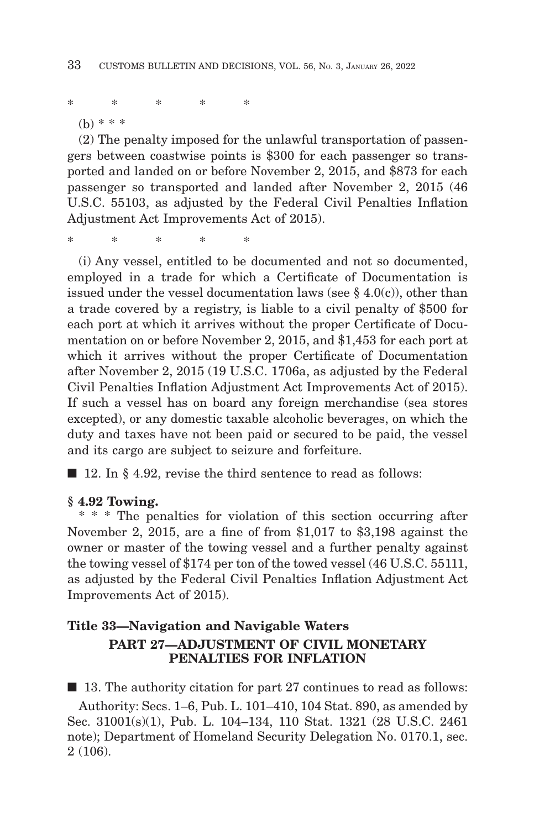\*\*\*\* \*

(b) \* \* \*

(2) The penalty imposed for the unlawful transportation of passengers between coastwise points is \$300 for each passenger so transported and landed on or before November 2, 2015, and \$873 for each passenger so transported and landed after November 2, 2015 (46 U.S.C. 55103, as adjusted by the Federal Civil Penalties Inflation Adjustment Act Improvements Act of 2015).

\*\*\*\* \*

(i) Any vessel, entitled to be documented and not so documented, employed in a trade for which a Certificate of Documentation is issued under the vessel documentation laws (see  $\S$  4.0(c)), other than a trade covered by a registry, is liable to a civil penalty of \$500 for each port at which it arrives without the proper Certificate of Documentation on or before November 2, 2015, and \$1,453 for each port at which it arrives without the proper Certificate of Documentation after November 2, 2015 (19 U.S.C. 1706a, as adjusted by the Federal Civil Penalties Inflation Adjustment Act Improvements Act of 2015). If such a vessel has on board any foreign merchandise (sea stores excepted), or any domestic taxable alcoholic beverages, on which the duty and taxes have not been paid or secured to be paid, the vessel and its cargo are subject to seizure and forfeiture.

■ 12. In § 4.92, revise the third sentence to read as follows:

#### **§ 4.92 Towing.**

\* \* \* The penalties for violation of this section occurring after November 2, 2015, are a fine of from \$1,017 to \$3,198 against the owner or master of the towing vessel and a further penalty against the towing vessel of \$174 per ton of the towed vessel (46 U.S.C. 55111, as adjusted by the Federal Civil Penalties Inflation Adjustment Act Improvements Act of 2015).

# **Title 33—Navigation and Navigable Waters PART 27—ADJUSTMENT OF CIVIL MONETARY PENALTIES FOR INFLATION**

■ 13. The authority citation for part 27 continues to read as follows:

Authority: Secs. 1–6, Pub. L. 101–410, 104 Stat. 890, as amended by Sec. 31001(s)(1), Pub. L. 104–134, 110 Stat. 1321 (28 U.S.C. 2461 note); Department of Homeland Security Delegation No. 0170.1, sec. 2 (106).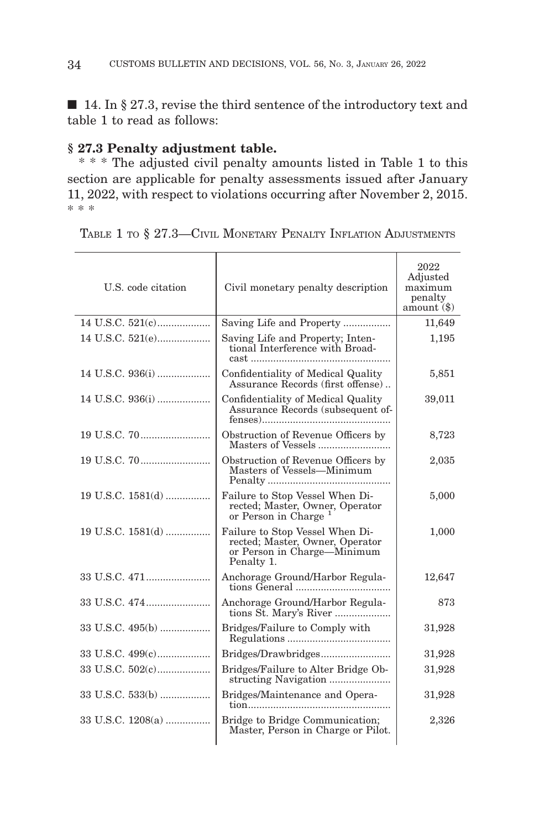■ 14. In § 27.3, revise the third sentence of the introductory text and table 1 to read as follows:

## **§ 27.3 Penalty adjustment table.**

\* \* \* The adjusted civil penalty amounts listed in Table 1 to this section are applicable for penalty assessments issued after January 11, 2022, with respect to violations occurring after November 2, 2015. \* \* \*

| U.S. code citation | Civil monetary penalty description                                                                              | 2022<br>Adjusted<br>maximum<br>penalty<br>amount $(\$)$ |
|--------------------|-----------------------------------------------------------------------------------------------------------------|---------------------------------------------------------|
|                    | Saving Life and Property                                                                                        | 11,649                                                  |
|                    | Saving Life and Property; Inten-<br>tional Interference with Broad-<br>cast                                     | 1,195                                                   |
|                    | Confidentiality of Medical Quality<br>Assurance Records (first offense)                                         | 5,851                                                   |
|                    | Confidentiality of Medical Quality<br>Assurance Records (subsequent of-                                         | 39,011                                                  |
|                    | Obstruction of Revenue Officers by<br>Masters of Vessels                                                        | 8,723                                                   |
|                    | Obstruction of Revenue Officers by<br>Masters of Vessels-Minimum                                                | 2,035                                                   |
| 19 U.S.C. 1581(d)  | Failure to Stop Vessel When Di-<br>rected; Master, Owner, Operator<br>or Person in Charge <sup>1</sup>          | 5,000                                                   |
| 19 U.S.C. 1581(d)  | Failure to Stop Vessel When Di-<br>rected; Master, Owner, Operator<br>or Person in Charge—Minimum<br>Penalty 1. | 1,000                                                   |
| 33 U.S.C. 471      | Anchorage Ground/Harbor Regula-<br>tions General                                                                | 12,647                                                  |
|                    | Anchorage Ground/Harbor Regula-<br>tions St. Mary's River                                                       | 873                                                     |
|                    | Bridges/Failure to Comply with                                                                                  | 31,928                                                  |
|                    | Bridges/Drawbridges                                                                                             | 31,928                                                  |
|                    | Bridges/Failure to Alter Bridge Ob-                                                                             | 31,928                                                  |
|                    | Bridges/Maintenance and Opera-<br>tion                                                                          | 31,928                                                  |
| 33 U.S.C. 1208(a)  | Bridge to Bridge Communication;<br>Master, Person in Charge or Pilot.                                           | 2,326                                                   |
|                    |                                                                                                                 |                                                         |

TABLE 1 TO § 27.3—CIVIL MONETARY PENALTY INFLATION ADJUSTMENTS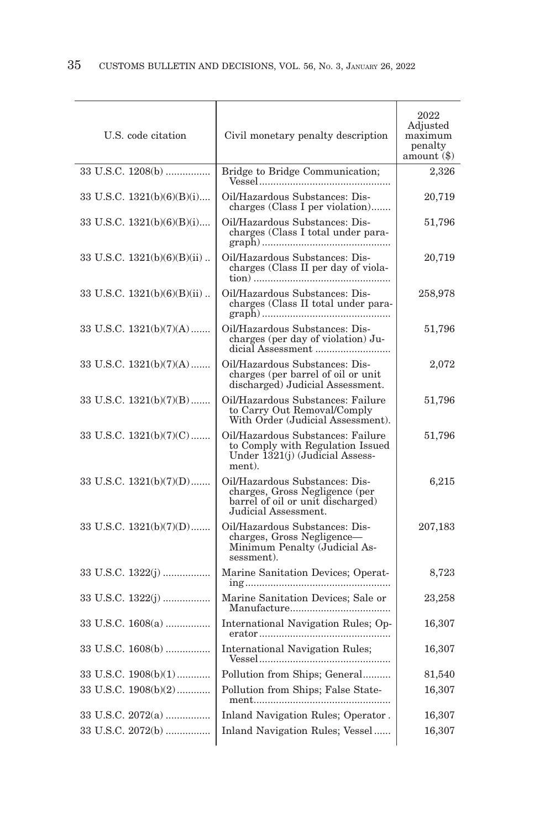| U.S. code citation            | Civil monetary penalty description                                                                                            | 2022<br>Adjusted<br>maximum<br>penalty<br>$amount(8)$ |
|-------------------------------|-------------------------------------------------------------------------------------------------------------------------------|-------------------------------------------------------|
| 33 U.S.C. 1208(b)             | Bridge to Bridge Communication;                                                                                               | 2,326                                                 |
| 33 U.S.C. $1321(b)(6)(B)(i)$  | Oil/Hazardous Substances: Dis-<br>charges (Class I per violation)                                                             | 20,719                                                |
| 33 U.S.C. $1321(b)(6)(B)(i)$  | Oil/Hazardous Substances: Dis-<br>charges (Class I total under para-                                                          | 51,796                                                |
| 33 U.S.C. $1321(b)(6)(B)(ii)$ | Oil/Hazardous Substances: Dis-<br>charges (Class II per day of viola-                                                         | 20,719                                                |
| 33 U.S.C. $1321(b)(6)(B)(ii)$ | Oil/Hazardous Substances: Dis-<br>charges (Class II total under para-                                                         | 258,978                                               |
| 33 U.S.C. $1321(b)(7)(A)$     | Oil/Hazardous Substances: Dis-<br>charges (per day of violation) Ju-                                                          | 51,796                                                |
| 33 U.S.C. $1321(b)(7)(A)$     | Oil/Hazardous Substances: Dis-<br>charges (per barrel of oil or unit<br>discharged) Judicial Assessment.                      | 2,072                                                 |
| 33 U.S.C. $1321(b)(7)(B)$     | Oil/Hazardous Substances: Failure<br>to Carry Out Removal/Comply<br>With Order (Judicial Assessment).                         | 51,796                                                |
| 33 U.S.C. $1321(b)(7)(C)$     | Oil/Hazardous Substances: Failure<br>to Comply with Regulation Issued<br>Under 1321(j) (Judicial Assess-<br>ment).            | 51,796                                                |
| 33 U.S.C. $1321(b)(7)(D)$     | Oil/Hazardous Substances: Dis-<br>charges, Gross Negligence (per<br>barrel of oil or unit discharged)<br>Judicial Assessment. | 6,215                                                 |
| 33 U.S.C. 1321(b)(7)(D)       | Oil/Hazardous Substances: Dis-<br>charges, Gross Negligence-<br>Minimum Penalty (Judicial As-<br>sessment).                   | 207,183                                               |
|                               | Marine Sanitation Devices; Operat-                                                                                            | 8,723                                                 |
|                               | Marine Sanitation Devices; Sale or                                                                                            | 23,258                                                |
| 33 U.S.C. 1608(a)             | International Navigation Rules; Op-                                                                                           | 16,307                                                |
| 33 U.S.C. 1608(b)             | <b>International Navigation Rules;</b>                                                                                        | 16,307                                                |
| 33 U.S.C. 1908(b)(1)          | Pollution from Ships; General                                                                                                 | 81,540                                                |
| 33 U.S.C. 1908(b)(2)          | Pollution from Ships; False State-                                                                                            | 16,307                                                |
| 33 U.S.C. 2072(a)             | Inland Navigation Rules; Operator.                                                                                            | 16,307                                                |
| 33 U.S.C. 2072(b)             | Inland Navigation Rules; Vessel                                                                                               | 16,307                                                |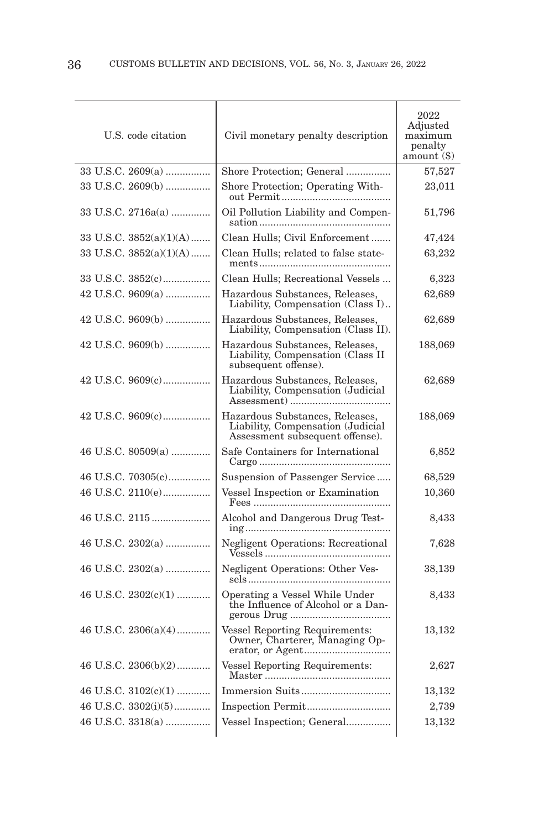| U.S. code citation        | Civil monetary penalty description                                                                      | 2022<br>Adjusted<br>maximum<br>penalty<br>amount (\$) |
|---------------------------|---------------------------------------------------------------------------------------------------------|-------------------------------------------------------|
| 33 U.S.C. $2609(a)$       | Shore Protection; General                                                                               | 57,527                                                |
| 33 U.S.C. 2609(b)         | Shore Protection; Operating With-                                                                       | 23,011                                                |
| 33 U.S.C. $2716a(a)$      | Oil Pollution Liability and Compen-                                                                     | 51,796                                                |
| 33 U.S.C. 3852(a)(1)(A)   | Clean Hulls; Civil Enforcement                                                                          | 47,424                                                |
| 33 U.S.C. $3852(a)(1)(A)$ | Clean Hulls; related to false state-                                                                    | 63,232                                                |
| 33 U.S.C. 3852(c)         | Clean Hulls; Recreational Vessels                                                                       | 6,323                                                 |
| 42 U.S.C. 9609(a)         | Hazardous Substances, Releases,<br>Liability, Compensation (Class I)                                    | 62,689                                                |
| 42 U.S.C. 9609(b)         | Hazardous Substances, Releases,<br>Liability, Compensation (Class II).                                  | 62,689                                                |
| 42 U.S.C. 9609(b)         | Hazardous Substances, Releases,<br>Liability, Compensation (Class II<br>subsequent offense).            | 188,069                                               |
| 42 U.S.C. 9609(c)         | Hazardous Substances, Releases,<br>Liability, Compensation (Judicial                                    | 62,689                                                |
|                           | Hazardous Substances, Releases,<br>Liability, Compensation (Judicial<br>Assessment subsequent offense). | 188,069                                               |
| 46 U.S.C. $80509(a)$      | Safe Containers for International                                                                       | 6,852                                                 |
| 46 U.S.C. 70305(c)        | Suspension of Passenger Service                                                                         | 68,529                                                |
| 46 U.S.C. 2110(e)         | Vessel Inspection or Examination                                                                        | $10{,}360$                                            |
|                           | Alcohol and Dangerous Drug Test-                                                                        | 8,433                                                 |
| 46 U.S.C. 2302(a)         | Negligent Operations: Recreational                                                                      | 7,628                                                 |
| 46 U.S.C. $2302(a)$       | Negligent Operations: Other Ves-                                                                        | 38,139                                                |
| 46 U.S.C. $2302(c)(1)$    | Operating a Vessel While Under<br>the Influence of Alcohol or a Dan-                                    | 8,433                                                 |
| 46 U.S.C. 2306(a)(4)      | Vessel Reporting Requirements:<br>Owner, Charterer, Managing Op-                                        | 13,132                                                |
| 46 U.S.C. 2306(b)(2)      | Vessel Reporting Requirements:                                                                          | 2,627                                                 |
| 46 U.S.C. $3102(c)(1)$    |                                                                                                         | 13,132                                                |
| 46 U.S.C. 3302(i)(5)      |                                                                                                         | 2,739                                                 |
| 46 U.S.C. 3318(a)         | Vessel Inspection; General                                                                              | 13,132                                                |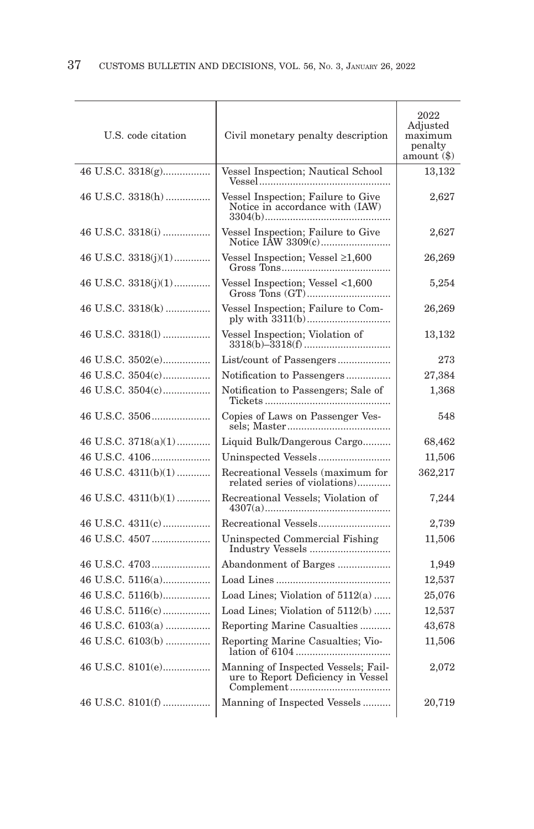| U.S. code citation     | Civil monetary penalty description                                        | 2022<br>Adjusted<br>maximum<br>penalty<br>amount (\$) |
|------------------------|---------------------------------------------------------------------------|-------------------------------------------------------|
| 46 U.S.C. 3318(g)      | Vessel Inspection; Nautical School                                        | 13,132                                                |
| 46 U.S.C. 3318(h)      | Vessel Inspection; Failure to Give<br>Notice in accordance with (IAW)     | 2,627                                                 |
|                        | Vessel Inspection; Failure to Give                                        | 2,627                                                 |
| 46 U.S.C. $3318(j)(1)$ | Vessel Inspection; Vessel $\geq 1,600$                                    | 26,269                                                |
| 46 U.S.C. $3318(j)(1)$ | Vessel Inspection; Vessel <1,600                                          | 5,254                                                 |
| 46 U.S.C. 3318(k)      | Vessel Inspection; Failure to Com-                                        | 26,269                                                |
| 46 U.S.C. 3318(1)      | Vessel Inspection; Violation of                                           | 13,132                                                |
|                        |                                                                           | 273                                                   |
| 46 U.S.C. 3504(c)      | Notification to Passengers                                                | 27,384                                                |
| 46 U.S.C. 3504(c)      | Notification to Passengers; Sale of                                       | 1,368                                                 |
|                        | Copies of Laws on Passenger Ves-                                          | 548                                                   |
| 46 U.S.C. 3718(a)(1)   | Liquid Bulk/Dangerous Cargo                                               | 68,462                                                |
|                        | Uninspected Vessels                                                       | 11,506                                                |
| 46 U.S.C. $4311(b)(1)$ | Recreational Vessels (maximum for<br>related series of violations)        | 362,217                                               |
| 46 U.S.C. $4311(b)(1)$ | Recreational Vessels; Violation of                                        | 7,244                                                 |
|                        |                                                                           | 2,739                                                 |
|                        | Uninspected Commercial Fishing                                            | 11,506                                                |
|                        | Abandonment of Barges                                                     | 1,949                                                 |
|                        |                                                                           | 12,537                                                |
|                        | Load Lines; Violation of $5112(a)$                                        | 25,076                                                |
|                        | Load Lines; Violation of $5112(b)$                                        | 12,537                                                |
| 46 U.S.C. 6103(a)      | Reporting Marine Casualties                                               | 43,678                                                |
| 46 U.S.C. 6103(b)      | Reporting Marine Casualties; Vio-                                         | 11,506                                                |
| 46 U.S.C. 8101(e)      | Manning of Inspected Vessels; Fail-<br>ure to Report Deficiency in Vessel | 2,072                                                 |
| 46 U.S.C. 8101(f)      | Manning of Inspected Vessels                                              | 20,719                                                |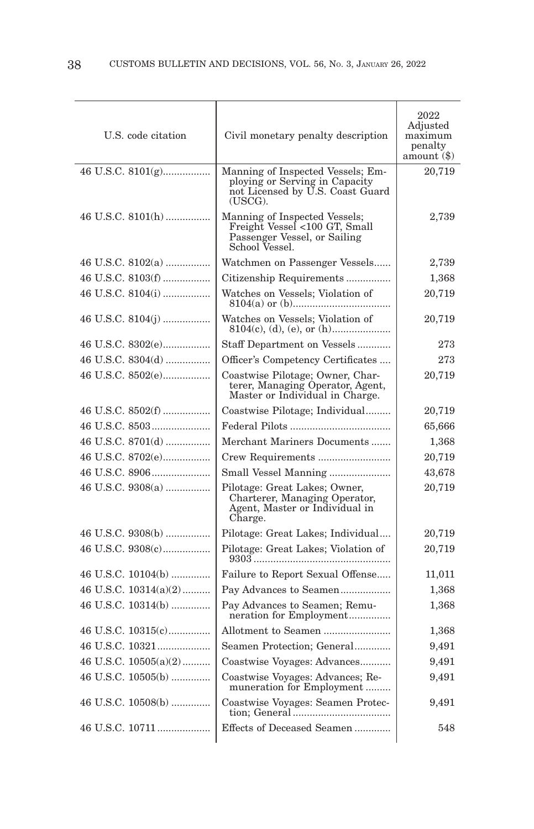| U.S. code citation      | Civil monetary penalty description                                                                                 | 2022<br>Adjusted<br>maximum<br>penalty<br>amount(3) |
|-------------------------|--------------------------------------------------------------------------------------------------------------------|-----------------------------------------------------|
| 46 U.S.C. 8101(g)       | Manning of Inspected Vessels; Em-<br>ploying or Serving in Capacity<br>not Licensed by U.S. Coast Guard<br>(USCG). | 20,719                                              |
| 46 U.S.C. 8101(h)       | Manning of Inspected Vessels;<br>Freight Vessel <100 GT, Small<br>Passenger Vessel, or Sailing<br>School Vessel.   | 2,739                                               |
| 46 U.S.C. $8102(a)$     | Watchmen on Passenger Vessels                                                                                      | 2,739                                               |
| 46 U.S.C. 8103(f)       | Citizenship Requirements                                                                                           | 1,368                                               |
| 46 U.S.C. 8104(i)       | Watches on Vessels; Violation of                                                                                   | 20,719                                              |
|                         | Watches on Vessels; Violation of                                                                                   | 20,719                                              |
| 46 U.S.C. 8302(e)       | Staff Department on Vessels                                                                                        | 273                                                 |
| 46 U.S.C. 8304(d)       | Officer's Competency Certificates                                                                                  | 273                                                 |
| 46 U.S.C. 8502(e)       | Coastwise Pilotage; Owner, Char-<br>terer, Managing Óperator, Agent,<br>Master or Individual in Charge.            | 20,719                                              |
|                         | Coastwise Pilotage; Individual                                                                                     | 20,719                                              |
|                         |                                                                                                                    | 65,666                                              |
| 46 U.S.C. 8701(d)       | Merchant Mariners Documents                                                                                        | 1,368                                               |
| 46 U.S.C. 8702(e)       |                                                                                                                    | 20,719                                              |
|                         | Small Vessel Manning                                                                                               | 43,678                                              |
| 46 U.S.C. 9308(a)       | Pilotage: Great Lakes; Owner,<br>Charterer, Managing Operator,<br>Agent, Master or Individual in<br>Charge.        | 20,719                                              |
| 46 U.S.C. 9308(b)       | Pilotage: Great Lakes; Individual                                                                                  | 20,719                                              |
| 46 U.S.C. 9308(c)       | Pilotage: Great Lakes; Violation of                                                                                | 20,719                                              |
| 46 U.S.C. 10104(b)      | Failure to Report Sexual Offense                                                                                   | 11,011                                              |
| 46 U.S.C. $10314(a)(2)$ | Pay Advances to Seamen                                                                                             | 1,368                                               |
| 46 U.S.C. 10314(b)      | Pay Advances to Seamen; Remu-<br>neration for Employment                                                           | 1,368                                               |
| 46 U.S.C. 10315(c)      | Allotment to Seamen                                                                                                | 1,368                                               |
|                         | Seamen Protection; General                                                                                         | 9,491                                               |
| 46 U.S.C. 10505(a)(2)   | Coastwise Voyages: Advances                                                                                        | 9,491                                               |
| 46 U.S.C. $10505(b)$    | Coastwise Voyages: Advances; Re-<br>muneration for Employment                                                      | 9,491                                               |
| 46 U.S.C. 10508(b)      | Coastwise Voyages: Seamen Protection; General                                                                      | 9,491                                               |
|                         | Effects of Deceased Seamen                                                                                         | 548                                                 |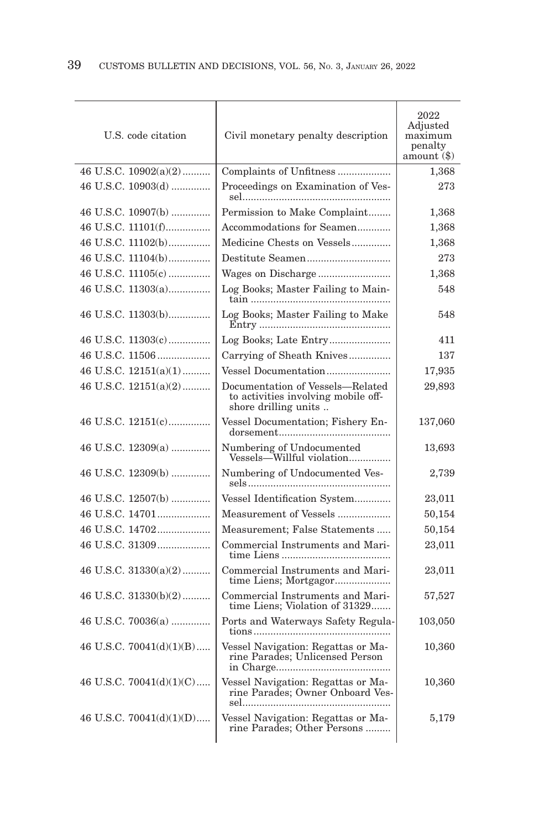| U.S. code citation         | Civil monetary penalty description                                                              | 2022<br>Adjusted<br>maximum<br>penalty<br>amount (\$) |
|----------------------------|-------------------------------------------------------------------------------------------------|-------------------------------------------------------|
| 46 U.S.C. $10902(a)(2)$    | Complaints of Unfitness                                                                         | 1,368                                                 |
| 46 U.S.C. 10903(d)         | Proceedings on Examination of Ves-                                                              | 273                                                   |
| 46 U.S.C. 10907(b)         | Permission to Make Complaint                                                                    | 1,368                                                 |
| 46 U.S.C. 11101(f)         | Accommodations for Seamen                                                                       | 1,368                                                 |
| 46 U.S.C. 11102(b)         | Medicine Chests on Vessels                                                                      | 1,368                                                 |
| 46 U.S.C. 11104(b)         |                                                                                                 | 273                                                   |
| 46 U.S.C. 11105(c)         |                                                                                                 | 1,368                                                 |
| 46 U.S.C. 11303(a)         | Log Books; Master Failing to Main-                                                              | 548                                                   |
| 46 U.S.C. 11303(b)         | Log Books; Master Failing to Make                                                               | 548                                                   |
| 46 U.S.C. 11303(c)         |                                                                                                 | 411                                                   |
|                            | Carrying of Sheath Knives                                                                       | 137                                                   |
| 46 U.S.C. $12151(a)(1)$    | Vessel Documentation                                                                            | 17,935                                                |
| 46 U.S.C. 12151(a)(2)      | Documentation of Vessels-Related<br>to activities involving mobile off-<br>shore drilling units | 29,893                                                |
| 46 U.S.C. 12151(c)         | Vessel Documentation; Fishery En-                                                               | 137,060                                               |
| 46 U.S.C. 12309(a)         | Numbering of Undocumented<br>Vessels—Willful violation                                          | 13,693                                                |
| 46 U.S.C. 12309(b)         | Numbering of Undocumented Ves-                                                                  | 2,739                                                 |
| 46 U.S.C. 12507(b)         | Vessel Identification System                                                                    | 23,011                                                |
| 46 U.S.C. 14701            | Measurement of Vessels                                                                          | 50,154                                                |
| 46 U.S.C. 14702            | Measurement; False Statements                                                                   | 50,154                                                |
| 46 U.S.C. 31309            | Commercial Instruments and Mari-                                                                | 23,011                                                |
| 46 U.S.C. $31330(a)(2)$    | Commercial Instruments and Mari-<br>time Liens; Mortgagor                                       | 23,011                                                |
| 46 U.S.C. $31330(b)(2)$    | Commercial Instruments and Mari-<br>time Liens; Violation of 31329                              | 57,527                                                |
| 46 U.S.C. 70036(a)         | Ports and Waterways Safety Regula-                                                              | 103,050                                               |
| 46 U.S.C. $70041(d)(1)(B)$ | Vessel Navigation: Regattas or Ma-<br>rine Parades; Unlicensed Person                           | 10,360                                                |
| 46 U.S.C. $70041(d)(1)(C)$ | Vessel Navigation: Regattas or Ma-<br>rine Parades; Owner Onboard Ves-                          | 10,360                                                |
| 46 U.S.C. $70041(d)(1)(D)$ | Vessel Navigation: Regattas or Ma-<br>rine Parades; Other Persons                               | 5,179                                                 |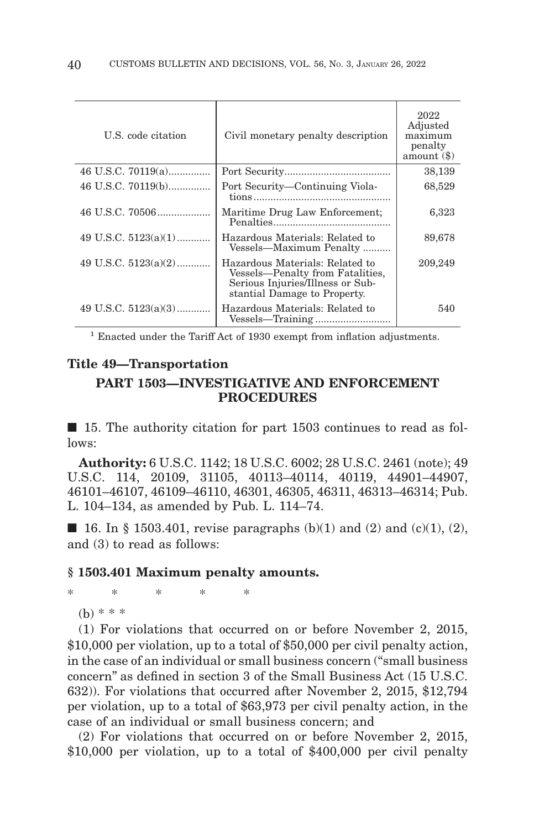| U.S. code citation     | Civil monetary penalty description                                                                                                      | 2022<br>Adjusted<br>maximum<br>penalty<br>amount $(\$)$ |
|------------------------|-----------------------------------------------------------------------------------------------------------------------------------------|---------------------------------------------------------|
| 46 U.S.C. 70119(a)     |                                                                                                                                         | 38,139                                                  |
| 46 U.S.C. 70119(b)     | Port Security—Continuing Viola-                                                                                                         | 68,529                                                  |
|                        | Maritime Drug Law Enforcement;                                                                                                          | 6,323                                                   |
| 49 U.S.C. $5123(a)(1)$ | Hazardous Materials: Related to<br>Vessels—Maximum Penalty                                                                              | 89,678                                                  |
| 49 U.S.C. $5123(a)(2)$ | Hazardous Materials: Related to<br>Vessels—Penalty from Fatalities,<br>Serious Injuries/Illness or Sub-<br>stantial Damage to Property. | 209,249                                                 |
| 49 U.S.C. $5123(a)(3)$ | Hazardous Materials: Related to                                                                                                         | 540                                                     |

<sup>1</sup> Enacted under the Tariff Act of 1930 exempt from inflation adjustments.

# **Title 49—Transportation**

# **PART 1503—INVESTIGATIVE AND ENFORCEMENT PROCEDURES**

■ 15. The authority citation for part 1503 continues to read as follows:

**Authority:** 6 U.S.C. 1142; 18 U.S.C. 6002; 28 U.S.C. 2461 (note); 49 U.S.C. 114, 20109, 31105, 40113–40114, 40119, 44901–44907, 46101–46107, 46109–46110, 46301, 46305, 46311, 46313–46314; Pub. L. 104–134, as amended by Pub. L. 114–74.

**■ 16.** In § 1503.401, revise paragraphs (b)(1) and (2) and (c)(1), (2), and (3) to read as follows:

### **§ 1503.401 Maximum penalty amounts.**

\*\*\*\* \*

(b) \* \* \*

(1) For violations that occurred on or before November 2, 2015, \$10,000 per violation, up to a total of \$50,000 per civil penalty action, in the case of an individual or small business concern (''small business concern'' as defined in section 3 of the Small Business Act (15 U.S.C. 632)). For violations that occurred after November 2, 2015, \$12,794 per violation, up to a total of \$63,973 per civil penalty action, in the case of an individual or small business concern; and

(2) For violations that occurred on or before November 2, 2015, \$10,000 per violation, up to a total of \$400,000 per civil penalty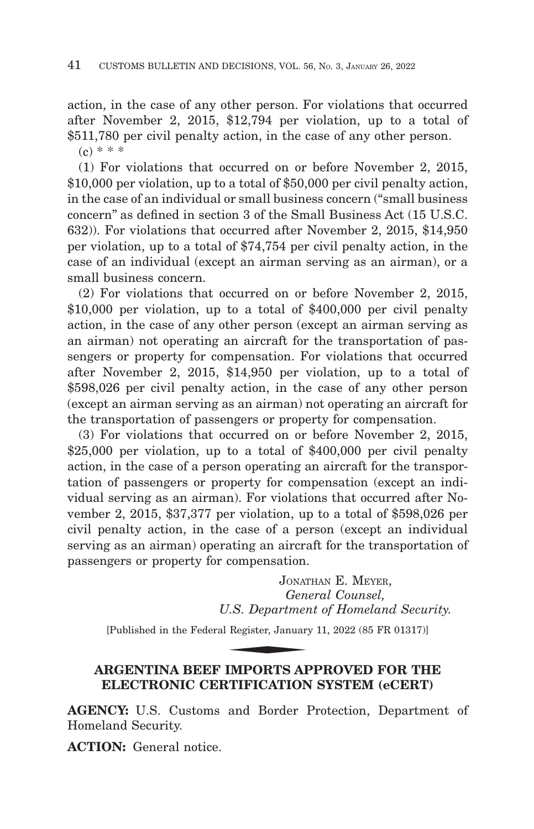action, in the case of any other person. For violations that occurred after November 2, 2015, \$12,794 per violation, up to a total of \$511,780 per civil penalty action, in the case of any other person.  $(c) * * *$ 

(1) For violations that occurred on or before November 2, 2015, \$10,000 per violation, up to a total of \$50,000 per civil penalty action, in the case of an individual or small business concern (''small business concern'' as defined in section 3 of the Small Business Act (15 U.S.C. 632)). For violations that occurred after November 2, 2015, \$14,950 per violation, up to a total of \$74,754 per civil penalty action, in the case of an individual (except an airman serving as an airman), or a small business concern.

(2) For violations that occurred on or before November 2, 2015, \$10,000 per violation, up to a total of \$400,000 per civil penalty action, in the case of any other person (except an airman serving as an airman) not operating an aircraft for the transportation of passengers or property for compensation. For violations that occurred after November 2, 2015, \$14,950 per violation, up to a total of \$598,026 per civil penalty action, in the case of any other person (except an airman serving as an airman) not operating an aircraft for the transportation of passengers or property for compensation.

(3) For violations that occurred on or before November 2, 2015, \$25,000 per violation, up to a total of \$400,000 per civil penalty action, in the case of a person operating an aircraft for the transportation of passengers or property for compensation (except an individual serving as an airman). For violations that occurred after November 2, 2015, \$37,377 per violation, up to a total of \$598,026 per civil penalty action, in the case of a person (except an individual serving as an airman) operating an aircraft for the transportation of passengers or property for compensation.

JONATHAN E. MEYER, *General Counsel, U.S. Department of Homeland Security.* Compensation:<br>
Jonar<br> *Gen.*<br>
J.S. Departmer<br>
Register, January<br> **EMPOPES AT** 

[Published in the Federal Register, January 11, 2022 (85 FR 01317)]

# **ARGENTINA BEEF IMPORTS APPROVED FOR THE ELECTRONIC CERTIFICATION SYSTEM (eCERT)**

**AGENCY:** U.S. Customs and Border Protection, Department of Homeland Security.

**ACTION:** General notice.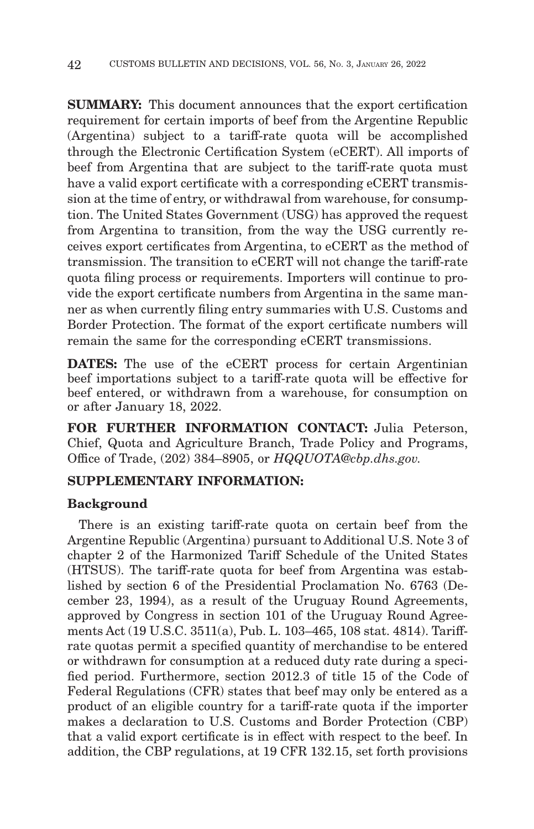**SUMMARY:** This document announces that the export certification requirement for certain imports of beef from the Argentine Republic (Argentina) subject to a tariff-rate quota will be accomplished through the Electronic Certification System (eCERT). All imports of beef from Argentina that are subject to the tariff-rate quota must have a valid export certificate with a corresponding eCERT transmission at the time of entry, or withdrawal from warehouse, for consumption. The United States Government (USG) has approved the request from Argentina to transition, from the way the USG currently receives export certificates from Argentina, to eCERT as the method of transmission. The transition to eCERT will not change the tariff-rate quota filing process or requirements. Importers will continue to provide the export certificate numbers from Argentina in the same manner as when currently filing entry summaries with U.S. Customs and Border Protection. The format of the export certificate numbers will remain the same for the corresponding eCERT transmissions.

**DATES:** The use of the eCERT process for certain Argentinian beef importations subject to a tariff-rate quota will be effective for beef entered, or withdrawn from a warehouse, for consumption on or after January 18, 2022.

**FOR FURTHER INFORMATION CONTACT:** Julia Peterson, Chief, Quota and Agriculture Branch, Trade Policy and Programs, Office of Trade, (202) 384–8905, or *HQQUOTA@cbp.dhs.gov.*

# **SUPPLEMENTARY INFORMATION:**

## **Background**

There is an existing tariff-rate quota on certain beef from the Argentine Republic (Argentina) pursuant to Additional U.S. Note 3 of chapter 2 of the Harmonized Tariff Schedule of the United States (HTSUS). The tariff-rate quota for beef from Argentina was established by section 6 of the Presidential Proclamation No. 6763 (December 23, 1994), as a result of the Uruguay Round Agreements, approved by Congress in section 101 of the Uruguay Round Agreements Act (19 U.S.C. 3511(a), Pub. L. 103–465, 108 stat. 4814). Tariffrate quotas permit a specified quantity of merchandise to be entered or withdrawn for consumption at a reduced duty rate during a specified period. Furthermore, section 2012.3 of title 15 of the Code of Federal Regulations (CFR) states that beef may only be entered as a product of an eligible country for a tariff-rate quota if the importer makes a declaration to U.S. Customs and Border Protection (CBP) that a valid export certificate is in effect with respect to the beef. In addition, the CBP regulations, at 19 CFR 132.15, set forth provisions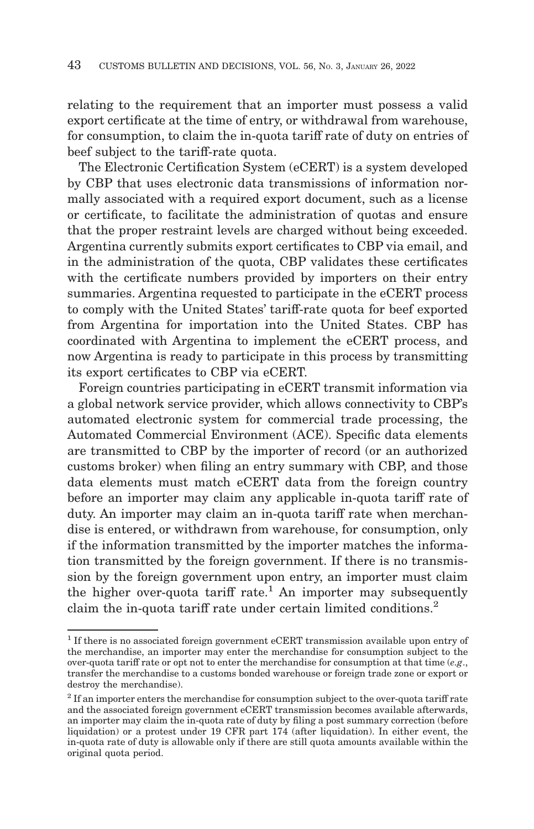relating to the requirement that an importer must possess a valid export certificate at the time of entry, or withdrawal from warehouse, for consumption, to claim the in-quota tariff rate of duty on entries of beef subject to the tariff-rate quota.

The Electronic Certification System (eCERT) is a system developed by CBP that uses electronic data transmissions of information normally associated with a required export document, such as a license or certificate, to facilitate the administration of quotas and ensure that the proper restraint levels are charged without being exceeded. Argentina currently submits export certificates to CBP via email, and in the administration of the quota, CBP validates these certificates with the certificate numbers provided by importers on their entry summaries. Argentina requested to participate in the eCERT process to comply with the United States' tariff-rate quota for beef exported from Argentina for importation into the United States. CBP has coordinated with Argentina to implement the eCERT process, and now Argentina is ready to participate in this process by transmitting its export certificates to CBP via eCERT.

Foreign countries participating in eCERT transmit information via a global network service provider, which allows connectivity to CBP's automated electronic system for commercial trade processing, the Automated Commercial Environment (ACE). Specific data elements are transmitted to CBP by the importer of record (or an authorized customs broker) when filing an entry summary with CBP, and those data elements must match eCERT data from the foreign country before an importer may claim any applicable in-quota tariff rate of duty. An importer may claim an in-quota tariff rate when merchandise is entered, or withdrawn from warehouse, for consumption, only if the information transmitted by the importer matches the information transmitted by the foreign government. If there is no transmission by the foreign government upon entry, an importer must claim the higher over-quota tariff rate.<sup>1</sup> An importer may subsequently claim the in-quota tariff rate under certain limited conditions.<sup>2</sup>

<sup>1</sup> If there is no associated foreign government eCERT transmission available upon entry of the merchandise, an importer may enter the merchandise for consumption subject to the over-quota tariff rate or opt not to enter the merchandise for consumption at that time (*e.g*., transfer the merchandise to a customs bonded warehouse or foreign trade zone or export or destroy the merchandise).

 $2$  If an importer enters the merchandise for consumption subject to the over-quota tariff rate and the associated foreign government eCERT transmission becomes available afterwards, an importer may claim the in-quota rate of duty by filing a post summary correction (before liquidation) or a protest under 19 CFR part 174 (after liquidation). In either event, the in-quota rate of duty is allowable only if there are still quota amounts available within the original quota period.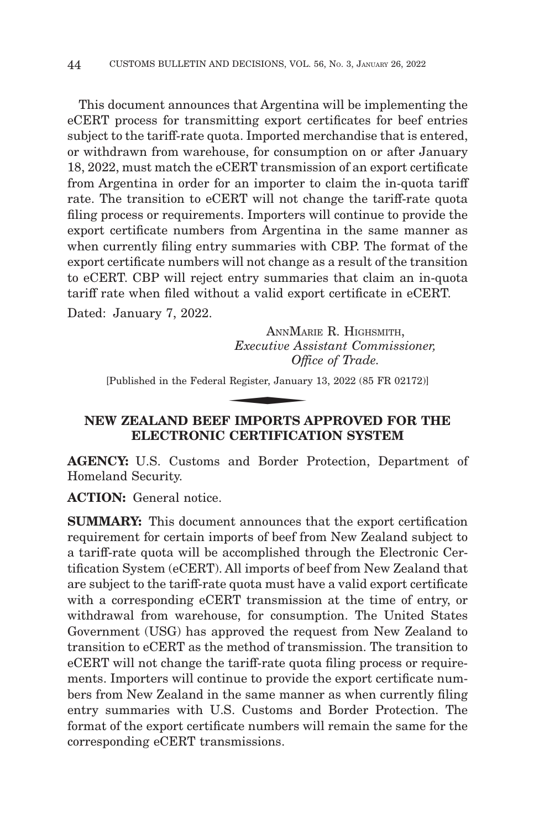This document announces that Argentina will be implementing the eCERT process for transmitting export certificates for beef entries subject to the tariff-rate quota. Imported merchandise that is entered, or withdrawn from warehouse, for consumption on or after January 18, 2022, must match the eCERT transmission of an export certificate from Argentina in order for an importer to claim the in-quota tariff rate. The transition to eCERT will not change the tariff-rate quota filing process or requirements. Importers will continue to provide the export certificate numbers from Argentina in the same manner as when currently filing entry summaries with CBP. The format of the export certificate numbers will not change as a result of the transition to eCERT. CBP will reject entry summaries that claim an in-quota tariff rate when filed without a valid export certificate in eCERT. Dated: January 7, 2022.

ANNMARIE R. HIGHSMITH, *Executive Assistant Commissioner, Office of Trade.* ANNMAI<br>Executive As.<br>Officers<br>Register, January<br>E **IMPOPTS** 

[Published in the Federal Register, January 13, 2022 (85 FR 02172)]

# **NEW ZEALAND BEEF IMPORTS APPROVED FOR THE ELECTRONIC CERTIFICATION SYSTEM**

**AGENCY:** U.S. Customs and Border Protection, Department of Homeland Security.

**ACTION:** General notice.

**SUMMARY:** This document announces that the export certification requirement for certain imports of beef from New Zealand subject to a tariff-rate quota will be accomplished through the Electronic Certification System (eCERT). All imports of beef from New Zealand that are subject to the tariff-rate quota must have a valid export certificate with a corresponding eCERT transmission at the time of entry, or withdrawal from warehouse, for consumption. The United States Government (USG) has approved the request from New Zealand to transition to eCERT as the method of transmission. The transition to eCERT will not change the tariff-rate quota filing process or requirements. Importers will continue to provide the export certificate numbers from New Zealand in the same manner as when currently filing entry summaries with U.S. Customs and Border Protection. The format of the export certificate numbers will remain the same for the corresponding eCERT transmissions.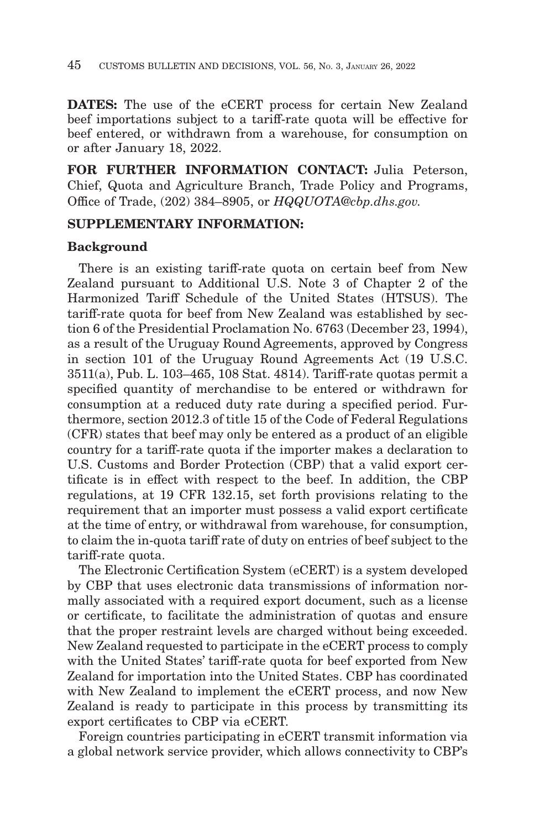**DATES:** The use of the eCERT process for certain New Zealand beef importations subject to a tariff-rate quota will be effective for beef entered, or withdrawn from a warehouse, for consumption on or after January 18, 2022.

**FOR FURTHER INFORMATION CONTACT:** Julia Peterson, Chief, Quota and Agriculture Branch, Trade Policy and Programs, Office of Trade, (202) 384–8905, or *HQQUOTA@cbp.dhs.gov.*

# **SUPPLEMENTARY INFORMATION:**

## **Background**

There is an existing tariff-rate quota on certain beef from New Zealand pursuant to Additional U.S. Note 3 of Chapter 2 of the Harmonized Tariff Schedule of the United States (HTSUS). The tariff-rate quota for beef from New Zealand was established by section 6 of the Presidential Proclamation No. 6763 (December 23, 1994), as a result of the Uruguay Round Agreements, approved by Congress in section 101 of the Uruguay Round Agreements Act (19 U.S.C. 3511(a), Pub. L. 103–465, 108 Stat. 4814). Tariff-rate quotas permit a specified quantity of merchandise to be entered or withdrawn for consumption at a reduced duty rate during a specified period. Furthermore, section 2012.3 of title 15 of the Code of Federal Regulations (CFR) states that beef may only be entered as a product of an eligible country for a tariff-rate quota if the importer makes a declaration to U.S. Customs and Border Protection (CBP) that a valid export certificate is in effect with respect to the beef. In addition, the CBP regulations, at 19 CFR 132.15, set forth provisions relating to the requirement that an importer must possess a valid export certificate at the time of entry, or withdrawal from warehouse, for consumption, to claim the in-quota tariff rate of duty on entries of beef subject to the tariff-rate quota.

The Electronic Certification System (eCERT) is a system developed by CBP that uses electronic data transmissions of information normally associated with a required export document, such as a license or certificate, to facilitate the administration of quotas and ensure that the proper restraint levels are charged without being exceeded. New Zealand requested to participate in the eCERT process to comply with the United States' tariff-rate quota for beef exported from New Zealand for importation into the United States. CBP has coordinated with New Zealand to implement the eCERT process, and now New Zealand is ready to participate in this process by transmitting its export certificates to CBP via eCERT.

Foreign countries participating in eCERT transmit information via a global network service provider, which allows connectivity to CBP's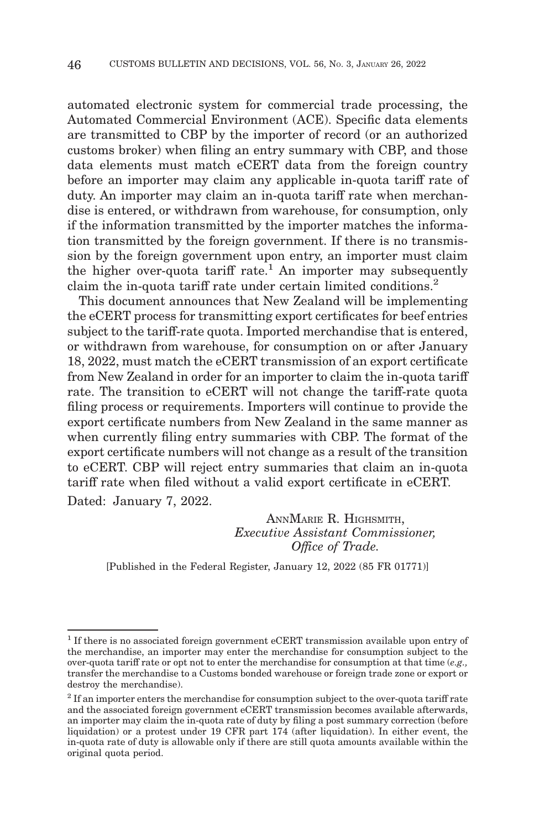automated electronic system for commercial trade processing, the Automated Commercial Environment (ACE). Specific data elements are transmitted to CBP by the importer of record (or an authorized customs broker) when filing an entry summary with CBP, and those data elements must match eCERT data from the foreign country before an importer may claim any applicable in-quota tariff rate of duty. An importer may claim an in-quota tariff rate when merchandise is entered, or withdrawn from warehouse, for consumption, only if the information transmitted by the importer matches the information transmitted by the foreign government. If there is no transmission by the foreign government upon entry, an importer must claim the higher over-quota tariff rate.<sup>1</sup> An importer may subsequently claim the in-quota tariff rate under certain limited conditions.2

This document announces that New Zealand will be implementing the eCERT process for transmitting export certificates for beef entries subject to the tariff-rate quota. Imported merchandise that is entered, or withdrawn from warehouse, for consumption on or after January 18, 2022, must match the eCERT transmission of an export certificate from New Zealand in order for an importer to claim the in-quota tariff rate. The transition to eCERT will not change the tariff-rate quota filing process or requirements. Importers will continue to provide the export certificate numbers from New Zealand in the same manner as when currently filing entry summaries with CBP. The format of the export certificate numbers will not change as a result of the transition to eCERT. CBP will reject entry summaries that claim an in-quota tariff rate when filed without a valid export certificate in eCERT. Dated: January 7, 2022.

> ANNMARIE R. HIGHSMITH, *Executive Assistant Commissioner, Office of Trade.*

[Published in the Federal Register, January 12, 2022 (85 FR 01771)]

<sup>1</sup> If there is no associated foreign government eCERT transmission available upon entry of the merchandise, an importer may enter the merchandise for consumption subject to the over-quota tariff rate or opt not to enter the merchandise for consumption at that time (*e.g.,* transfer the merchandise to a Customs bonded warehouse or foreign trade zone or export or destroy the merchandise).

 $2$  If an importer enters the merchandise for consumption subject to the over-quota tariff rate and the associated foreign government eCERT transmission becomes available afterwards, an importer may claim the in-quota rate of duty by filing a post summary correction (before liquidation) or a protest under 19 CFR part 174 (after liquidation). In either event, the in-quota rate of duty is allowable only if there are still quota amounts available within the original quota period.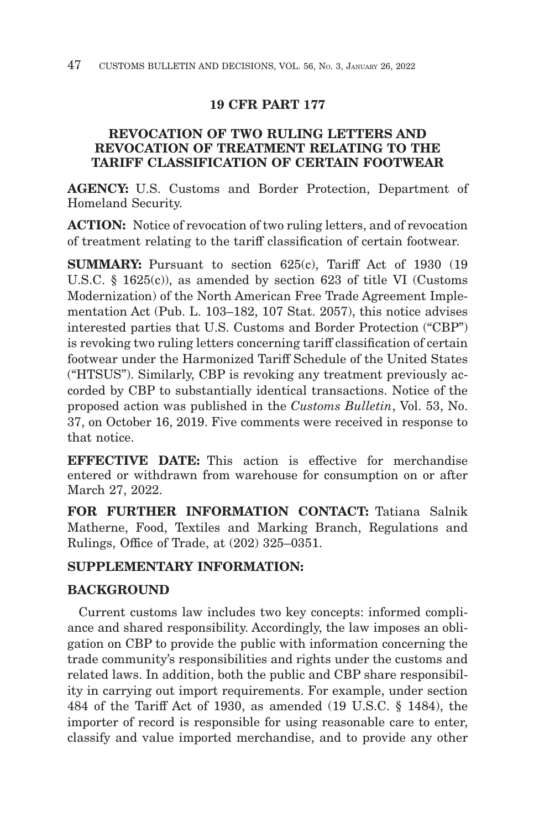# **19 CFR PART 177**

# **REVOCATION OF TWO RULING LETTERS AND REVOCATION OF TREATMENT RELATING TO THE TARIFF CLASSIFICATION OF CERTAIN FOOTWEAR**

**AGENCY:** U.S. Customs and Border Protection, Department of Homeland Security.

**ACTION:** Notice of revocation of two ruling letters, and of revocation of treatment relating to the tariff classification of certain footwear.

**SUMMARY:** Pursuant to section 625(c), Tariff Act of 1930 (19) U.S.C. § 1625(c)), as amended by section 623 of title VI (Customs Modernization) of the North American Free Trade Agreement Implementation Act (Pub. L. 103–182, 107 Stat. 2057), this notice advises interested parties that U.S. Customs and Border Protection ("CBP") is revoking two ruling letters concerning tariff classification of certain footwear under the Harmonized Tariff Schedule of the United States ("HTSUS"). Similarly, CBP is revoking any treatment previously accorded by CBP to substantially identical transactions. Notice of the proposed action was published in the *Customs Bulletin*, Vol. 53, No. 37, on October 16, 2019. Five comments were received in response to that notice.

**EFFECTIVE DATE:** This action is effective for merchandise entered or withdrawn from warehouse for consumption on or after March 27, 2022.

**FOR FURTHER INFORMATION CONTACT:** Tatiana Salnik Matherne, Food, Textiles and Marking Branch, Regulations and Rulings, Office of Trade, at (202) 325–0351.

# **SUPPLEMENTARY INFORMATION:**

## **BACKGROUND**

Current customs law includes two key concepts: informed compliance and shared responsibility. Accordingly, the law imposes an obligation on CBP to provide the public with information concerning the trade community's responsibilities and rights under the customs and related laws. In addition, both the public and CBP share responsibility in carrying out import requirements. For example, under section 484 of the Tariff Act of 1930, as amended (19 U.S.C. § 1484), the importer of record is responsible for using reasonable care to enter, classify and value imported merchandise, and to provide any other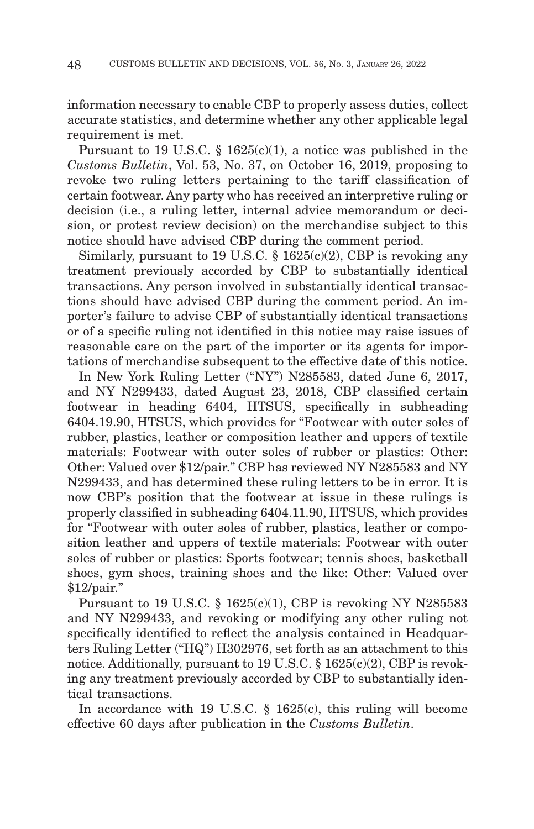information necessary to enable CBP to properly assess duties, collect accurate statistics, and determine whether any other applicable legal requirement is met.

Pursuant to 19 U.S.C. § 1625(c)(1), a notice was published in the *Customs Bulletin*, Vol. 53, No. 37, on October 16, 2019, proposing to revoke two ruling letters pertaining to the tariff classification of certain footwear. Any party who has received an interpretive ruling or decision (i.e., a ruling letter, internal advice memorandum or decision, or protest review decision) on the merchandise subject to this notice should have advised CBP during the comment period.

Similarly, pursuant to 19 U.S.C.  $\S$  1625(c)(2), CBP is revoking any treatment previously accorded by CBP to substantially identical transactions. Any person involved in substantially identical transactions should have advised CBP during the comment period. An importer's failure to advise CBP of substantially identical transactions or of a specific ruling not identified in this notice may raise issues of reasonable care on the part of the importer or its agents for importations of merchandise subsequent to the effective date of this notice.

In New York Ruling Letter ("NY") N285583, dated June 6, 2017, and NY N299433, dated August 23, 2018, CBP classified certain footwear in heading 6404, HTSUS, specifically in subheading 6404.19.90, HTSUS, which provides for "Footwear with outer soles of rubber, plastics, leather or composition leather and uppers of textile materials: Footwear with outer soles of rubber or plastics: Other: Other: Valued over \$12/pair." CBP has reviewed NY N285583 and NY N299433, and has determined these ruling letters to be in error. It is now CBP's position that the footwear at issue in these rulings is properly classified in subheading 6404.11.90, HTSUS, which provides for "Footwear with outer soles of rubber, plastics, leather or composition leather and uppers of textile materials: Footwear with outer soles of rubber or plastics: Sports footwear; tennis shoes, basketball shoes, gym shoes, training shoes and the like: Other: Valued over \$12/pair."

Pursuant to 19 U.S.C. § 1625(c)(1), CBP is revoking NY N285583 and NY N299433, and revoking or modifying any other ruling not specifically identified to reflect the analysis contained in Headquarters Ruling Letter ("HQ") H302976, set forth as an attachment to this notice. Additionally, pursuant to 19 U.S.C. § 1625(c)(2), CBP is revoking any treatment previously accorded by CBP to substantially identical transactions.

In accordance with 19 U.S.C. § 1625(c), this ruling will become effective 60 days after publication in the *Customs Bulletin*.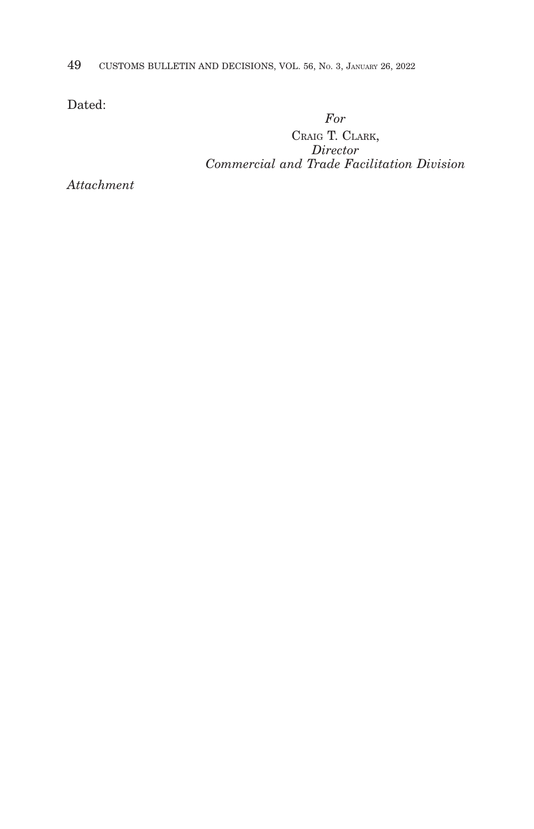49 CUSTOMS BULLETIN AND DECISIONS, VOL. 56, NO. 3, JANUARY 26, 2022

Dated:

*For*

CRAIG T. CLARK, *Director Commercial and Trade Facilitation Division*

*Attachment*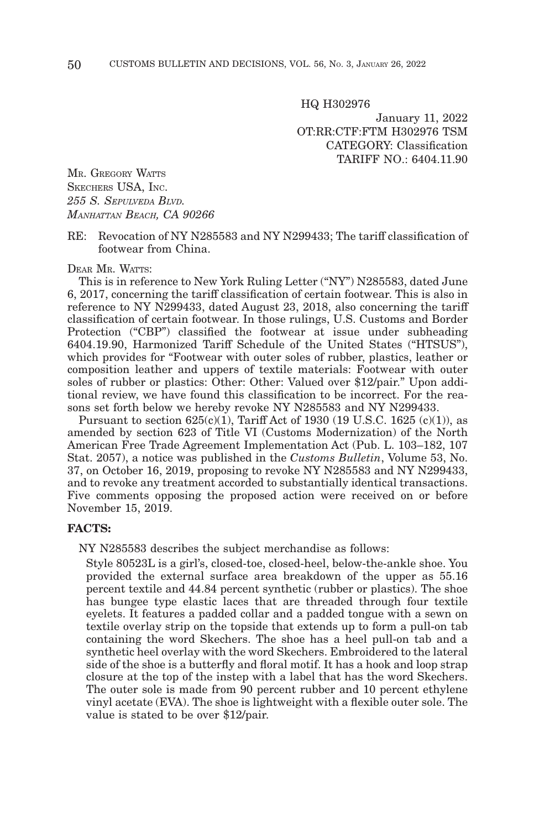HQ H302976

January 11, 2022 OT:RR:CTF:FTM H302976 TSM CATEGORY: Classification TARIFF NO.: 6404.11.90

MR. GREGORY WATTS SKECHERS USA, INC. *255 S. SEPULVEDA BLVD. MANHATTAN BEACH, CA 90266*

RE: Revocation of NY N285583 and NY N299433; The tariff classification of footwear from China.

DEAR MR. WATTS:

This is in reference to New York Ruling Letter ("NY") N285583, dated June 6, 2017, concerning the tariff classification of certain footwear. This is also in reference to NY N299433, dated August 23, 2018, also concerning the tariff classification of certain footwear. In those rulings, U.S. Customs and Border Protection ("CBP") classified the footwear at issue under subheading 6404.19.90, Harmonized Tariff Schedule of the United States ("HTSUS"), which provides for "Footwear with outer soles of rubber, plastics, leather or composition leather and uppers of textile materials: Footwear with outer soles of rubber or plastics: Other: Other: Valued over \$12/pair." Upon additional review, we have found this classification to be incorrect. For the reasons set forth below we hereby revoke NY N285583 and NY N299433.

Pursuant to section  $625(c)(1)$ , Tariff Act of 1930 (19 U.S.C. 1625 (c)(1)), as amended by section 623 of Title VI (Customs Modernization) of the North American Free Trade Agreement Implementation Act (Pub. L. 103–182, 107 Stat. 2057), a notice was published in the *Customs Bulletin*, Volume 53, No. 37, on October 16, 2019, proposing to revoke NY N285583 and NY N299433, and to revoke any treatment accorded to substantially identical transactions. Five comments opposing the proposed action were received on or before November 15, 2019.

#### **FACTS:**

NY N285583 describes the subject merchandise as follows:

Style 80523L is a girl's, closed-toe, closed-heel, below-the-ankle shoe. You provided the external surface area breakdown of the upper as 55.16 percent textile and 44.84 percent synthetic (rubber or plastics). The shoe has bungee type elastic laces that are threaded through four textile eyelets. It features a padded collar and a padded tongue with a sewn on textile overlay strip on the topside that extends up to form a pull-on tab containing the word Skechers. The shoe has a heel pull-on tab and a synthetic heel overlay with the word Skechers. Embroidered to the lateral side of the shoe is a butterfly and floral motif. It has a hook and loop strap closure at the top of the instep with a label that has the word Skechers. The outer sole is made from 90 percent rubber and 10 percent ethylene vinyl acetate (EVA). The shoe is lightweight with a flexible outer sole. The value is stated to be over \$12/pair.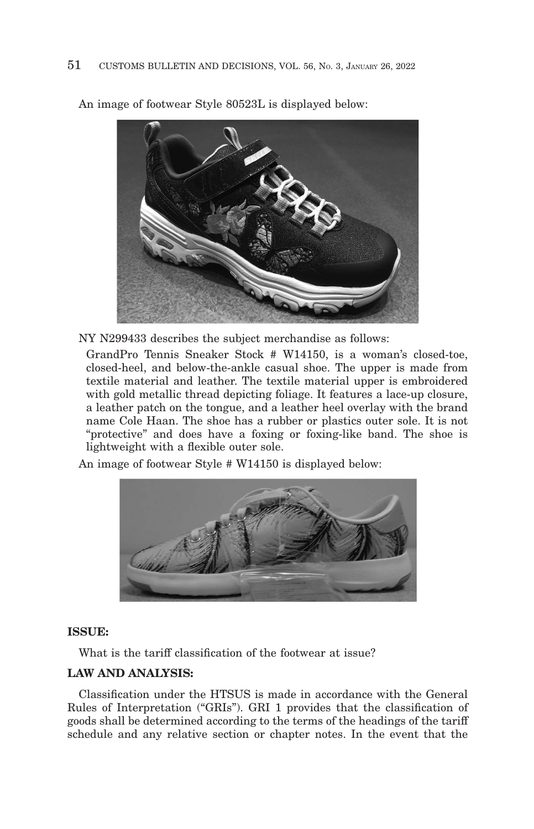

An image of footwear Style 80523L is displayed below:

NY N299433 describes the subject merchandise as follows:

GrandPro Tennis Sneaker Stock # W14150, is a woman's closed-toe, closed-heel, and below-the-ankle casual shoe. The upper is made from textile material and leather. The textile material upper is embroidered with gold metallic thread depicting foliage. It features a lace-up closure, a leather patch on the tongue, and a leather heel overlay with the brand name Cole Haan. The shoe has a rubber or plastics outer sole. It is not "protective" and does have a foxing or foxing-like band. The shoe is lightweight with a flexible outer sole.

An image of footwear Style # W14150 is displayed below:



### **ISSUE:**

What is the tariff classification of the footwear at issue?

# **LAW AND ANALYSIS:**

Classification under the HTSUS is made in accordance with the General Rules of Interpretation ("GRIs"). GRI 1 provides that the classification of goods shall be determined according to the terms of the headings of the tariff schedule and any relative section or chapter notes. In the event that the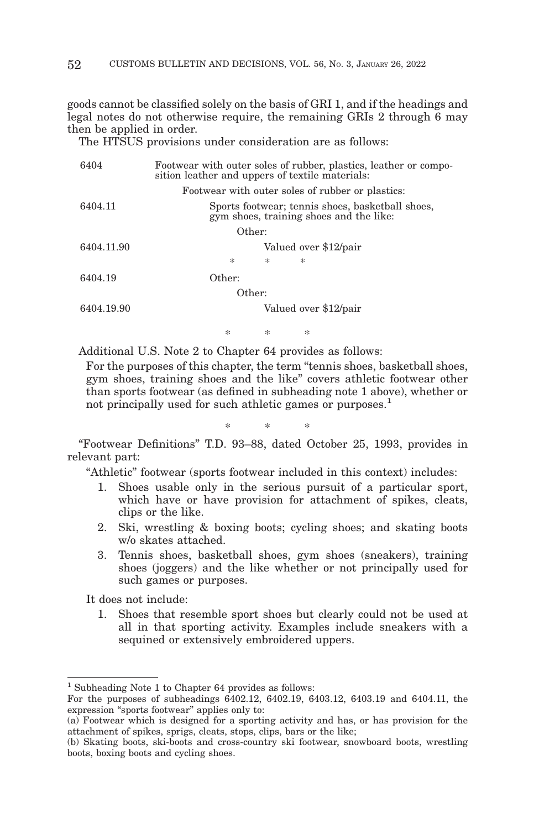goods cannot be classified solely on the basis of GRI 1, and if the headings and legal notes do not otherwise require, the remaining GRIs 2 through 6 may then be applied in order.

The HTSUS provisions under consideration are as follows:

| 6404       | Footwear with outer soles of rubber, plastics, leather or compo-<br>sition leather and uppers of textile materials: |
|------------|---------------------------------------------------------------------------------------------------------------------|
|            | Footwear with outer soles of rubber or plastics:                                                                    |
| 6404.11    | Sports footwear; tennis shoes, basketball shoes,<br>gym shoes, training shoes and the like:                         |
|            | Other:                                                                                                              |
| 6404.11.90 | Valued over \$12/pair                                                                                               |
|            | 冰<br>索<br>冰                                                                                                         |
| 6404.19    | Other:                                                                                                              |
|            | Other:                                                                                                              |
| 6404.19.90 | Valued over \$12/pair                                                                                               |
|            |                                                                                                                     |

Additional U.S. Note 2 to Chapter 64 provides as follows:

For the purposes of this chapter, the term "tennis shoes, basketball shoes, gym shoes, training shoes and the like" covers athletic footwear other than sports footwear (as defined in subheading note 1 above), whether or not principally used for such athletic games or purposes.<sup>1</sup>

\*\* \*

\*\* \*

"Footwear Definitions" T.D. 93–88, dated October 25, 1993, provides in relevant part:

"Athletic" footwear (sports footwear included in this context) includes:

- 1. Shoes usable only in the serious pursuit of a particular sport, which have or have provision for attachment of spikes, cleats, clips or the like.
- 2. Ski, wrestling & boxing boots; cycling shoes; and skating boots w/o skates attached.
- 3. Tennis shoes, basketball shoes, gym shoes (sneakers), training shoes (joggers) and the like whether or not principally used for such games or purposes.

It does not include:

1. Shoes that resemble sport shoes but clearly could not be used at all in that sporting activity. Examples include sneakers with a sequined or extensively embroidered uppers.

 $<sup>1</sup>$  Subheading Note 1 to Chapter 64 provides as follows:</sup>

For the purposes of subheadings 6402.12, 6402.19, 6403.12, 6403.19 and 6404.11, the expression "sports footwear" applies only to:

<sup>(</sup>a) Footwear which is designed for a sporting activity and has, or has provision for the attachment of spikes, sprigs, cleats, stops, clips, bars or the like;

<sup>(</sup>b) Skating boots, ski-boots and cross-country ski footwear, snowboard boots, wrestling boots, boxing boots and cycling shoes.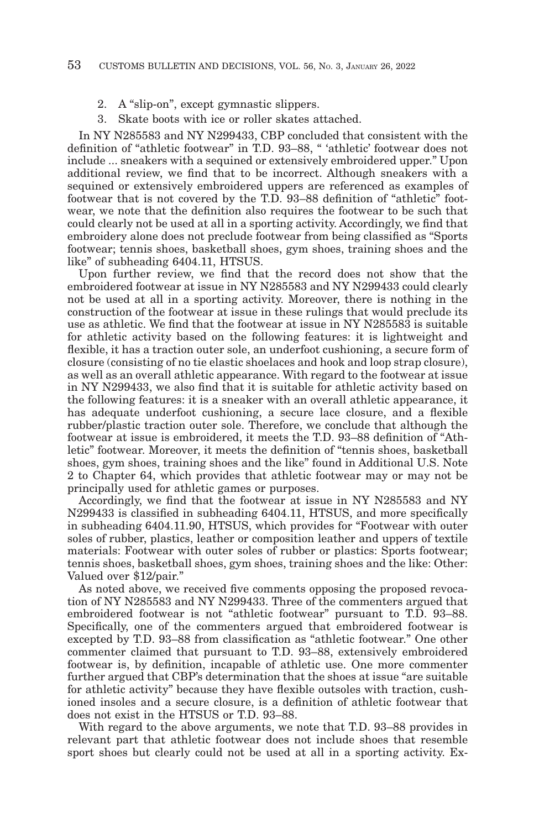- 2. A "slip-on", except gymnastic slippers.
- Skate boots with ice or roller skates attached.

In NY N285583 and NY N299433, CBP concluded that consistent with the definition of "athletic footwear" in T.D. 93–88, " 'athletic' footwear does not include ... sneakers with a sequined or extensively embroidered upper." Upon additional review, we find that to be incorrect. Although sneakers with a sequined or extensively embroidered uppers are referenced as examples of footwear that is not covered by the T.D. 93–88 definition of "athletic" footwear, we note that the definition also requires the footwear to be such that could clearly not be used at all in a sporting activity. Accordingly, we find that embroidery alone does not preclude footwear from being classified as "Sports footwear; tennis shoes, basketball shoes, gym shoes, training shoes and the like" of subheading 6404.11, HTSUS.

Upon further review, we find that the record does not show that the embroidered footwear at issue in NY N285583 and NY N299433 could clearly not be used at all in a sporting activity. Moreover, there is nothing in the construction of the footwear at issue in these rulings that would preclude its use as athletic. We find that the footwear at issue in NY N285583 is suitable for athletic activity based on the following features: it is lightweight and flexible, it has a traction outer sole, an underfoot cushioning, a secure form of closure (consisting of no tie elastic shoelaces and hook and loop strap closure), as well as an overall athletic appearance. With regard to the footwear at issue in NY N299433, we also find that it is suitable for athletic activity based on the following features: it is a sneaker with an overall athletic appearance, it has adequate underfoot cushioning, a secure lace closure, and a flexible rubber/plastic traction outer sole. Therefore, we conclude that although the footwear at issue is embroidered, it meets the T.D. 93–88 definition of "Athletic" footwear. Moreover, it meets the definition of "tennis shoes, basketball shoes, gym shoes, training shoes and the like" found in Additional U.S. Note 2 to Chapter 64, which provides that athletic footwear may or may not be principally used for athletic games or purposes.

Accordingly, we find that the footwear at issue in NY N285583 and NY N299433 is classified in subheading 6404.11, HTSUS, and more specifically in subheading 6404.11.90, HTSUS, which provides for "Footwear with outer soles of rubber, plastics, leather or composition leather and uppers of textile materials: Footwear with outer soles of rubber or plastics: Sports footwear; tennis shoes, basketball shoes, gym shoes, training shoes and the like: Other: Valued over \$12/pair."

As noted above, we received five comments opposing the proposed revocation of NY N285583 and NY N299433. Three of the commenters argued that embroidered footwear is not "athletic footwear" pursuant to T.D. 93–88. Specifically, one of the commenters argued that embroidered footwear is excepted by T.D. 93–88 from classification as "athletic footwear." One other commenter claimed that pursuant to T.D. 93–88, extensively embroidered footwear is, by definition, incapable of athletic use. One more commenter further argued that CBP's determination that the shoes at issue "are suitable for athletic activity" because they have flexible outsoles with traction, cushioned insoles and a secure closure, is a definition of athletic footwear that does not exist in the HTSUS or T.D. 93–88.

With regard to the above arguments, we note that T.D. 93–88 provides in relevant part that athletic footwear does not include shoes that resemble sport shoes but clearly could not be used at all in a sporting activity. Ex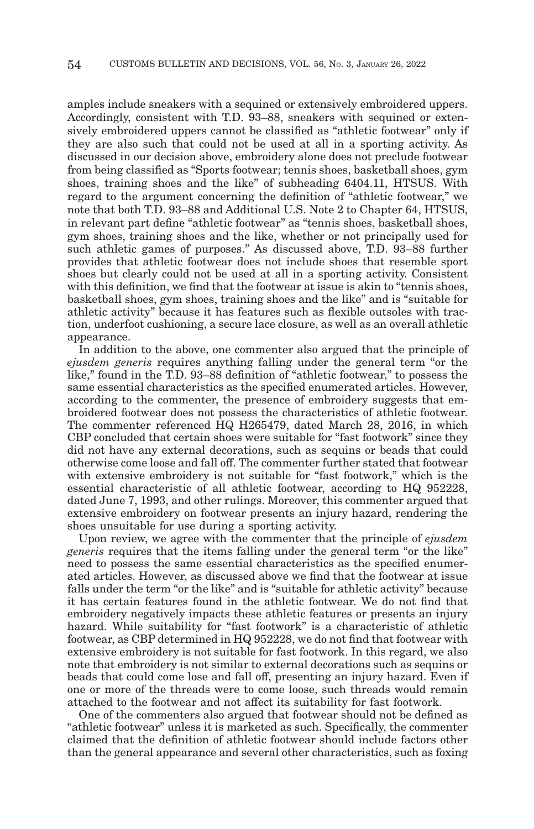amples include sneakers with a sequined or extensively embroidered uppers. Accordingly, consistent with T.D. 93–88, sneakers with sequined or extensively embroidered uppers cannot be classified as "athletic footwear" only if they are also such that could not be used at all in a sporting activity. As discussed in our decision above, embroidery alone does not preclude footwear from being classified as "Sports footwear; tennis shoes, basketball shoes, gym shoes, training shoes and the like" of subheading 6404.11, HTSUS. With regard to the argument concerning the definition of "athletic footwear," we note that both T.D. 93–88 and Additional U.S. Note 2 to Chapter 64, HTSUS, in relevant part define "athletic footwear" as "tennis shoes, basketball shoes, gym shoes, training shoes and the like, whether or not principally used for such athletic games of purposes." As discussed above, T.D. 93-88 further provides that athletic footwear does not include shoes that resemble sport shoes but clearly could not be used at all in a sporting activity. Consistent with this definition, we find that the footwear at issue is akin to "tennis shoes, basketball shoes, gym shoes, training shoes and the like" and is "suitable for athletic activity" because it has features such as flexible outsoles with traction, underfoot cushioning, a secure lace closure, as well as an overall athletic appearance.

In addition to the above, one commenter also argued that the principle of *ejusdem generis* requires anything falling under the general term "or the like," found in the T.D. 93–88 definition of "athletic footwear," to possess the same essential characteristics as the specified enumerated articles. However, according to the commenter, the presence of embroidery suggests that embroidered footwear does not possess the characteristics of athletic footwear. The commenter referenced HQ H265479, dated March 28, 2016, in which CBP concluded that certain shoes were suitable for "fast footwork" since they did not have any external decorations, such as sequins or beads that could otherwise come loose and fall off. The commenter further stated that footwear with extensive embroidery is not suitable for "fast footwork," which is the essential characteristic of all athletic footwear, according to HQ 952228, dated June 7, 1993, and other rulings. Moreover, this commenter argued that extensive embroidery on footwear presents an injury hazard, rendering the shoes unsuitable for use during a sporting activity.

Upon review, we agree with the commenter that the principle of *ejusdem generis* requires that the items falling under the general term "or the like" need to possess the same essential characteristics as the specified enumerated articles. However, as discussed above we find that the footwear at issue falls under the term "or the like" and is "suitable for athletic activity" because it has certain features found in the athletic footwear. We do not find that embroidery negatively impacts these athletic features or presents an injury hazard. While suitability for "fast footwork" is a characteristic of athletic footwear, as CBP determined in HQ 952228, we do not find that footwear with extensive embroidery is not suitable for fast footwork. In this regard, we also note that embroidery is not similar to external decorations such as sequins or beads that could come lose and fall off, presenting an injury hazard. Even if one or more of the threads were to come loose, such threads would remain attached to the footwear and not affect its suitability for fast footwork.

One of the commenters also argued that footwear should not be defined as "athletic footwear" unless it is marketed as such. Specifically, the commenter claimed that the definition of athletic footwear should include factors other than the general appearance and several other characteristics, such as foxing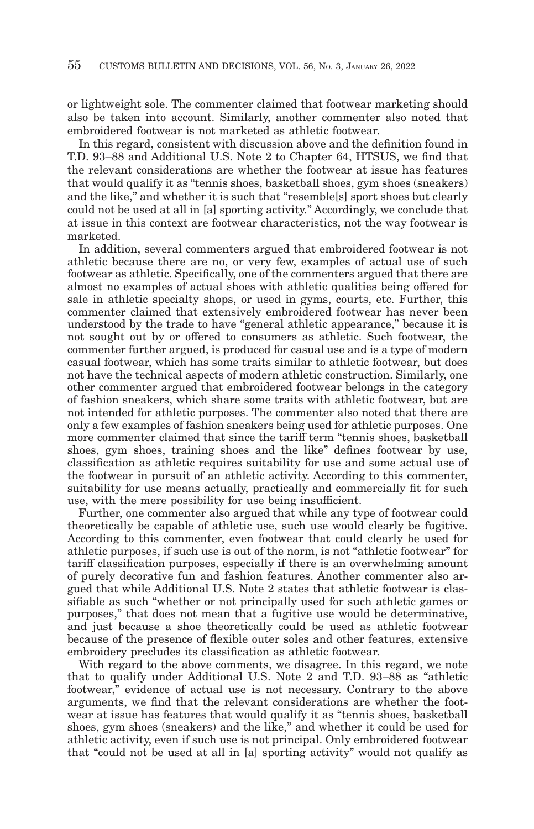or lightweight sole. The commenter claimed that footwear marketing should also be taken into account. Similarly, another commenter also noted that embroidered footwear is not marketed as athletic footwear.

In this regard, consistent with discussion above and the definition found in T.D. 93–88 and Additional U.S. Note 2 to Chapter 64, HTSUS, we find that the relevant considerations are whether the footwear at issue has features that would qualify it as "tennis shoes, basketball shoes, gym shoes (sneakers) and the like," and whether it is such that "resemble[s] sport shoes but clearly could not be used at all in [a] sporting activity." Accordingly, we conclude that at issue in this context are footwear characteristics, not the way footwear is marketed.

In addition, several commenters argued that embroidered footwear is not athletic because there are no, or very few, examples of actual use of such footwear as athletic. Specifically, one of the commenters argued that there are almost no examples of actual shoes with athletic qualities being offered for sale in athletic specialty shops, or used in gyms, courts, etc. Further, this commenter claimed that extensively embroidered footwear has never been understood by the trade to have "general athletic appearance," because it is not sought out by or offered to consumers as athletic. Such footwear, the commenter further argued, is produced for casual use and is a type of modern casual footwear, which has some traits similar to athletic footwear, but does not have the technical aspects of modern athletic construction. Similarly, one other commenter argued that embroidered footwear belongs in the category of fashion sneakers, which share some traits with athletic footwear, but are not intended for athletic purposes. The commenter also noted that there are only a few examples of fashion sneakers being used for athletic purposes. One more commenter claimed that since the tariff term "tennis shoes, basketball shoes, gym shoes, training shoes and the like" defines footwear by use, classification as athletic requires suitability for use and some actual use of the footwear in pursuit of an athletic activity. According to this commenter, suitability for use means actually, practically and commercially fit for such use, with the mere possibility for use being insufficient.

Further, one commenter also argued that while any type of footwear could theoretically be capable of athletic use, such use would clearly be fugitive. According to this commenter, even footwear that could clearly be used for athletic purposes, if such use is out of the norm, is not "athletic footwear" for tariff classification purposes, especially if there is an overwhelming amount of purely decorative fun and fashion features. Another commenter also argued that while Additional U.S. Note 2 states that athletic footwear is classifiable as such "whether or not principally used for such athletic games or purposes," that does not mean that a fugitive use would be determinative, and just because a shoe theoretically could be used as athletic footwear because of the presence of flexible outer soles and other features, extensive embroidery precludes its classification as athletic footwear.

With regard to the above comments, we disagree. In this regard, we note that to qualify under Additional U.S. Note 2 and T.D. 93–88 as "athletic footwear," evidence of actual use is not necessary. Contrary to the above arguments, we find that the relevant considerations are whether the footwear at issue has features that would qualify it as "tennis shoes, basketball shoes, gym shoes (sneakers) and the like," and whether it could be used for athletic activity, even if such use is not principal. Only embroidered footwear that "could not be used at all in [a] sporting activity" would not qualify as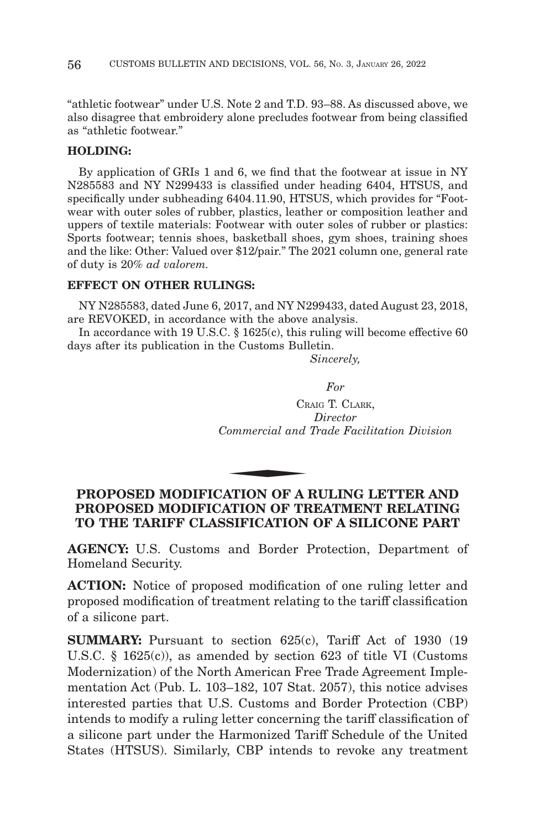"athletic footwear" under U.S. Note 2 and T.D. 93–88. As discussed above, we also disagree that embroidery alone precludes footwear from being classified as "athletic footwear."

#### **HOLDING:**

By application of GRIs 1 and 6, we find that the footwear at issue in NY N285583 and NY N299433 is classified under heading 6404, HTSUS, and specifically under subheading 6404.11.90, HTSUS, which provides for "Footwear with outer soles of rubber, plastics, leather or composition leather and uppers of textile materials: Footwear with outer soles of rubber or plastics: Sports footwear; tennis shoes, basketball shoes, gym shoes, training shoes and the like: Other: Valued over \$12/pair." The 2021 column one, general rate of duty is 20% *ad valorem.*

### **EFFECT ON OTHER RULINGS:**

NY N285583, dated June 6, 2017, and NY N299433, dated August 23, 2018, are REVOKED, in accordance with the above analysis.

In accordance with 19 U.S.C. § 1625(c), this ruling will become effective 60 days after its publication in the Customs Bulletin.

*Sincerely,*

*For*

CRAIG T. CLARK, *Director Commercial and Trade Facilitation Division* CR<br>
Commercial and<br>
ATION OF A

# **PROPOSED MODIFICATION OF A RULING LETTER AND PROPOSED MODIFICATION OF TREATMENT RELATING TO THE TARIFF CLASSIFICATION OF A SILICONE PART**

**AGENCY:** U.S. Customs and Border Protection, Department of Homeland Security.

**ACTION:** Notice of proposed modification of one ruling letter and proposed modification of treatment relating to the tariff classification of a silicone part.

**SUMMARY:** Pursuant to section 625(c), Tariff Act of 1930 (19 U.S.C. § 1625(c)), as amended by section 623 of title VI (Customs Modernization) of the North American Free Trade Agreement Implementation Act (Pub. L. 103–182, 107 Stat. 2057), this notice advises interested parties that U.S. Customs and Border Protection (CBP) intends to modify a ruling letter concerning the tariff classification of a silicone part under the Harmonized Tariff Schedule of the United States (HTSUS). Similarly, CBP intends to revoke any treatment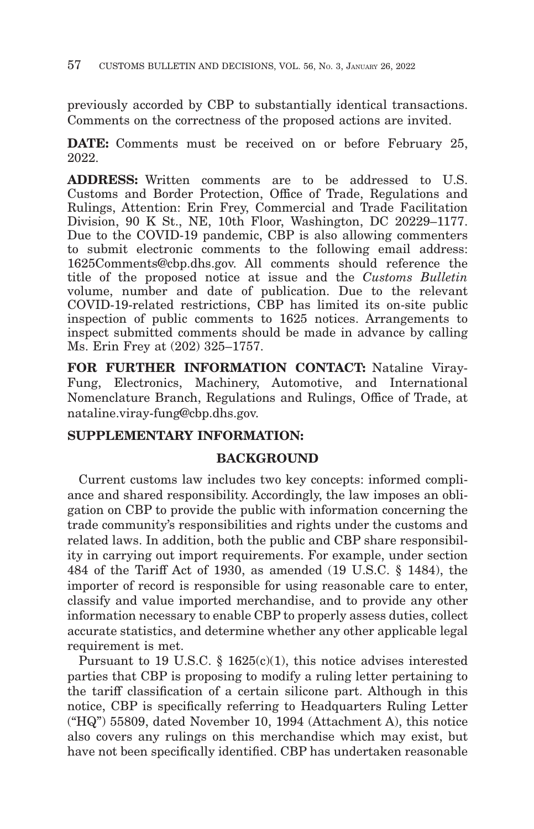previously accorded by CBP to substantially identical transactions. Comments on the correctness of the proposed actions are invited.

**DATE:** Comments must be received on or before February 25, 2022.

**ADDRESS:** Written comments are to be addressed to U.S. Customs and Border Protection, Office of Trade, Regulations and Rulings, Attention: Erin Frey, Commercial and Trade Facilitation Division, 90 K St., NE, 10th Floor, Washington, DC 20229–1177. Due to the COVID-19 pandemic, CBP is also allowing commenters to submit electronic comments to the following email address: 1625Comments@cbp.dhs.gov. All comments should reference the title of the proposed notice at issue and the *Customs Bulletin* volume, number and date of publication. Due to the relevant COVID-19-related restrictions, CBP has limited its on-site public inspection of public comments to 1625 notices. Arrangements to inspect submitted comments should be made in advance by calling Ms. Erin Frey at (202) 325–1757.

**FOR FURTHER INFORMATION CONTACT:** Nataline Viray-Fung, Electronics, Machinery, Automotive, and International Nomenclature Branch, Regulations and Rulings, Office of Trade, at nataline.viray-fung@cbp.dhs.gov.

# **SUPPLEMENTARY INFORMATION:**

## **BACKGROUND**

Current customs law includes two key concepts: informed compliance and shared responsibility. Accordingly, the law imposes an obligation on CBP to provide the public with information concerning the trade community's responsibilities and rights under the customs and related laws. In addition, both the public and CBP share responsibility in carrying out import requirements. For example, under section 484 of the Tariff Act of 1930, as amended (19 U.S.C. § 1484), the importer of record is responsible for using reasonable care to enter, classify and value imported merchandise, and to provide any other information necessary to enable CBP to properly assess duties, collect accurate statistics, and determine whether any other applicable legal requirement is met.

Pursuant to 19 U.S.C. § 1625(c)(1), this notice advises interested parties that CBP is proposing to modify a ruling letter pertaining to the tariff classification of a certain silicone part. Although in this notice, CBP is specifically referring to Headquarters Ruling Letter ("HQ") 55809, dated November 10, 1994 (Attachment A), this notice also covers any rulings on this merchandise which may exist, but have not been specifically identified. CBP has undertaken reasonable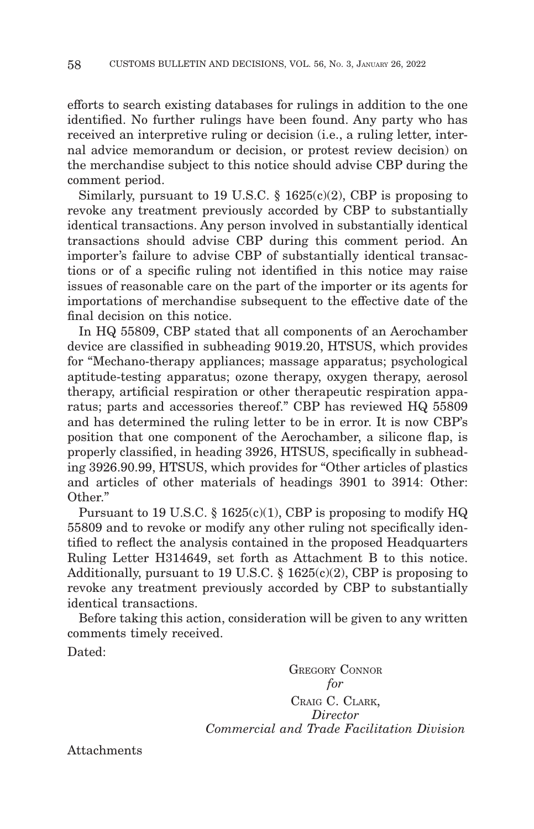efforts to search existing databases for rulings in addition to the one identified. No further rulings have been found. Any party who has received an interpretive ruling or decision (i.e., a ruling letter, internal advice memorandum or decision, or protest review decision) on the merchandise subject to this notice should advise CBP during the comment period.

Similarly, pursuant to 19 U.S.C.  $\S$  1625(c)(2), CBP is proposing to revoke any treatment previously accorded by CBP to substantially identical transactions. Any person involved in substantially identical transactions should advise CBP during this comment period. An importer's failure to advise CBP of substantially identical transactions or of a specific ruling not identified in this notice may raise issues of reasonable care on the part of the importer or its agents for importations of merchandise subsequent to the effective date of the final decision on this notice.

In HQ 55809, CBP stated that all components of an Aerochamber device are classified in subheading 9019.20, HTSUS, which provides for "Mechano-therapy appliances; massage apparatus; psychological aptitude-testing apparatus; ozone therapy, oxygen therapy, aerosol therapy, artificial respiration or other therapeutic respiration apparatus; parts and accessories thereof." CBP has reviewed HQ 55809 and has determined the ruling letter to be in error. It is now CBP's position that one component of the Aerochamber, a silicone flap, is properly classified, in heading 3926, HTSUS, specifically in subheading 3926.90.99, HTSUS, which provides for "Other articles of plastics and articles of other materials of headings 3901 to 3914: Other: Other."

Pursuant to 19 U.S.C. § 1625(c)(1), CBP is proposing to modify HQ 55809 and to revoke or modify any other ruling not specifically identified to reflect the analysis contained in the proposed Headquarters Ruling Letter H314649, set forth as Attachment B to this notice. Additionally, pursuant to 19 U.S.C. § 1625(c)(2), CBP is proposing to revoke any treatment previously accorded by CBP to substantially identical transactions.

Before taking this action, consideration will be given to any written comments timely received.

Dated:

GREGORY CONNOR *for* CRAIG C. CLARK, *Director Commercial and Trade Facilitation Division*

Attachments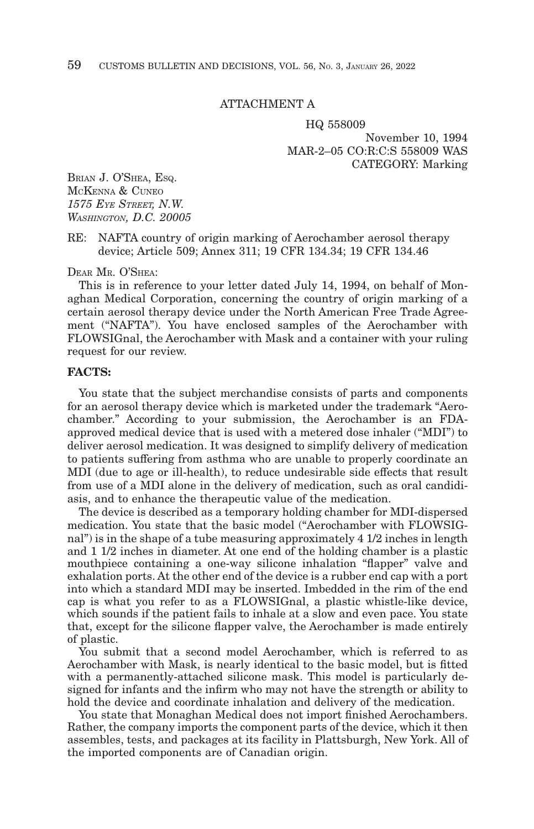#### ATTACHMENT A

HQ 558009 November 10, 1994 MAR-2–05 CO:R:C:S 558009 WAS CATEGORY: Marking

BRIAN J. O'SHEA, ESQ. MCKENNA & CUNEO *1575 EYE STREET, N.W. WASHINGTON, D.C. 20005*

RE: NAFTA country of origin marking of Aerochamber aerosol therapy device; Article 509; Annex 311; 19 CFR 134.34; 19 CFR 134.46

DEAR MR. O'SHEA:

This is in reference to your letter dated July 14, 1994, on behalf of Monaghan Medical Corporation, concerning the country of origin marking of a certain aerosol therapy device under the North American Free Trade Agreement ("NAFTA"). You have enclosed samples of the Aerochamber with FLOWSIGnal, the Aerochamber with Mask and a container with your ruling request for our review.

#### **FACTS:**

You state that the subject merchandise consists of parts and components for an aerosol therapy device which is marketed under the trademark "Aerochamber." According to your submission, the Aerochamber is an FDAapproved medical device that is used with a metered dose inhaler ("MDI") to deliver aerosol medication. It was designed to simplify delivery of medication to patients suffering from asthma who are unable to properly coordinate an MDI (due to age or ill-health), to reduce undesirable side effects that result from use of a MDI alone in the delivery of medication, such as oral candidiasis, and to enhance the therapeutic value of the medication.

The device is described as a temporary holding chamber for MDI-dispersed medication. You state that the basic model ("Aerochamber with FLOWSIGnal") is in the shape of a tube measuring approximately 4 1/2 inches in length and 1 1/2 inches in diameter. At one end of the holding chamber is a plastic mouthpiece containing a one-way silicone inhalation "flapper" valve and exhalation ports. At the other end of the device is a rubber end cap with a port into which a standard MDI may be inserted. Imbedded in the rim of the end cap is what you refer to as a FLOWSIGnal, a plastic whistle-like device, which sounds if the patient fails to inhale at a slow and even pace. You state that, except for the silicone flapper valve, the Aerochamber is made entirely of plastic.

You submit that a second model Aerochamber, which is referred to as Aerochamber with Mask, is nearly identical to the basic model, but is fitted with a permanently-attached silicone mask. This model is particularly designed for infants and the infirm who may not have the strength or ability to hold the device and coordinate inhalation and delivery of the medication.

You state that Monaghan Medical does not import finished Aerochambers. Rather, the company imports the component parts of the device, which it then assembles, tests, and packages at its facility in Plattsburgh, New York. All of the imported components are of Canadian origin.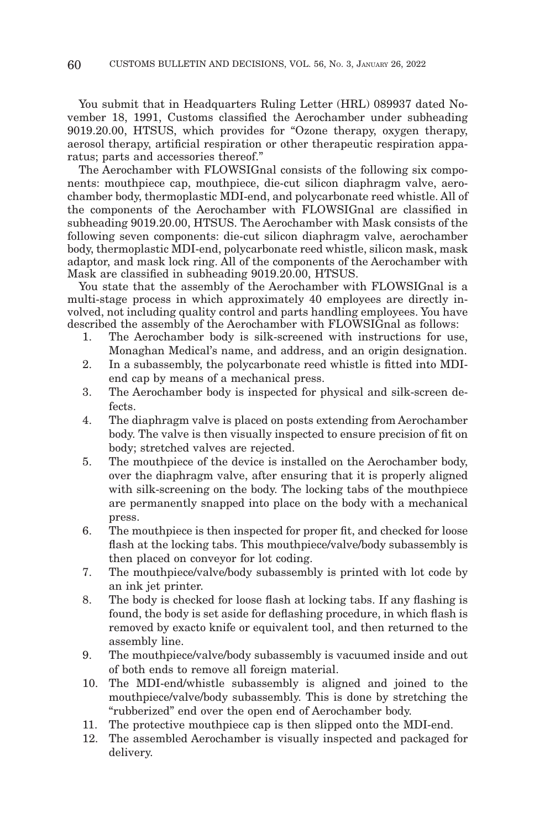You submit that in Headquarters Ruling Letter (HRL) 089937 dated November 18, 1991, Customs classified the Aerochamber under subheading 9019.20.00, HTSUS, which provides for "Ozone therapy, oxygen therapy, aerosol therapy, artificial respiration or other therapeutic respiration apparatus; parts and accessories thereof."

The Aerochamber with FLOWSIGnal consists of the following six components: mouthpiece cap, mouthpiece, die-cut silicon diaphragm valve, aerochamber body, thermoplastic MDI-end, and polycarbonate reed whistle. All of the components of the Aerochamber with FLOWSIGnal are classified in subheading 9019.20.00, HTSUS. The Aerochamber with Mask consists of the following seven components: die-cut silicon diaphragm valve, aerochamber body, thermoplastic MDI-end, polycarbonate reed whistle, silicon mask, mask adaptor, and mask lock ring. All of the components of the Aerochamber with Mask are classified in subheading 9019.20.00, HTSUS.

You state that the assembly of the Aerochamber with FLOWSIGnal is a multi-stage process in which approximately 40 employees are directly involved, not including quality control and parts handling employees. You have described the assembly of the Aerochamber with FLOWSIGnal as follows:

- 1. The Aerochamber body is silk-screened with instructions for use, Monaghan Medical's name, and address, and an origin designation.
- 2. In a subassembly, the polycarbonate reed whistle is fitted into MDIend cap by means of a mechanical press.
- 3. The Aerochamber body is inspected for physical and silk-screen defects.
- 4. The diaphragm valve is placed on posts extending from Aerochamber body. The valve is then visually inspected to ensure precision of fit on body; stretched valves are rejected.
- 5. The mouthpiece of the device is installed on the Aerochamber body, over the diaphragm valve, after ensuring that it is properly aligned with silk-screening on the body. The locking tabs of the mouthpiece are permanently snapped into place on the body with a mechanical press.
- 6. The mouthpiece is then inspected for proper fit, and checked for loose flash at the locking tabs. This mouthpiece/valve/body subassembly is then placed on conveyor for lot coding.
- 7. The mouthpiece/valve/body subassembly is printed with lot code by an ink jet printer.
- 8. The body is checked for loose flash at locking tabs. If any flashing is found, the body is set aside for deflashing procedure, in which flash is removed by exacto knife or equivalent tool, and then returned to the assembly line.
- 9. The mouthpiece/valve/body subassembly is vacuumed inside and out of both ends to remove all foreign material.
- 10. The MDI-end/whistle subassembly is aligned and joined to the mouthpiece/valve/body subassembly. This is done by stretching the "rubberized" end over the open end of Aerochamber body.
- 11. The protective mouthpiece cap is then slipped onto the MDI-end.
- 12. The assembled Aerochamber is visually inspected and packaged for delivery.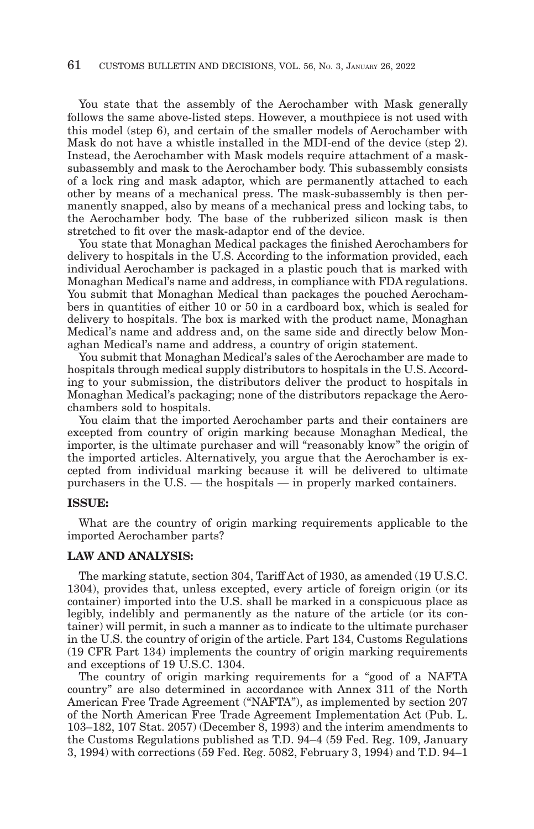You state that the assembly of the Aerochamber with Mask generally follows the same above-listed steps. However, a mouthpiece is not used with this model (step 6), and certain of the smaller models of Aerochamber with Mask do not have a whistle installed in the MDI-end of the device (step 2). Instead, the Aerochamber with Mask models require attachment of a masksubassembly and mask to the Aerochamber body. This subassembly consists of a lock ring and mask adaptor, which are permanently attached to each other by means of a mechanical press. The mask-subassembly is then permanently snapped, also by means of a mechanical press and locking tabs, to the Aerochamber body. The base of the rubberized silicon mask is then stretched to fit over the mask-adaptor end of the device.

You state that Monaghan Medical packages the finished Aerochambers for delivery to hospitals in the U.S. According to the information provided, each individual Aerochamber is packaged in a plastic pouch that is marked with Monaghan Medical's name and address, in compliance with FDA regulations. You submit that Monaghan Medical than packages the pouched Aerochambers in quantities of either 10 or 50 in a cardboard box, which is sealed for delivery to hospitals. The box is marked with the product name, Monaghan Medical's name and address and, on the same side and directly below Monaghan Medical's name and address, a country of origin statement.

You submit that Monaghan Medical's sales of the Aerochamber are made to hospitals through medical supply distributors to hospitals in the U.S. According to your submission, the distributors deliver the product to hospitals in Monaghan Medical's packaging; none of the distributors repackage the Aerochambers sold to hospitals.

You claim that the imported Aerochamber parts and their containers are excepted from country of origin marking because Monaghan Medical, the importer, is the ultimate purchaser and will "reasonably know" the origin of the imported articles. Alternatively, you argue that the Aerochamber is excepted from individual marking because it will be delivered to ultimate purchasers in the U.S. — the hospitals — in properly marked containers.

#### **ISSUE:**

What are the country of origin marking requirements applicable to the imported Aerochamber parts?

#### **LAW AND ANALYSIS:**

The marking statute, section 304, Tariff Act of 1930, as amended (19 U.S.C. 1304), provides that, unless excepted, every article of foreign origin (or its container) imported into the U.S. shall be marked in a conspicuous place as legibly, indelibly and permanently as the nature of the article (or its container) will permit, in such a manner as to indicate to the ultimate purchaser in the U.S. the country of origin of the article. Part 134, Customs Regulations (19 CFR Part 134) implements the country of origin marking requirements and exceptions of 19 U.S.C. 1304.

The country of origin marking requirements for a "good of a NAFTA country" are also determined in accordance with Annex 311 of the North American Free Trade Agreement ("NAFTA"), as implemented by section 207 of the North American Free Trade Agreement Implementation Act (Pub. L. 103–182, 107 Stat. 2057) (December 8, 1993) and the interim amendments to the Customs Regulations published as T.D. 94–4 (59 Fed. Reg. 109, January 3, 1994) with corrections (59 Fed. Reg. 5082, February 3, 1994) and T.D. 94–1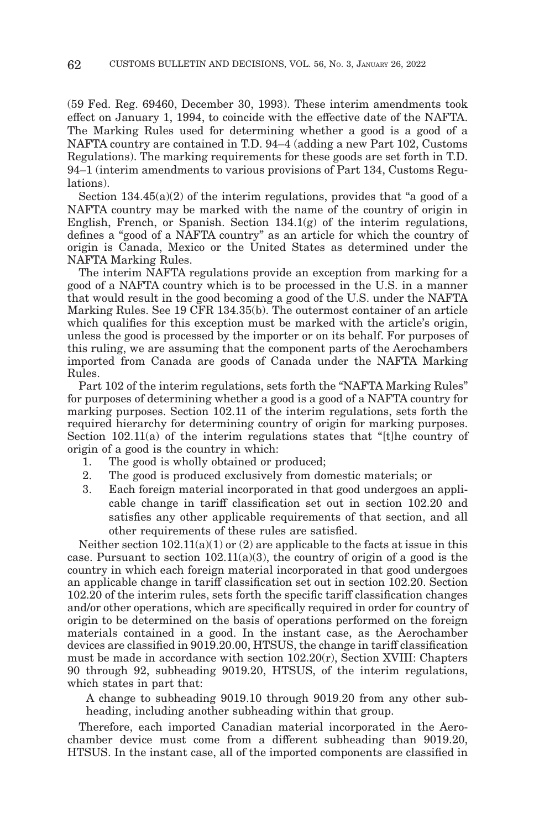(59 Fed. Reg. 69460, December 30, 1993). These interim amendments took effect on January 1, 1994, to coincide with the effective date of the NAFTA. The Marking Rules used for determining whether a good is a good of a NAFTA country are contained in T.D. 94–4 (adding a new Part 102, Customs Regulations). The marking requirements for these goods are set forth in T.D. 94–1 (interim amendments to various provisions of Part 134, Customs Regulations).

Section  $134.45(a)(2)$  of the interim regulations, provides that "a good of a NAFTA country may be marked with the name of the country of origin in English, French, or Spanish. Section  $134.1(g)$  of the interim regulations, defines a "good of a NAFTA country" as an article for which the country of origin is Canada, Mexico or the United States as determined under the NAFTA Marking Rules.

The interim NAFTA regulations provide an exception from marking for a good of a NAFTA country which is to be processed in the U.S. in a manner that would result in the good becoming a good of the U.S. under the NAFTA Marking Rules. See 19 CFR 134.35(b). The outermost container of an article which qualifies for this exception must be marked with the article's origin, unless the good is processed by the importer or on its behalf. For purposes of this ruling, we are assuming that the component parts of the Aerochambers imported from Canada are goods of Canada under the NAFTA Marking Rules.

Part 102 of the interim regulations, sets forth the "NAFTA Marking Rules" for purposes of determining whether a good is a good of a NAFTA country for marking purposes. Section 102.11 of the interim regulations, sets forth the required hierarchy for determining country of origin for marking purposes. Section 102.11(a) of the interim regulations states that "[t]he country of origin of a good is the country in which:

- 1. The good is wholly obtained or produced;
- 2. The good is produced exclusively from domestic materials; or
- 3. Each foreign material incorporated in that good undergoes an applicable change in tariff classification set out in section 102.20 and satisfies any other applicable requirements of that section, and all other requirements of these rules are satisfied.

Neither section  $102.11(a)(1)$  or  $(2)$  are applicable to the facts at issue in this case. Pursuant to section  $102.11(a)(3)$ , the country of origin of a good is the country in which each foreign material incorporated in that good undergoes an applicable change in tariff classification set out in section 102.20. Section 102.20 of the interim rules, sets forth the specific tariff classification changes and/or other operations, which are specifically required in order for country of origin to be determined on the basis of operations performed on the foreign materials contained in a good. In the instant case, as the Aerochamber devices are classified in 9019.20.00, HTSUS, the change in tariff classification must be made in accordance with section 102.20(r), Section XVIII: Chapters 90 through 92, subheading 9019.20, HTSUS, of the interim regulations, which states in part that:

A change to subheading 9019.10 through 9019.20 from any other subheading, including another subheading within that group.

Therefore, each imported Canadian material incorporated in the Aerochamber device must come from a different subheading than 9019.20, HTSUS. In the instant case, all of the imported components are classified in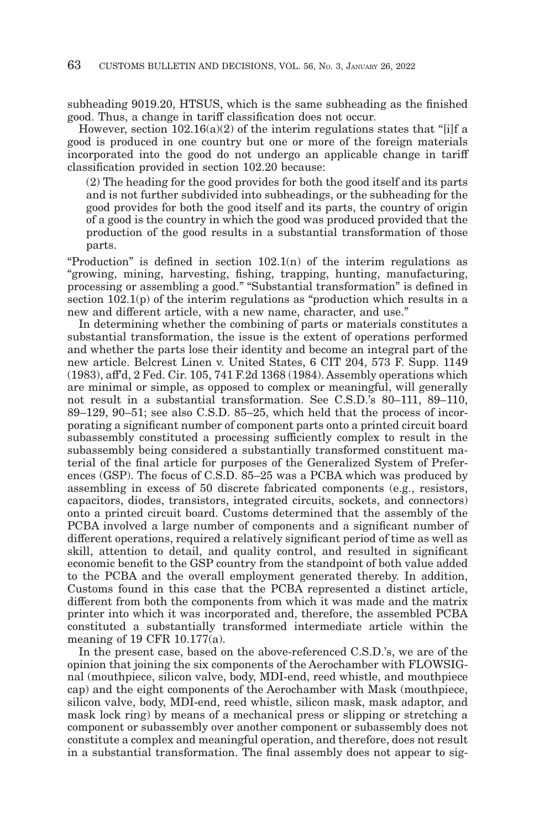subheading 9019.20, HTSUS, which is the same subheading as the finished good. Thus, a change in tariff classification does not occur.

However, section  $102.16(a)(2)$  of the interim regulations states that "[i]f a good is produced in one country but one or more of the foreign materials incorporated into the good do not undergo an applicable change in tariff classification provided in section 102.20 because:

(2) The heading for the good provides for both the good itself and its parts and is not further subdivided into subheadings, or the subheading for the good provides for both the good itself and its parts, the country of origin of a good is the country in which the good was produced provided that the production of the good results in a substantial transformation of those parts.

"Production" is defined in section  $102.1(n)$  of the interim regulations as "growing, mining, harvesting, fishing, trapping, hunting, manufacturing, processing or assembling a good." "Substantial transformation" is defined in section 102.1(p) of the interim regulations as "production which results in a new and different article, with a new name, character, and use."

In determining whether the combining of parts or materials constitutes a substantial transformation, the issue is the extent of operations performed and whether the parts lose their identity and become an integral part of the new article. Belcrest Linen v. United States, 6 CIT 204, 573 F. Supp. 1149 (1983), aff'd, 2 Fed. Cir. 105, 741 F.2d 1368 (1984). Assembly operations which are minimal or simple, as opposed to complex or meaningful, will generally not result in a substantial transformation. See C.S.D.'s 80–111, 89–110, 89–129, 90–51; see also C.S.D. 85–25, which held that the process of incorporating a significant number of component parts onto a printed circuit board subassembly constituted a processing sufficiently complex to result in the subassembly being considered a substantially transformed constituent material of the final article for purposes of the Generalized System of Preferences (GSP). The focus of C.S.D. 85–25 was a PCBA which was produced by assembling in excess of 50 discrete fabricated components (e.g., resistors, capacitors, diodes, transistors, integrated circuits, sockets, and connectors) onto a printed circuit board. Customs determined that the assembly of the PCBA involved a large number of components and a significant number of different operations, required a relatively significant period of time as well as skill, attention to detail, and quality control, and resulted in significant economic benefit to the GSP country from the standpoint of both value added to the PCBA and the overall employment generated thereby. In addition, Customs found in this case that the PCBA represented a distinct article, different from both the components from which it was made and the matrix printer into which it was incorporated and, therefore, the assembled PCBA constituted a substantially transformed intermediate article within the meaning of 19 CFR 10.177(a).

In the present case, based on the above-referenced C.S.D.'s, we are of the opinion that joining the six components of the Aerochamber with FLOWSIGnal (mouthpiece, silicon valve, body, MDI-end, reed whistle, and mouthpiece cap) and the eight components of the Aerochamber with Mask (mouthpiece, silicon valve, body, MDI-end, reed whistle, silicon mask, mask adaptor, and mask lock ring) by means of a mechanical press or slipping or stretching a component or subassembly over another component or subassembly does not constitute a complex and meaningful operation, and therefore, does not result in a substantial transformation. The final assembly does not appear to sig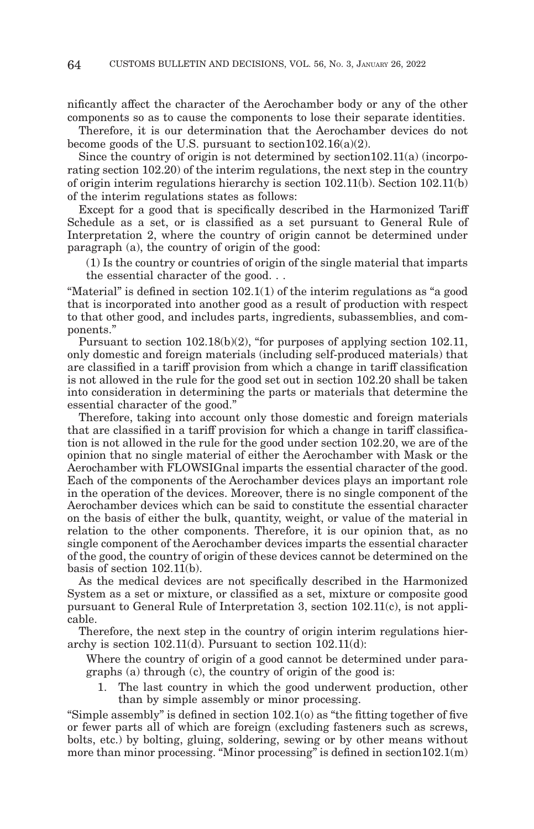nificantly affect the character of the Aerochamber body or any of the other components so as to cause the components to lose their separate identities.

Therefore, it is our determination that the Aerochamber devices do not become goods of the U.S. pursuant to section  $102.16(a)(2)$ .

Since the country of origin is not determined by section102.11(a) (incorporating section 102.20) of the interim regulations, the next step in the country of origin interim regulations hierarchy is section 102.11(b). Section 102.11(b) of the interim regulations states as follows:

Except for a good that is specifically described in the Harmonized Tariff Schedule as a set, or is classified as a set pursuant to General Rule of Interpretation 2, where the country of origin cannot be determined under paragraph (a), the country of origin of the good:

(1) Is the country or countries of origin of the single material that imparts the essential character of the good. . .

"Material" is defined in section 102.1(1) of the interim regulations as "a good that is incorporated into another good as a result of production with respect to that other good, and includes parts, ingredients, subassemblies, and components."

Pursuant to section 102.18(b)(2), "for purposes of applying section 102.11, only domestic and foreign materials (including self-produced materials) that are classified in a tariff provision from which a change in tariff classification is not allowed in the rule for the good set out in section 102.20 shall be taken into consideration in determining the parts or materials that determine the essential character of the good."

Therefore, taking into account only those domestic and foreign materials that are classified in a tariff provision for which a change in tariff classification is not allowed in the rule for the good under section 102.20, we are of the opinion that no single material of either the Aerochamber with Mask or the Aerochamber with FLOWSIGnal imparts the essential character of the good. Each of the components of the Aerochamber devices plays an important role in the operation of the devices. Moreover, there is no single component of the Aerochamber devices which can be said to constitute the essential character on the basis of either the bulk, quantity, weight, or value of the material in relation to the other components. Therefore, it is our opinion that, as no single component of the Aerochamber devices imparts the essential character of the good, the country of origin of these devices cannot be determined on the basis of section 102.11(b).

As the medical devices are not specifically described in the Harmonized System as a set or mixture, or classified as a set, mixture or composite good pursuant to General Rule of Interpretation 3, section 102.11(c), is not applicable.

Therefore, the next step in the country of origin interim regulations hierarchy is section 102.11(d). Pursuant to section 102.11(d):

Where the country of origin of a good cannot be determined under paragraphs (a) through (c), the country of origin of the good is:

1. The last country in which the good underwent production, other than by simple assembly or minor processing.

"Simple assembly" is defined in section 102.1(o) as "the fitting together of five or fewer parts all of which are foreign (excluding fasteners such as screws, bolts, etc.) by bolting, gluing, soldering, sewing or by other means without more than minor processing. "Minor processing" is defined in section  $102.1(m)$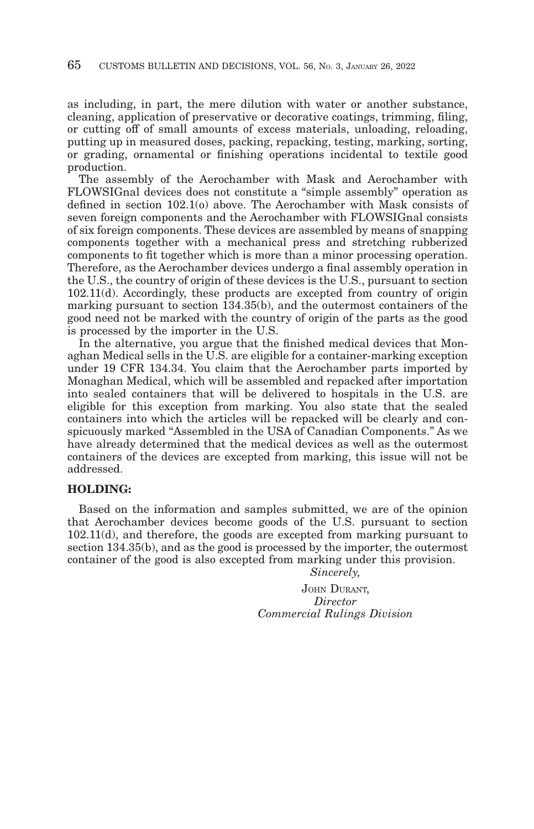as including, in part, the mere dilution with water or another substance, cleaning, application of preservative or decorative coatings, trimming, filing, or cutting off of small amounts of excess materials, unloading, reloading, putting up in measured doses, packing, repacking, testing, marking, sorting, or grading, ornamental or finishing operations incidental to textile good production.

The assembly of the Aerochamber with Mask and Aerochamber with FLOWSIGnal devices does not constitute a "simple assembly" operation as defined in section 102.1(o) above. The Aerochamber with Mask consists of seven foreign components and the Aerochamber with FLOWSIGnal consists of six foreign components. These devices are assembled by means of snapping components together with a mechanical press and stretching rubberized components to fit together which is more than a minor processing operation. Therefore, as the Aerochamber devices undergo a final assembly operation in the U.S., the country of origin of these devices is the U.S., pursuant to section 102.11(d). Accordingly, these products are excepted from country of origin marking pursuant to section 134.35(b), and the outermost containers of the good need not be marked with the country of origin of the parts as the good is processed by the importer in the U.S.

In the alternative, you argue that the finished medical devices that Monaghan Medical sells in the U.S. are eligible for a container-marking exception under 19 CFR 134.34. You claim that the Aerochamber parts imported by Monaghan Medical, which will be assembled and repacked after importation into sealed containers that will be delivered to hospitals in the U.S. are eligible for this exception from marking. You also state that the sealed containers into which the articles will be repacked will be clearly and conspicuously marked "Assembled in the USA of Canadian Components." As we have already determined that the medical devices as well as the outermost containers of the devices are excepted from marking, this issue will not be addressed.

#### **HOLDING:**

Based on the information and samples submitted, we are of the opinion that Aerochamber devices become goods of the U.S. pursuant to section 102.11(d), and therefore, the goods are excepted from marking pursuant to section 134.35(b), and as the good is processed by the importer, the outermost container of the good is also excepted from marking under this provision.

*Sincerely,*

JOHN DURANT, *Director Commercial Rulings Division*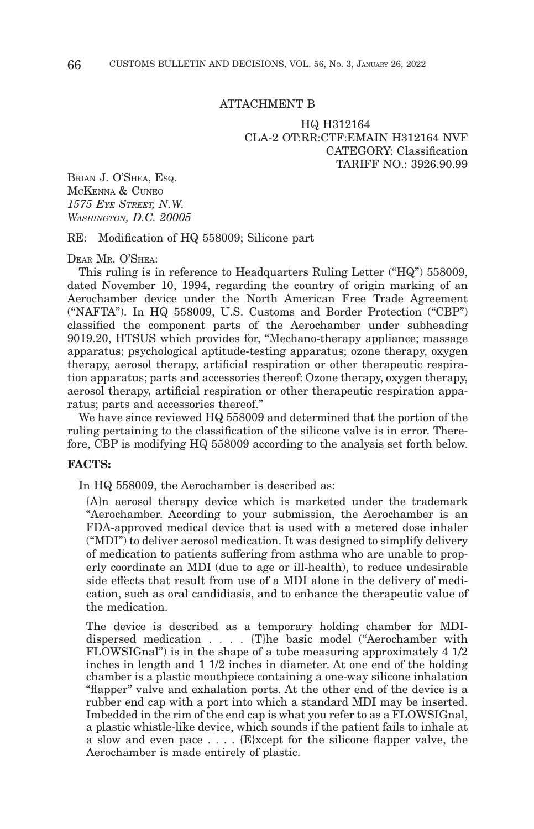#### ATTACHMENT B

#### HQ H312164 CLA-2 OT:RR:CTF:EMAIN H312164 NVF CATEGORY: Classification TARIFF NO · 3926 90.99

BRIAN J. O'SHEA, ESQ. MCKENNA & CUNEO *1575 EYE STREET, N.W. WASHINGTON, D.C. 20005*

RE: Modification of HQ 558009; Silicone part

DEAR MR. O'SHEA:

This ruling is in reference to Headquarters Ruling Letter ("HQ") 558009, dated November 10, 1994, regarding the country of origin marking of an Aerochamber device under the North American Free Trade Agreement ("NAFTA"). In HQ 558009, U.S. Customs and Border Protection ("CBP") classified the component parts of the Aerochamber under subheading 9019.20, HTSUS which provides for, "Mechano-therapy appliance; massage apparatus; psychological aptitude-testing apparatus; ozone therapy, oxygen therapy, aerosol therapy, artificial respiration or other therapeutic respiration apparatus; parts and accessories thereof: Ozone therapy, oxygen therapy, aerosol therapy, artificial respiration or other therapeutic respiration apparatus; parts and accessories thereof."

We have since reviewed HQ 558009 and determined that the portion of the ruling pertaining to the classification of the silicone valve is in error. Therefore, CBP is modifying HQ 558009 according to the analysis set forth below.

#### **FACTS:**

In HQ 558009, the Aerochamber is described as:

{A}n aerosol therapy device which is marketed under the trademark "Aerochamber. According to your submission, the Aerochamber is an FDA-approved medical device that is used with a metered dose inhaler ("MDI") to deliver aerosol medication. It was designed to simplify delivery of medication to patients suffering from asthma who are unable to properly coordinate an MDI (due to age or ill-health), to reduce undesirable side effects that result from use of a MDI alone in the delivery of medication, such as oral candidiasis, and to enhance the therapeutic value of the medication.

The device is described as a temporary holding chamber for MDIdispersed medication . . . . {T}he basic model ("Aerochamber with FLOWSIGnal") is in the shape of a tube measuring approximately 4 1/2 inches in length and 1 1/2 inches in diameter. At one end of the holding chamber is a plastic mouthpiece containing a one-way silicone inhalation "flapper" valve and exhalation ports. At the other end of the device is a rubber end cap with a port into which a standard MDI may be inserted. Imbedded in the rim of the end cap is what you refer to as a FLOWSIGnal, a plastic whistle-like device, which sounds if the patient fails to inhale at a slow and even pace . . . . {E}xcept for the silicone flapper valve, the Aerochamber is made entirely of plastic.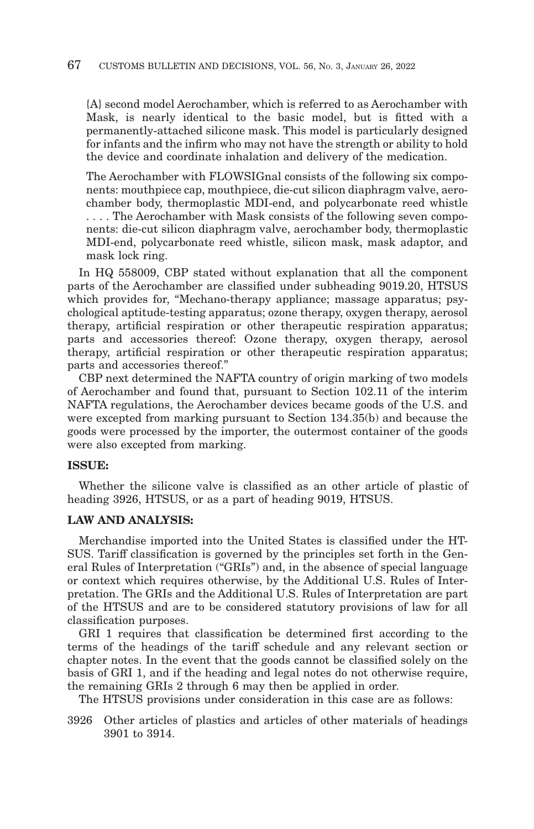{A} second model Aerochamber, which is referred to as Aerochamber with Mask, is nearly identical to the basic model, but is fitted with a permanently-attached silicone mask. This model is particularly designed for infants and the infirm who may not have the strength or ability to hold the device and coordinate inhalation and delivery of the medication.

The Aerochamber with FLOWSIGnal consists of the following six components: mouthpiece cap, mouthpiece, die-cut silicon diaphragm valve, aerochamber body, thermoplastic MDI-end, and polycarbonate reed whistle . . . . The Aerochamber with Mask consists of the following seven components: die-cut silicon diaphragm valve, aerochamber body, thermoplastic MDI-end, polycarbonate reed whistle, silicon mask, mask adaptor, and mask lock ring.

In HQ 558009, CBP stated without explanation that all the component parts of the Aerochamber are classified under subheading 9019.20, HTSUS which provides for, "Mechano-therapy appliance; massage apparatus; psychological aptitude-testing apparatus; ozone therapy, oxygen therapy, aerosol therapy, artificial respiration or other therapeutic respiration apparatus; parts and accessories thereof: Ozone therapy, oxygen therapy, aerosol therapy, artificial respiration or other therapeutic respiration apparatus; parts and accessories thereof."

CBP next determined the NAFTA country of origin marking of two models of Aerochamber and found that, pursuant to Section 102.11 of the interim NAFTA regulations, the Aerochamber devices became goods of the U.S. and were excepted from marking pursuant to Section 134.35(b) and because the goods were processed by the importer, the outermost container of the goods were also excepted from marking.

#### **ISSUE:**

Whether the silicone valve is classified as an other article of plastic of heading 3926, HTSUS, or as a part of heading 9019, HTSUS.

### **LAW AND ANALYSIS:**

Merchandise imported into the United States is classified under the HT-SUS. Tariff classification is governed by the principles set forth in the General Rules of Interpretation ("GRIs") and, in the absence of special language or context which requires otherwise, by the Additional U.S. Rules of Interpretation. The GRIs and the Additional U.S. Rules of Interpretation are part of the HTSUS and are to be considered statutory provisions of law for all classification purposes.

GRI 1 requires that classification be determined first according to the terms of the headings of the tariff schedule and any relevant section or chapter notes. In the event that the goods cannot be classified solely on the basis of GRI 1, and if the heading and legal notes do not otherwise require, the remaining GRIs 2 through 6 may then be applied in order.

The HTSUS provisions under consideration in this case are as follows:

3926 Other articles of plastics and articles of other materials of headings 3901 to 3914.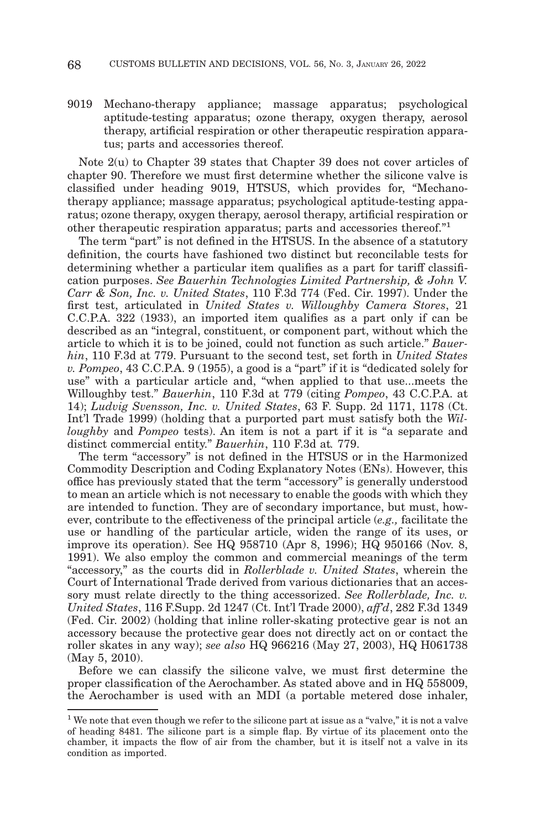9019 Mechano-therapy appliance; massage apparatus; psychological aptitude-testing apparatus; ozone therapy, oxygen therapy, aerosol therapy, artificial respiration or other therapeutic respiration apparatus; parts and accessories thereof.

Note 2(u) to Chapter 39 states that Chapter 39 does not cover articles of chapter 90. Therefore we must first determine whether the silicone valve is classified under heading 9019, HTSUS, which provides for, "Mechanotherapy appliance; massage apparatus; psychological aptitude-testing apparatus; ozone therapy, oxygen therapy, aerosol therapy, artificial respiration or other therapeutic respiration apparatus; parts and accessories thereof."1

The term "part" is not defined in the HTSUS. In the absence of a statutory definition, the courts have fashioned two distinct but reconcilable tests for determining whether a particular item qualifies as a part for tariff classification purposes. *See Bauerhin Technologies Limited Partnership, & John V. Carr & Son, Inc. v. United States*, 110 F.3d 774 (Fed. Cir. 1997). Under the first test, articulated in *United States v. Willoughby Camera Stores*, 21 C.C.P.A. 322 (1933), an imported item qualifies as a part only if can be described as an "integral, constituent, or component part, without which the article to which it is to be joined, could not function as such article." *Bauerhin*, 110 F.3d at 779. Pursuant to the second test, set forth in *United States v. Pompeo*, 43 C.C.P.A. 9 (1955), a good is a "part" if it is "dedicated solely for use" with a particular article and, "when applied to that use...meets the Willoughby test." *Bauerhin*, 110 F.3d at 779 (citing *Pompeo*, 43 C.C.P.A. at 14); *Ludvig Svensson, Inc. v. United States*, 63 F. Supp. 2d 1171, 1178 (Ct. Int'l Trade 1999) (holding that a purported part must satisfy both the *Willoughby* and *Pompeo* tests). An item is not a part if it is "a separate and distinct commercial entity." *Bauerhin*, 110 F.3d at*.* 779.

The term "accessory" is not defined in the HTSUS or in the Harmonized Commodity Description and Coding Explanatory Notes (ENs). However, this office has previously stated that the term "accessory" is generally understood to mean an article which is not necessary to enable the goods with which they are intended to function. They are of secondary importance, but must, however, contribute to the effectiveness of the principal article (*e.g.,* facilitate the use or handling of the particular article, widen the range of its uses, or improve its operation). See HQ 958710 (Apr 8, 1996); HQ 950166 (Nov. 8, 1991). We also employ the common and commercial meanings of the term "accessory," as the courts did in *Rollerblade v. United States*, wherein the Court of International Trade derived from various dictionaries that an accessory must relate directly to the thing accessorized. *See Rollerblade, Inc. v. United States*, 116 F.Supp. 2d 1247 (Ct. Int'l Trade 2000), *aff'd*, 282 F.3d 1349 (Fed. Cir. 2002) (holding that inline roller-skating protective gear is not an accessory because the protective gear does not directly act on or contact the roller skates in any way); *see also* HQ 966216 (May 27, 2003), HQ H061738 (May 5, 2010).

Before we can classify the silicone valve, we must first determine the proper classification of the Aerochamber. As stated above and in HQ 558009, the Aerochamber is used with an MDI (a portable metered dose inhaler,

<sup>&</sup>lt;sup>1</sup> We note that even though we refer to the silicone part at issue as a "valve," it is not a valve of heading 8481. The silicone part is a simple flap. By virtue of its placement onto the chamber, it impacts the flow of air from the chamber, but it is itself not a valve in its condition as imported.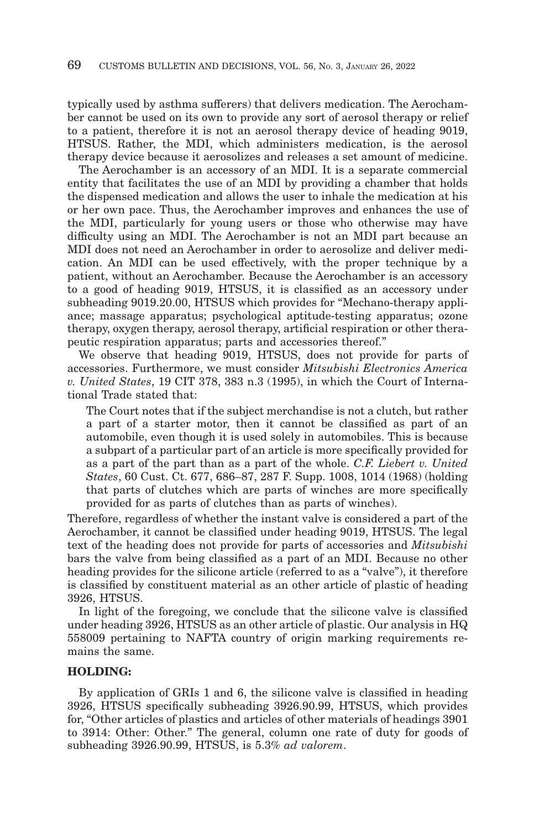typically used by asthma sufferers) that delivers medication. The Aerochamber cannot be used on its own to provide any sort of aerosol therapy or relief to a patient, therefore it is not an aerosol therapy device of heading 9019, HTSUS. Rather, the MDI, which administers medication, is the aerosol therapy device because it aerosolizes and releases a set amount of medicine.

The Aerochamber is an accessory of an MDI. It is a separate commercial entity that facilitates the use of an MDI by providing a chamber that holds the dispensed medication and allows the user to inhale the medication at his or her own pace. Thus, the Aerochamber improves and enhances the use of the MDI, particularly for young users or those who otherwise may have difficulty using an MDI. The Aerochamber is not an MDI part because an MDI does not need an Aerochamber in order to aerosolize and deliver medication. An MDI can be used effectively, with the proper technique by a patient, without an Aerochamber. Because the Aerochamber is an accessory to a good of heading 9019, HTSUS, it is classified as an accessory under subheading 9019.20.00, HTSUS which provides for "Mechano-therapy appliance; massage apparatus; psychological aptitude-testing apparatus; ozone therapy, oxygen therapy, aerosol therapy, artificial respiration or other therapeutic respiration apparatus; parts and accessories thereof."

We observe that heading 9019, HTSUS, does not provide for parts of accessories. Furthermore, we must consider *Mitsubishi Electronics America v. United States*, 19 CIT 378, 383 n.3 (1995), in which the Court of International Trade stated that:

The Court notes that if the subject merchandise is not a clutch, but rather a part of a starter motor, then it cannot be classified as part of an automobile, even though it is used solely in automobiles. This is because a subpart of a particular part of an article is more specifically provided for as a part of the part than as a part of the whole. *C.F. Liebert v. United States*, 60 Cust. Ct. 677, 686–87, 287 F. Supp. 1008, 1014 (1968) (holding that parts of clutches which are parts of winches are more specifically provided for as parts of clutches than as parts of winches).

Therefore, regardless of whether the instant valve is considered a part of the Aerochamber, it cannot be classified under heading 9019, HTSUS. The legal text of the heading does not provide for parts of accessories and *Mitsubishi* bars the valve from being classified as a part of an MDI. Because no other heading provides for the silicone article (referred to as a "valve"), it therefore is classified by constituent material as an other article of plastic of heading 3926, HTSUS.

In light of the foregoing, we conclude that the silicone valve is classified under heading 3926, HTSUS as an other article of plastic. Our analysis in HQ 558009 pertaining to NAFTA country of origin marking requirements remains the same.

#### **HOLDING:**

By application of GRIs 1 and 6, the silicone valve is classified in heading 3926, HTSUS specifically subheading 3926.90.99, HTSUS, which provides for, "Other articles of plastics and articles of other materials of headings 3901 to 3914: Other: Other." The general, column one rate of duty for goods of subheading 3926.90.99, HTSUS, is 5.3% *ad valorem*.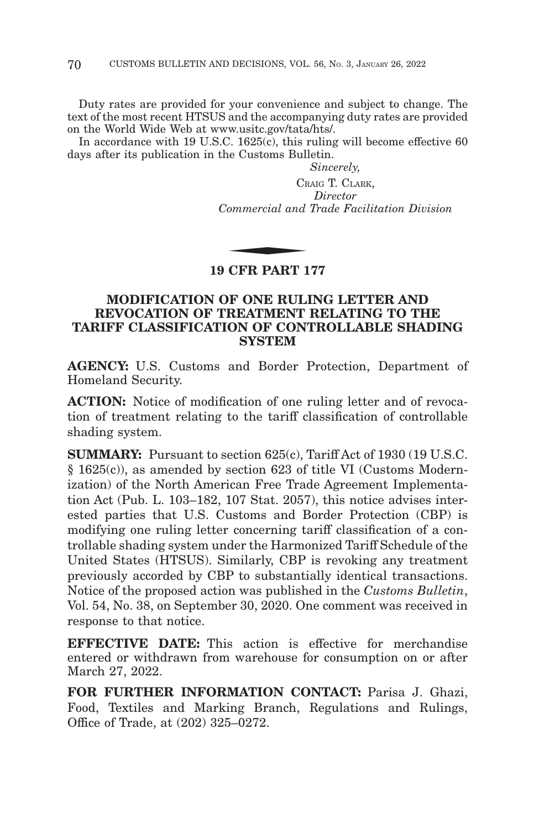Duty rates are provided for your convenience and subject to change. The text of the most recent HTSUS and the accompanying duty rates are provided on the World Wide Web at www.usitc.gov/tata/hts/.

In accordance with 19 U.S.C.  $1625(c)$ , this ruling will become effective 60 days after its publication in the Customs Bulletin.

*Sincerely,*

CRAIG T. CLARK, *Director Commercial and Trade Facilitation Division*  $C_R$ <br>  $\sum_{n=1}^{R} C_n$ 

### **19 CFR PART 177**

## **MODIFICATION OF ONE RULING LETTER AND REVOCATION OF TREATMENT RELATING TO THE TARIFF CLASSIFICATION OF CONTROLLABLE SHADING SYSTEM**

**AGENCY:** U.S. Customs and Border Protection, Department of Homeland Security.

**ACTION:** Notice of modification of one ruling letter and of revocation of treatment relating to the tariff classification of controllable shading system.

**SUMMARY:** Pursuant to section 625(c), Tariff Act of 1930 (19 U.S.C. § 1625(c)), as amended by section 623 of title VI (Customs Modernization) of the North American Free Trade Agreement Implementation Act (Pub. L. 103–182, 107 Stat. 2057), this notice advises interested parties that U.S. Customs and Border Protection (CBP) is modifying one ruling letter concerning tariff classification of a controllable shading system under the Harmonized Tariff Schedule of the United States (HTSUS). Similarly, CBP is revoking any treatment previously accorded by CBP to substantially identical transactions. Notice of the proposed action was published in the *Customs Bulletin*, Vol. 54, No. 38, on September 30, 2020. One comment was received in response to that notice.

**EFFECTIVE DATE:** This action is effective for merchandise entered or withdrawn from warehouse for consumption on or after March 27, 2022.

**FOR FURTHER INFORMATION CONTACT:** Parisa J. Ghazi, Food, Textiles and Marking Branch, Regulations and Rulings, Office of Trade, at (202) 325–0272.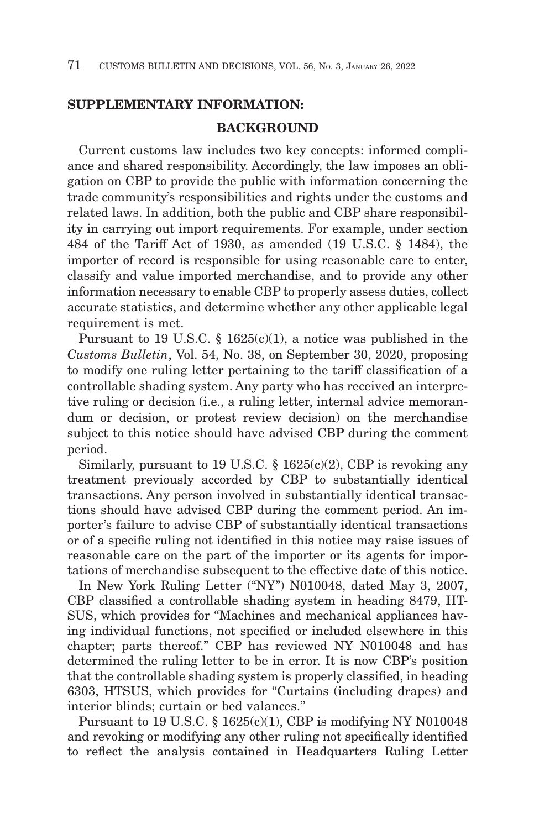## **SUPPLEMENTARY INFORMATION:**

### **BACKGROUND**

Current customs law includes two key concepts: informed compliance and shared responsibility. Accordingly, the law imposes an obligation on CBP to provide the public with information concerning the trade community's responsibilities and rights under the customs and related laws. In addition, both the public and CBP share responsibility in carrying out import requirements. For example, under section 484 of the Tariff Act of 1930, as amended (19 U.S.C. § 1484), the importer of record is responsible for using reasonable care to enter, classify and value imported merchandise, and to provide any other information necessary to enable CBP to properly assess duties, collect accurate statistics, and determine whether any other applicable legal requirement is met.

Pursuant to 19 U.S.C. § 1625(c)(1), a notice was published in the *Customs Bulletin*, Vol. 54, No. 38, on September 30, 2020, proposing to modify one ruling letter pertaining to the tariff classification of a controllable shading system. Any party who has received an interpretive ruling or decision (i.e., a ruling letter, internal advice memorandum or decision, or protest review decision) on the merchandise subject to this notice should have advised CBP during the comment period.

Similarly, pursuant to 19 U.S.C.  $\S$  1625(c)(2), CBP is revoking any treatment previously accorded by CBP to substantially identical transactions. Any person involved in substantially identical transactions should have advised CBP during the comment period. An importer's failure to advise CBP of substantially identical transactions or of a specific ruling not identified in this notice may raise issues of reasonable care on the part of the importer or its agents for importations of merchandise subsequent to the effective date of this notice.

In New York Ruling Letter ("NY") N010048, dated May 3, 2007, CBP classified a controllable shading system in heading 8479, HT-SUS, which provides for "Machines and mechanical appliances having individual functions, not specified or included elsewhere in this chapter; parts thereof." CBP has reviewed NY N010048 and has determined the ruling letter to be in error. It is now CBP's position that the controllable shading system is properly classified, in heading 6303, HTSUS, which provides for "Curtains (including drapes) and interior blinds; curtain or bed valances."

Pursuant to 19 U.S.C.  $\S$  1625(c)(1), CBP is modifying NY N010048 and revoking or modifying any other ruling not specifically identified to reflect the analysis contained in Headquarters Ruling Letter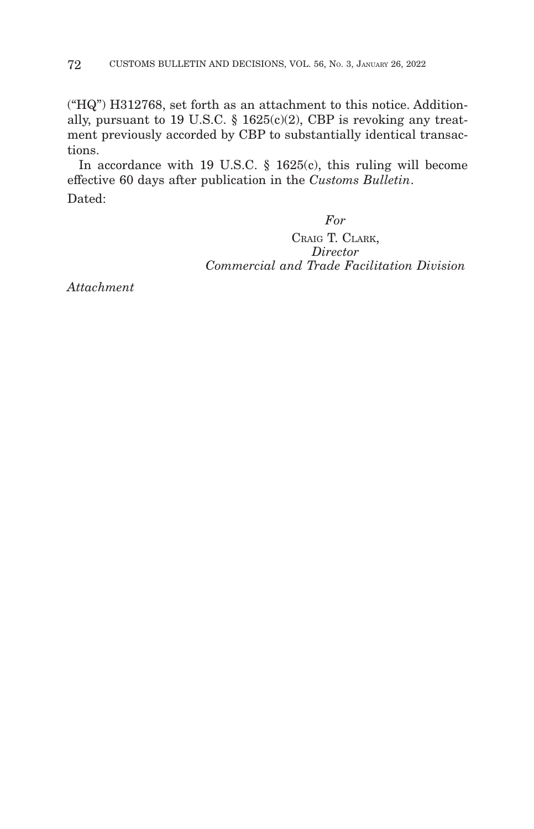("HQ") H312768, set forth as an attachment to this notice. Additionally, pursuant to 19 U.S.C.  $\S$  1625(c)(2), CBP is revoking any treatment previously accorded by CBP to substantially identical transactions.

In accordance with 19 U.S.C. § 1625(c), this ruling will become effective 60 days after publication in the *Customs Bulletin*. Dated:

# *For*

CRAIG T. CLARK, *Director Commercial and Trade Facilitation Division*

*Attachment*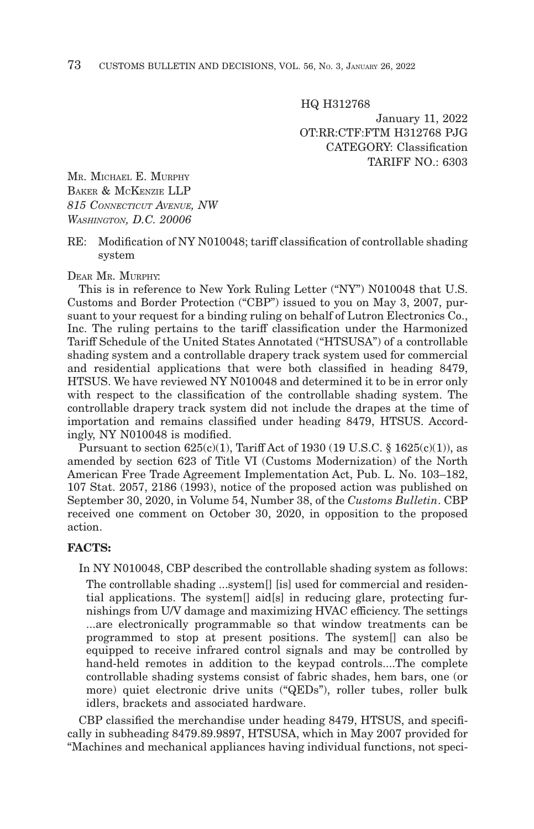HQ H312768

January 11, 2022 OT:RR:CTF:FTM H312768 PJG CATEGORY: Classification TARIFF  $NO \cdot 6303$ 

MR. MICHAEL E. MURPHY BAKER & MCKENZIE LLP *815 CONNECTICUT AVENUE, NW WASHINGTON, D.C. 20006*

RE: Modification of NY N010048; tariff classification of controllable shading system

DEAR MR. MURPHY:

This is in reference to New York Ruling Letter ("NY") N010048 that U.S. Customs and Border Protection ("CBP") issued to you on May 3, 2007, pursuant to your request for a binding ruling on behalf of Lutron Electronics Co., Inc. The ruling pertains to the tariff classification under the Harmonized Tariff Schedule of the United States Annotated ("HTSUSA") of a controllable shading system and a controllable drapery track system used for commercial and residential applications that were both classified in heading 8479, HTSUS. We have reviewed NY N010048 and determined it to be in error only with respect to the classification of the controllable shading system. The controllable drapery track system did not include the drapes at the time of importation and remains classified under heading 8479, HTSUS. Accordingly, NY N010048 is modified.

Pursuant to section  $625(c)(1)$ , Tariff Act of 1930 (19 U.S.C. § 1625 $(c)(1)$ ), as amended by section 623 of Title VI (Customs Modernization) of the North American Free Trade Agreement Implementation Act, Pub. L. No. 103–182, 107 Stat. 2057, 2186 (1993), notice of the proposed action was published on September 30, 2020, in Volume 54, Number 38, of the *Customs Bulletin*. CBP received one comment on October 30, 2020, in opposition to the proposed action.

#### **FACTS:**

In NY N010048, CBP described the controllable shading system as follows: The controllable shading ...system[] [is] used for commercial and residential applications. The system[] aid[s] in reducing glare, protecting furnishings from U/V damage and maximizing HVAC efficiency. The settings ...are electronically programmable so that window treatments can be programmed to stop at present positions. The system[] can also be equipped to receive infrared control signals and may be controlled by hand-held remotes in addition to the keypad controls....The complete controllable shading systems consist of fabric shades, hem bars, one (or more) quiet electronic drive units ("QEDs"), roller tubes, roller bulk idlers, brackets and associated hardware.

CBP classified the merchandise under heading 8479, HTSUS, and specifically in subheading 8479.89.9897, HTSUSA, which in May 2007 provided for "Machines and mechanical appliances having individual functions, not speci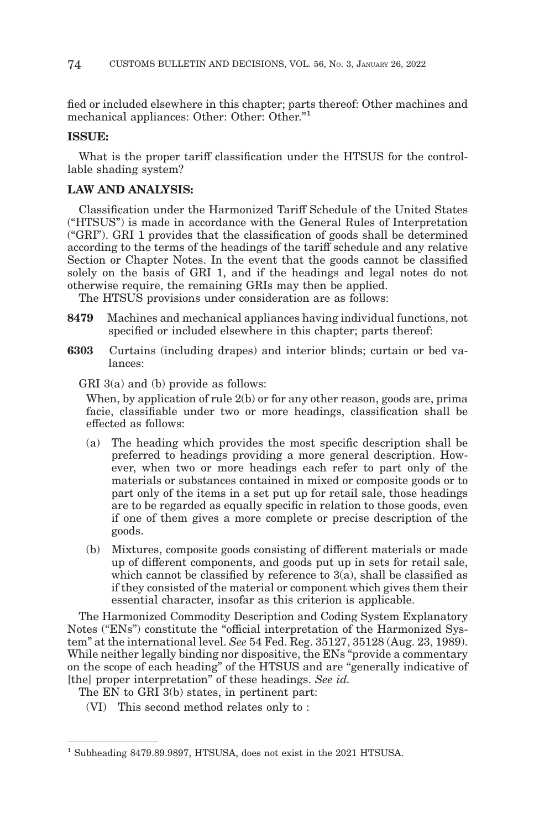fied or included elsewhere in this chapter; parts thereof: Other machines and mechanical appliances: Other: Other: Other."1

#### **ISSUE:**

What is the proper tariff classification under the HTSUS for the controllable shading system?

# **LAW AND ANALYSIS:**

Classification under the Harmonized Tariff Schedule of the United States ("HTSUS") is made in accordance with the General Rules of Interpretation ("GRI"). GRI 1 provides that the classification of goods shall be determined according to the terms of the headings of the tariff schedule and any relative Section or Chapter Notes. In the event that the goods cannot be classified solely on the basis of GRI 1, and if the headings and legal notes do not otherwise require, the remaining GRIs may then be applied.

The HTSUS provisions under consideration are as follows:

- **8479** Machines and mechanical appliances having individual functions, not specified or included elsewhere in this chapter; parts thereof:
- **6303** Curtains (including drapes) and interior blinds; curtain or bed valances:

GRI 3(a) and (b) provide as follows:

When, by application of rule 2(b) or for any other reason, goods are, prima facie, classifiable under two or more headings, classification shall be effected as follows:

- (a) The heading which provides the most specific description shall be preferred to headings providing a more general description. However, when two or more headings each refer to part only of the materials or substances contained in mixed or composite goods or to part only of the items in a set put up for retail sale, those headings are to be regarded as equally specific in relation to those goods, even if one of them gives a more complete or precise description of the goods.
- (b) Mixtures, composite goods consisting of different materials or made up of different components, and goods put up in sets for retail sale, which cannot be classified by reference to 3(a), shall be classified as if they consisted of the material or component which gives them their essential character, insofar as this criterion is applicable.

The Harmonized Commodity Description and Coding System Explanatory Notes ("ENs") constitute the "official interpretation of the Harmonized System" at the international level. *See* 54 Fed. Reg. 35127, 35128 (Aug. 23, 1989). While neither legally binding nor dispositive, the ENs "provide a commentary on the scope of each heading" of the HTSUS and are "generally indicative of [the] proper interpretation" of these headings. *See id.*

The EN to GRI 3(b) states, in pertinent part:

(VI) This second method relates only to :

<sup>1</sup> Subheading 8479.89.9897, HTSUSA, does not exist in the 2021 HTSUSA.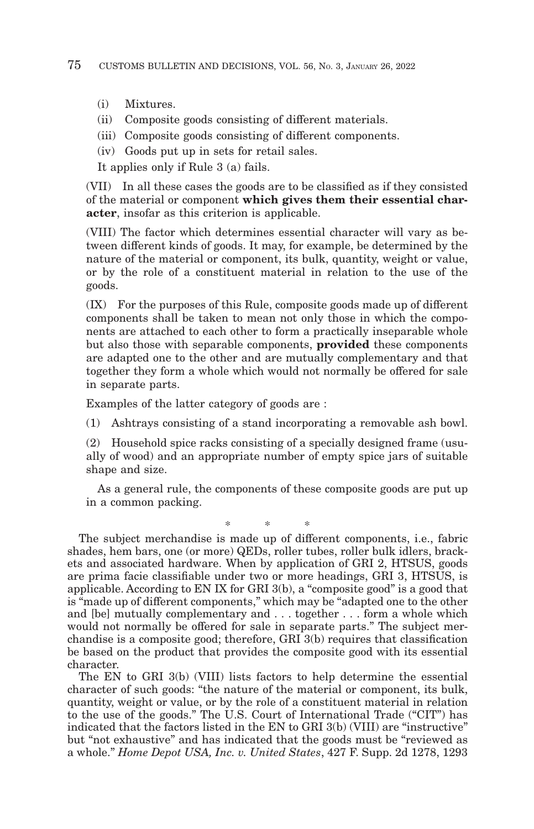- (i) Mixtures.
- (ii) Composite goods consisting of different materials.
- (iii) Composite goods consisting of different components.
- (iv) Goods put up in sets for retail sales.

It applies only if Rule 3 (a) fails.

(VII) In all these cases the goods are to be classified as if they consisted of the material or component **which gives them their essential character**, insofar as this criterion is applicable.

(VIII) The factor which determines essential character will vary as between different kinds of goods. It may, for example, be determined by the nature of the material or component, its bulk, quantity, weight or value, or by the role of a constituent material in relation to the use of the goods.

(IX) For the purposes of this Rule, composite goods made up of different components shall be taken to mean not only those in which the components are attached to each other to form a practically inseparable whole but also those with separable components, **provided** these components are adapted one to the other and are mutually complementary and that together they form a whole which would not normally be offered for sale in separate parts.

Examples of the latter category of goods are :

(1) Ashtrays consisting of a stand incorporating a removable ash bowl.

(2) Household spice racks consisting of a specially designed frame (usually of wood) and an appropriate number of empty spice jars of suitable shape and size.

As a general rule, the components of these composite goods are put up in a common packing.

\*\* \*

The subject merchandise is made up of different components, i.e., fabric shades, hem bars, one (or more) QEDs, roller tubes, roller bulk idlers, brackets and associated hardware. When by application of GRI 2, HTSUS, goods are prima facie classifiable under two or more headings, GRI 3, HTSUS, is applicable. According to EN IX for GRI 3(b), a "composite good" is a good that is "made up of different components," which may be "adapted one to the other and [be] mutually complementary and . . . together . . . form a whole which would not normally be offered for sale in separate parts." The subject merchandise is a composite good; therefore, GRI 3(b) requires that classification be based on the product that provides the composite good with its essential character.

The EN to GRI 3(b) (VIII) lists factors to help determine the essential character of such goods: "the nature of the material or component, its bulk, quantity, weight or value, or by the role of a constituent material in relation to the use of the goods." The U.S. Court of International Trade ("CIT") has indicated that the factors listed in the EN to GRI 3(b) (VIII) are "instructive" but "not exhaustive" and has indicated that the goods must be "reviewed as a whole." *Home Depot USA, Inc. v. United States*, 427 F. Supp. 2d 1278, 1293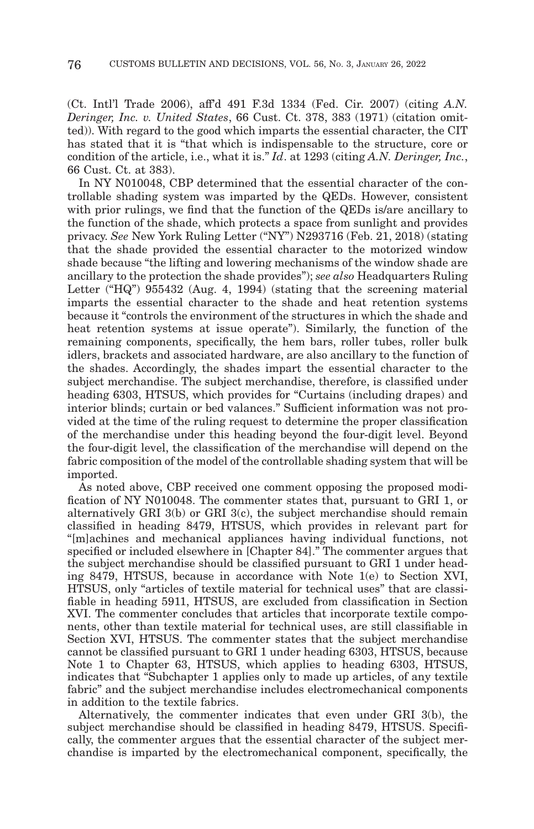(Ct. Intl'l Trade 2006), aff'd 491 F.3d 1334 (Fed. Cir. 2007) (citing *A.N. Deringer, Inc. v. United States*, 66 Cust. Ct. 378, 383 (1971) (citation omitted)). With regard to the good which imparts the essential character, the CIT has stated that it is "that which is indispensable to the structure, core or condition of the article, i.e., what it is." *Id*. at 1293 (citing *A.N. Deringer, Inc.*, 66 Cust. Ct. at 383).

In NY N010048, CBP determined that the essential character of the controllable shading system was imparted by the QEDs. However, consistent with prior rulings, we find that the function of the QEDs is/are ancillary to the function of the shade, which protects a space from sunlight and provides privacy. *See* New York Ruling Letter ("NY") N293716 (Feb. 21, 2018) (stating that the shade provided the essential character to the motorized window shade because "the lifting and lowering mechanisms of the window shade are ancillary to the protection the shade provides"); *see also* Headquarters Ruling Letter ("HQ") 955432 (Aug. 4, 1994) (stating that the screening material imparts the essential character to the shade and heat retention systems because it "controls the environment of the structures in which the shade and heat retention systems at issue operate"). Similarly, the function of the remaining components, specifically, the hem bars, roller tubes, roller bulk idlers, brackets and associated hardware, are also ancillary to the function of the shades. Accordingly, the shades impart the essential character to the subject merchandise. The subject merchandise, therefore, is classified under heading 6303, HTSUS, which provides for "Curtains (including drapes) and interior blinds; curtain or bed valances." Sufficient information was not provided at the time of the ruling request to determine the proper classification of the merchandise under this heading beyond the four-digit level. Beyond the four-digit level, the classification of the merchandise will depend on the fabric composition of the model of the controllable shading system that will be imported.

As noted above, CBP received one comment opposing the proposed modification of NY N010048. The commenter states that, pursuant to GRI 1, or alternatively GRI 3(b) or GRI 3(c), the subject merchandise should remain classified in heading 8479, HTSUS, which provides in relevant part for "[m]achines and mechanical appliances having individual functions, not specified or included elsewhere in [Chapter 84]." The commenter argues that the subject merchandise should be classified pursuant to GRI 1 under heading 8479, HTSUS, because in accordance with Note 1(e) to Section XVI, HTSUS, only "articles of textile material for technical uses" that are classifiable in heading 5911, HTSUS, are excluded from classification in Section XVI. The commenter concludes that articles that incorporate textile components, other than textile material for technical uses, are still classifiable in Section XVI, HTSUS. The commenter states that the subject merchandise cannot be classified pursuant to GRI 1 under heading 6303, HTSUS, because Note 1 to Chapter 63, HTSUS, which applies to heading 6303, HTSUS, indicates that "Subchapter 1 applies only to made up articles, of any textile fabric" and the subject merchandise includes electromechanical components in addition to the textile fabrics.

Alternatively, the commenter indicates that even under GRI 3(b), the subject merchandise should be classified in heading 8479, HTSUS. Specifically, the commenter argues that the essential character of the subject merchandise is imparted by the electromechanical component, specifically, the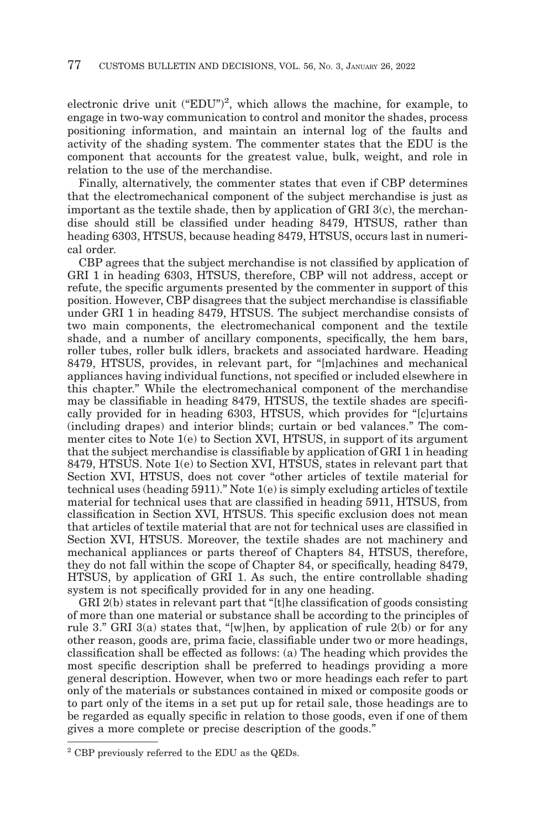electronic drive unit ("EDU")<sup>2</sup>, which allows the machine, for example, to engage in two-way communication to control and monitor the shades, process positioning information, and maintain an internal log of the faults and activity of the shading system. The commenter states that the EDU is the component that accounts for the greatest value, bulk, weight, and role in relation to the use of the merchandise.

Finally, alternatively, the commenter states that even if CBP determines that the electromechanical component of the subject merchandise is just as important as the textile shade, then by application of GRI 3(c), the merchandise should still be classified under heading 8479, HTSUS, rather than heading 6303, HTSUS, because heading 8479, HTSUS, occurs last in numerical order.

CBP agrees that the subject merchandise is not classified by application of GRI 1 in heading 6303, HTSUS, therefore, CBP will not address, accept or refute, the specific arguments presented by the commenter in support of this position. However, CBP disagrees that the subject merchandise is classifiable under GRI 1 in heading 8479, HTSUS. The subject merchandise consists of two main components, the electromechanical component and the textile shade, and a number of ancillary components, specifically, the hem bars, roller tubes, roller bulk idlers, brackets and associated hardware. Heading 8479, HTSUS, provides, in relevant part, for "[m]achines and mechanical appliances having individual functions, not specified or included elsewhere in this chapter." While the electromechanical component of the merchandise may be classifiable in heading 8479, HTSUS, the textile shades are specifically provided for in heading 6303, HTSUS, which provides for "[c]urtains (including drapes) and interior blinds; curtain or bed valances." The commenter cites to Note 1(e) to Section XVI, HTSUS, in support of its argument that the subject merchandise is classifiable by application of GRI 1 in heading 8479, HTSUS. Note 1(e) to Section XVI, HTSUS, states in relevant part that Section XVI, HTSUS, does not cover "other articles of textile material for technical uses (heading 5911)." Note 1(e) is simply excluding articles of textile material for technical uses that are classified in heading 5911, HTSUS, from classification in Section XVI, HTSUS. This specific exclusion does not mean that articles of textile material that are not for technical uses are classified in Section XVI, HTSUS. Moreover, the textile shades are not machinery and mechanical appliances or parts thereof of Chapters 84, HTSUS, therefore, they do not fall within the scope of Chapter 84, or specifically, heading 8479, HTSUS, by application of GRI 1. As such, the entire controllable shading system is not specifically provided for in any one heading.

GRI 2(b) states in relevant part that "[t]he classification of goods consisting of more than one material or substance shall be according to the principles of rule 3." GRI 3(a) states that, "[w]hen, by application of rule  $2(b)$  or for any other reason, goods are, prima facie, classifiable under two or more headings, classification shall be effected as follows: (a) The heading which provides the most specific description shall be preferred to headings providing a more general description. However, when two or more headings each refer to part only of the materials or substances contained in mixed or composite goods or to part only of the items in a set put up for retail sale, those headings are to be regarded as equally specific in relation to those goods, even if one of them gives a more complete or precise description of the goods."

<sup>2</sup> CBP previously referred to the EDU as the QEDs.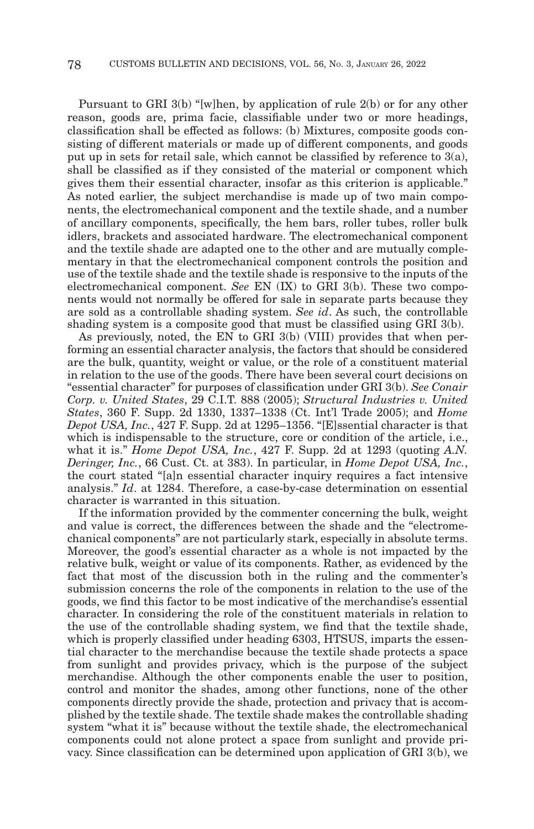Pursuant to GRI 3(b) "[w]hen, by application of rule 2(b) or for any other reason, goods are, prima facie, classifiable under two or more headings, classification shall be effected as follows: (b) Mixtures, composite goods consisting of different materials or made up of different components, and goods put up in sets for retail sale, which cannot be classified by reference to 3(a), shall be classified as if they consisted of the material or component which gives them their essential character, insofar as this criterion is applicable." As noted earlier, the subject merchandise is made up of two main components, the electromechanical component and the textile shade, and a number of ancillary components, specifically, the hem bars, roller tubes, roller bulk idlers, brackets and associated hardware. The electromechanical component and the textile shade are adapted one to the other and are mutually complementary in that the electromechanical component controls the position and use of the textile shade and the textile shade is responsive to the inputs of the electromechanical component. *See* EN (IX) to GRI 3(b). These two components would not normally be offered for sale in separate parts because they are sold as a controllable shading system. *See id*. As such, the controllable shading system is a composite good that must be classified using GRI 3(b).

As previously, noted, the EN to GRI 3(b) (VIII) provides that when performing an essential character analysis, the factors that should be considered are the bulk, quantity, weight or value, or the role of a constituent material in relation to the use of the goods. There have been several court decisions on "essential character" for purposes of classification under GRI 3(b). *See Conair Corp. v. United States*, 29 C.I.T. 888 (2005); *Structural Industries v. United States*, 360 F. Supp. 2d 1330, 1337–1338 (Ct. Int'l Trade 2005); and *Home Depot USA, Inc.*, 427 F. Supp. 2d at 1295–1356. "[E]ssential character is that which is indispensable to the structure, core or condition of the article, i.e., what it is." *Home Depot USA, Inc.*, 427 F. Supp. 2d at 1293 (quoting *A.N. Deringer, Inc.*, 66 Cust. Ct. at 383). In particular, in *Home Depot USA, Inc.*, the court stated "[a]n essential character inquiry requires a fact intensive analysis." *Id*. at 1284. Therefore, a case-by-case determination on essential character is warranted in this situation.

If the information provided by the commenter concerning the bulk, weight and value is correct, the differences between the shade and the "electromechanical components" are not particularly stark, especially in absolute terms. Moreover, the good's essential character as a whole is not impacted by the relative bulk, weight or value of its components. Rather, as evidenced by the fact that most of the discussion both in the ruling and the commenter's submission concerns the role of the components in relation to the use of the goods, we find this factor to be most indicative of the merchandise's essential character. In considering the role of the constituent materials in relation to the use of the controllable shading system, we find that the textile shade, which is properly classified under heading 6303, HTSUS, imparts the essential character to the merchandise because the textile shade protects a space from sunlight and provides privacy, which is the purpose of the subject merchandise. Although the other components enable the user to position, control and monitor the shades, among other functions, none of the other components directly provide the shade, protection and privacy that is accomplished by the textile shade. The textile shade makes the controllable shading system "what it is" because without the textile shade, the electromechanical components could not alone protect a space from sunlight and provide privacy. Since classification can be determined upon application of GRI 3(b), we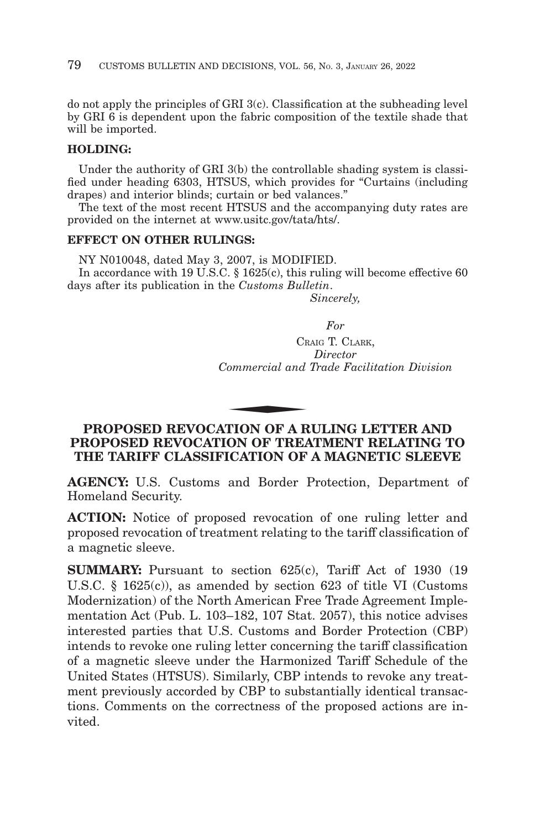do not apply the principles of GRI 3(c). Classification at the subheading level by GRI 6 is dependent upon the fabric composition of the textile shade that will be imported.

# **HOLDING:**

Under the authority of GRI 3(b) the controllable shading system is classified under heading 6303, HTSUS, which provides for "Curtains (including drapes) and interior blinds; curtain or bed valances."

The text of the most recent HTSUS and the accompanying duty rates are provided on the internet at www.usitc.gov/tata/hts/.

### **EFFECT ON OTHER RULINGS:**

NY N010048, dated May 3, 2007, is MODIFIED. In accordance with 19 U.S.C. § 1625(c), this ruling will become effective 60 days after its publication in the *Customs Bulletin*. *Sincerely,*

*For*

CRAIG T. CLARK, *Director Commercial and Trade Facilitation Division*  $C_R$ <br>  $Commercial$  and<br>  $\overline{C}$ <br>  $\overline{C}$ <br>  $\overline{C}$ <br>  $\overline{C}$ <br>  $\overline{C}$ <br>  $\overline{C}$ 

# **PROPOSED REVOCATION OF A RULING LETTER AND PROPOSED REVOCATION OF TREATMENT RELATING TO THE TARIFF CLASSIFICATION OF A MAGNETIC SLEEVE**

**AGENCY:** U.S. Customs and Border Protection, Department of Homeland Security.

**ACTION:** Notice of proposed revocation of one ruling letter and proposed revocation of treatment relating to the tariff classification of a magnetic sleeve.

**SUMMARY:** Pursuant to section 625(c), Tariff Act of 1930 (19) U.S.C. § 1625(c)), as amended by section 623 of title VI (Customs Modernization) of the North American Free Trade Agreement Implementation Act (Pub. L. 103–182, 107 Stat. 2057), this notice advises interested parties that U.S. Customs and Border Protection (CBP) intends to revoke one ruling letter concerning the tariff classification of a magnetic sleeve under the Harmonized Tariff Schedule of the United States (HTSUS). Similarly, CBP intends to revoke any treatment previously accorded by CBP to substantially identical transactions. Comments on the correctness of the proposed actions are invited.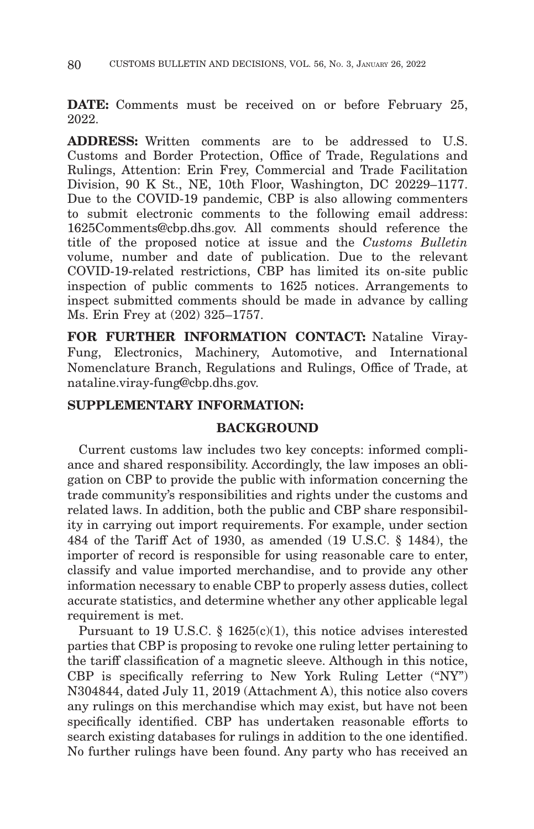**DATE:** Comments must be received on or before February 25, 2022.

**ADDRESS:** Written comments are to be addressed to U.S. Customs and Border Protection, Office of Trade, Regulations and Rulings, Attention: Erin Frey, Commercial and Trade Facilitation Division, 90 K St., NE, 10th Floor, Washington, DC 20229–1177. Due to the COVID-19 pandemic, CBP is also allowing commenters to submit electronic comments to the following email address: 1625Comments@cbp.dhs.gov. All comments should reference the title of the proposed notice at issue and the *Customs Bulletin* volume, number and date of publication. Due to the relevant COVID-19-related restrictions, CBP has limited its on-site public inspection of public comments to 1625 notices. Arrangements to inspect submitted comments should be made in advance by calling Ms. Erin Frey at (202) 325–1757.

**FOR FURTHER INFORMATION CONTACT:** Nataline Viray-Fung, Electronics, Machinery, Automotive, and International Nomenclature Branch, Regulations and Rulings, Office of Trade, at nataline.viray-fung@cbp.dhs.gov.

# **SUPPLEMENTARY INFORMATION:**

# **BACKGROUND**

Current customs law includes two key concepts: informed compliance and shared responsibility. Accordingly, the law imposes an obligation on CBP to provide the public with information concerning the trade community's responsibilities and rights under the customs and related laws. In addition, both the public and CBP share responsibility in carrying out import requirements. For example, under section 484 of the Tariff Act of 1930, as amended (19 U.S.C. § 1484), the importer of record is responsible for using reasonable care to enter, classify and value imported merchandise, and to provide any other information necessary to enable CBP to properly assess duties, collect accurate statistics, and determine whether any other applicable legal requirement is met.

Pursuant to 19 U.S.C. § 1625(c)(1), this notice advises interested parties that CBP is proposing to revoke one ruling letter pertaining to the tariff classification of a magnetic sleeve. Although in this notice, CBP is specifically referring to New York Ruling Letter ("NY") N304844, dated July 11, 2019 (Attachment A), this notice also covers any rulings on this merchandise which may exist, but have not been specifically identified. CBP has undertaken reasonable efforts to search existing databases for rulings in addition to the one identified. No further rulings have been found. Any party who has received an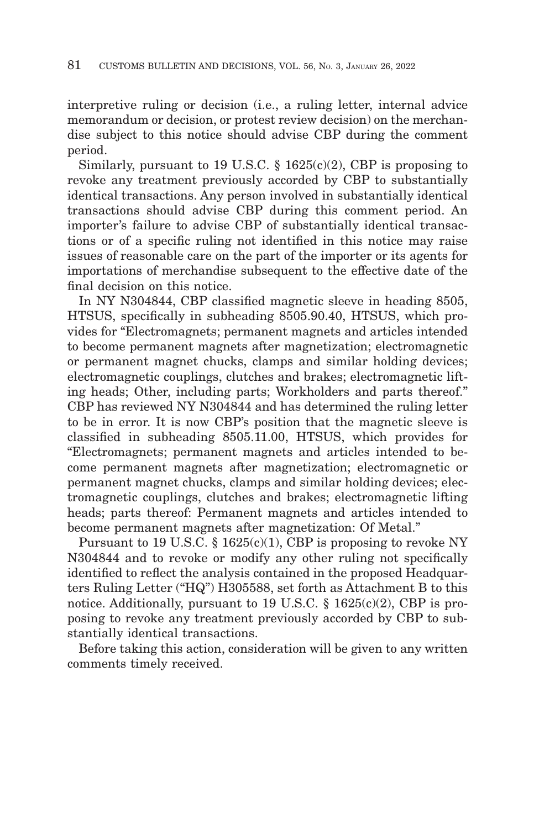interpretive ruling or decision (i.e., a ruling letter, internal advice memorandum or decision, or protest review decision) on the merchandise subject to this notice should advise CBP during the comment period.

Similarly, pursuant to 19 U.S.C.  $\S$  1625(c)(2), CBP is proposing to revoke any treatment previously accorded by CBP to substantially identical transactions. Any person involved in substantially identical transactions should advise CBP during this comment period. An importer's failure to advise CBP of substantially identical transactions or of a specific ruling not identified in this notice may raise issues of reasonable care on the part of the importer or its agents for importations of merchandise subsequent to the effective date of the final decision on this notice.

In NY N304844, CBP classified magnetic sleeve in heading 8505, HTSUS, specifically in subheading 8505.90.40, HTSUS, which provides for "Electromagnets; permanent magnets and articles intended to become permanent magnets after magnetization; electromagnetic or permanent magnet chucks, clamps and similar holding devices; electromagnetic couplings, clutches and brakes; electromagnetic lifting heads; Other, including parts; Workholders and parts thereof." CBP has reviewed NY N304844 and has determined the ruling letter to be in error. It is now CBP's position that the magnetic sleeve is classified in subheading 8505.11.00, HTSUS, which provides for "Electromagnets; permanent magnets and articles intended to become permanent magnets after magnetization; electromagnetic or permanent magnet chucks, clamps and similar holding devices; electromagnetic couplings, clutches and brakes; electromagnetic lifting heads; parts thereof: Permanent magnets and articles intended to become permanent magnets after magnetization: Of Metal."

Pursuant to 19 U.S.C.  $\S$  1625(c)(1), CBP is proposing to revoke NY N304844 and to revoke or modify any other ruling not specifically identified to reflect the analysis contained in the proposed Headquarters Ruling Letter ("HQ") H305588, set forth as Attachment B to this notice. Additionally, pursuant to 19 U.S.C.  $\S$  1625(c)(2), CBP is proposing to revoke any treatment previously accorded by CBP to substantially identical transactions.

Before taking this action, consideration will be given to any written comments timely received.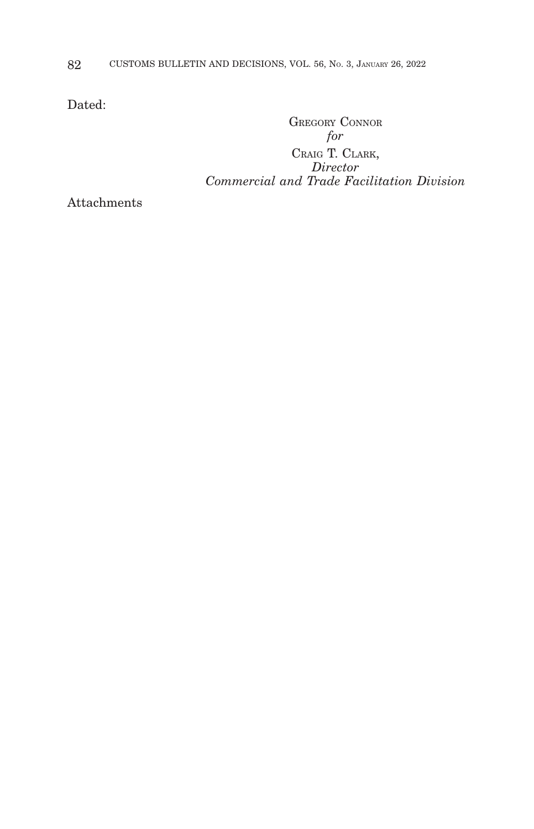Dated:

GREGORY CONNOR *for* CRAIG T. CLARK, *Director Commercial and Trade Facilitation Division*

Attachments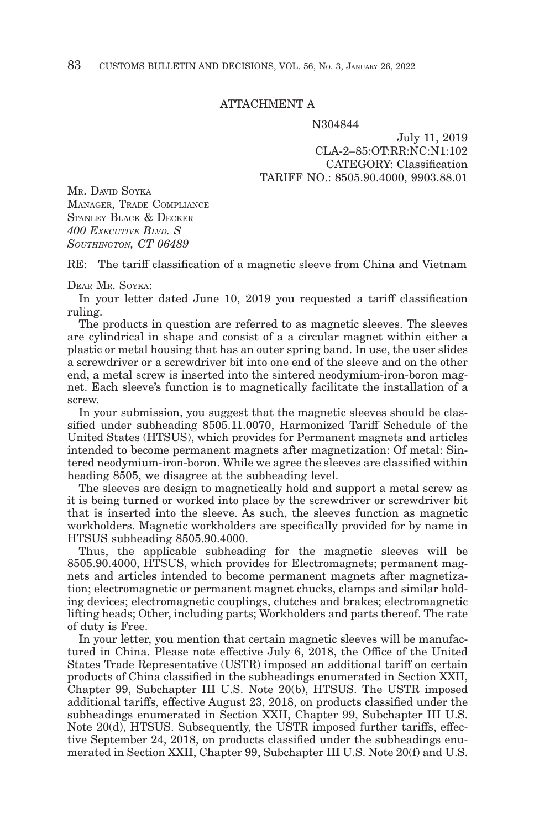#### ATTACHMENT A

#### N304844

July 11, 2019 CLA-2–85:OT:RR:NC:N1:102 CATEGORY: Classification TARIFF NO.: 8505.90.4000, 9903.88.01

MR. DAVID SOYKA MANAGER, TRADE COMPLIANCE STANLEY BLACK & DECKER *400 EXECUTIVE BLVD. S SOUTHINGTON, CT 06489*

RE: The tariff classification of a magnetic sleeve from China and Vietnam

DEAR MR. SOYKA:

In your letter dated June 10, 2019 you requested a tariff classification ruling.

The products in question are referred to as magnetic sleeves. The sleeves are cylindrical in shape and consist of a a circular magnet within either a plastic or metal housing that has an outer spring band. In use, the user slides a screwdriver or a screwdriver bit into one end of the sleeve and on the other end, a metal screw is inserted into the sintered neodymium-iron-boron magnet. Each sleeve's function is to magnetically facilitate the installation of a screw.

In your submission, you suggest that the magnetic sleeves should be classified under subheading 8505.11.0070, Harmonized Tariff Schedule of the United States (HTSUS), which provides for Permanent magnets and articles intended to become permanent magnets after magnetization: Of metal: Sintered neodymium-iron-boron. While we agree the sleeves are classified within heading 8505, we disagree at the subheading level.

The sleeves are design to magnetically hold and support a metal screw as it is being turned or worked into place by the screwdriver or screwdriver bit that is inserted into the sleeve. As such, the sleeves function as magnetic workholders. Magnetic workholders are specifically provided for by name in HTSUS subheading 8505.90.4000.

Thus, the applicable subheading for the magnetic sleeves will be 8505.90.4000, HTSUS, which provides for Electromagnets; permanent magnets and articles intended to become permanent magnets after magnetization; electromagnetic or permanent magnet chucks, clamps and similar holding devices; electromagnetic couplings, clutches and brakes; electromagnetic lifting heads; Other, including parts; Workholders and parts thereof. The rate of duty is Free.

In your letter, you mention that certain magnetic sleeves will be manufactured in China. Please note effective July 6, 2018, the Office of the United States Trade Representative (USTR) imposed an additional tariff on certain products of China classified in the subheadings enumerated in Section XXII, Chapter 99, Subchapter III U.S. Note 20(b), HTSUS. The USTR imposed additional tariffs, effective August 23, 2018, on products classified under the subheadings enumerated in Section XXII, Chapter 99, Subchapter III U.S. Note 20(d), HTSUS. Subsequently, the USTR imposed further tariffs, effective September 24, 2018, on products classified under the subheadings enumerated in Section XXII, Chapter 99, Subchapter III U.S. Note 20(f) and U.S.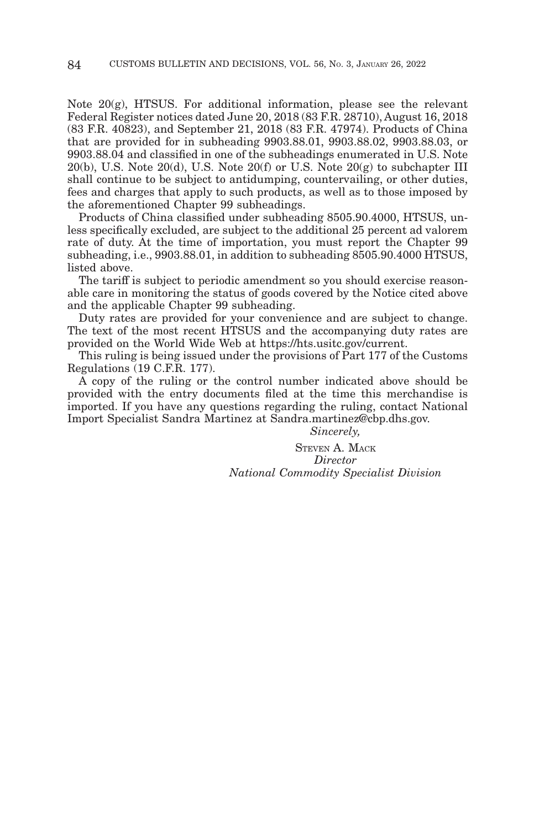Note 20(g), HTSUS. For additional information, please see the relevant Federal Register notices dated June 20, 2018 (83 F.R. 28710), August 16, 2018 (83 F.R. 40823), and September 21, 2018 (83 F.R. 47974). Products of China that are provided for in subheading 9903.88.01, 9903.88.02, 9903.88.03, or 9903.88.04 and classified in one of the subheadings enumerated in U.S. Note  $20(b)$ , U.S. Note  $20(d)$ , U.S. Note  $20(f)$  or U.S. Note  $20(g)$  to subchapter III shall continue to be subject to antidumping, countervailing, or other duties, fees and charges that apply to such products, as well as to those imposed by the aforementioned Chapter 99 subheadings.

Products of China classified under subheading 8505.90.4000, HTSUS, unless specifically excluded, are subject to the additional 25 percent ad valorem rate of duty. At the time of importation, you must report the Chapter 99 subheading, i.e., 9903.88.01, in addition to subheading 8505.90.4000 HTSUS, listed above.

The tariff is subject to periodic amendment so you should exercise reasonable care in monitoring the status of goods covered by the Notice cited above and the applicable Chapter 99 subheading.

Duty rates are provided for your convenience and are subject to change. The text of the most recent HTSUS and the accompanying duty rates are provided on the World Wide Web at https://hts.usitc.gov/current.

This ruling is being issued under the provisions of Part 177 of the Customs Regulations (19 C.F.R. 177).

A copy of the ruling or the control number indicated above should be provided with the entry documents filed at the time this merchandise is imported. If you have any questions regarding the ruling, contact National Import Specialist Sandra Martinez at Sandra.martinez@cbp.dhs.gov.

*Sincerely,*

STEVEN A. MACK *Director National Commodity Specialist Division*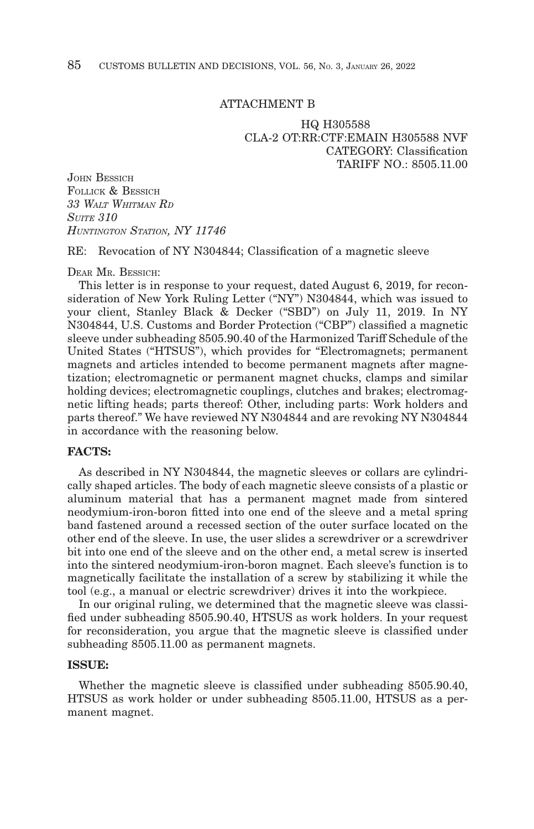#### ATTACHMENT B

HQ H305588 CLA-2 OT:RR:CTF:EMAIN H305588 NVF CATEGORY: Classification TARIFF  $NO \cdot 8505$  11.00

JOHN BESSICH FOLLICK & BESSICH *33 WALT WHITMAN RD SUITE 310 HUNTINGTON STATION, NY 11746*

RE: Revocation of NY N304844; Classification of a magnetic sleeve

DEAR MR. BESSICH:

This letter is in response to your request, dated August 6, 2019, for reconsideration of New York Ruling Letter ("NY") N304844, which was issued to your client, Stanley Black & Decker ("SBD") on July 11, 2019. In NY N304844, U.S. Customs and Border Protection ("CBP") classified a magnetic sleeve under subheading 8505.90.40 of the Harmonized Tariff Schedule of the United States ("HTSUS"), which provides for "Electromagnets; permanent magnets and articles intended to become permanent magnets after magnetization; electromagnetic or permanent magnet chucks, clamps and similar holding devices; electromagnetic couplings, clutches and brakes; electromagnetic lifting heads; parts thereof: Other, including parts: Work holders and parts thereof." We have reviewed NY N304844 and are revoking NY N304844 in accordance with the reasoning below.

#### **FACTS:**

As described in NY N304844, the magnetic sleeves or collars are cylindrically shaped articles. The body of each magnetic sleeve consists of a plastic or aluminum material that has a permanent magnet made from sintered neodymium-iron-boron fitted into one end of the sleeve and a metal spring band fastened around a recessed section of the outer surface located on the other end of the sleeve. In use, the user slides a screwdriver or a screwdriver bit into one end of the sleeve and on the other end, a metal screw is inserted into the sintered neodymium-iron-boron magnet. Each sleeve's function is to magnetically facilitate the installation of a screw by stabilizing it while the tool (e.g., a manual or electric screwdriver) drives it into the workpiece.

In our original ruling, we determined that the magnetic sleeve was classified under subheading 8505.90.40, HTSUS as work holders. In your request for reconsideration, you argue that the magnetic sleeve is classified under subheading 8505.11.00 as permanent magnets.

#### **ISSUE:**

Whether the magnetic sleeve is classified under subheading 8505.90.40, HTSUS as work holder or under subheading 8505.11.00, HTSUS as a permanent magnet.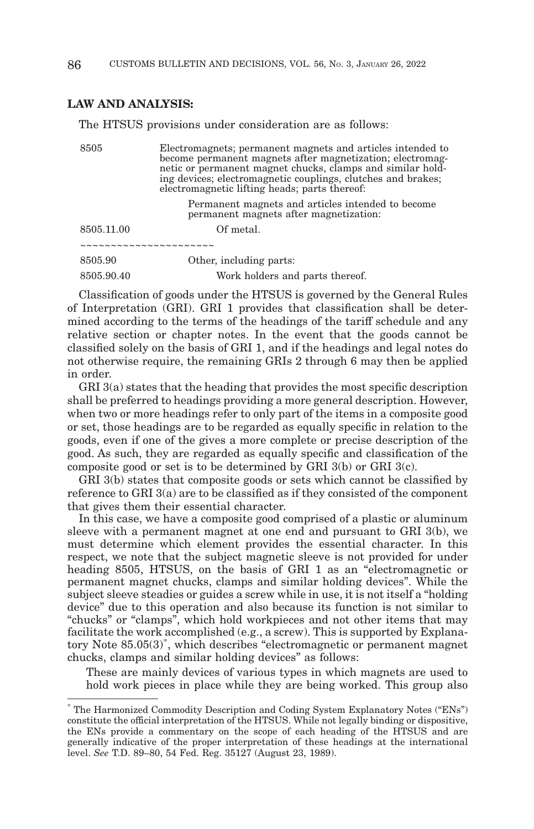# **LAW AND ANALYSIS:**

The HTSUS provisions under consideration are as follows:

8505 Electromagnets; permanent magnets and articles intended to become permanent magnets after magnetization; electromagnetic or permanent magnet chucks, clamps and similar holding devices; electromagnetic couplings, clutches and brakes; electromagnetic lifting heads; parts thereof:

> Permanent magnets and articles intended to become permanent magnets after magnetization:

| 8505.11.00 | Of metal.                       |
|------------|---------------------------------|
|            |                                 |
| 8505.90    | Other, including parts:         |
| 8505.90.40 | Work holders and parts thereof. |

Classification of goods under the HTSUS is governed by the General Rules of Interpretation (GRI). GRI 1 provides that classification shall be determined according to the terms of the headings of the tariff schedule and any relative section or chapter notes. In the event that the goods cannot be classified solely on the basis of GRI 1, and if the headings and legal notes do not otherwise require, the remaining GRIs 2 through 6 may then be applied in order.

GRI 3(a) states that the heading that provides the most specific description shall be preferred to headings providing a more general description. However, when two or more headings refer to only part of the items in a composite good or set, those headings are to be regarded as equally specific in relation to the goods, even if one of the gives a more complete or precise description of the good. As such, they are regarded as equally specific and classification of the composite good or set is to be determined by GRI 3(b) or GRI 3(c).

GRI 3(b) states that composite goods or sets which cannot be classified by reference to GRI 3(a) are to be classified as if they consisted of the component that gives them their essential character.

In this case, we have a composite good comprised of a plastic or aluminum sleeve with a permanent magnet at one end and pursuant to GRI 3(b), we must determine which element provides the essential character. In this respect, we note that the subject magnetic sleeve is not provided for under heading 8505, HTSUS, on the basis of GRI 1 as an "electromagnetic or permanent magnet chucks, clamps and similar holding devices". While the subject sleeve steadies or guides a screw while in use, it is not itself a "holding device" due to this operation and also because its function is not similar to "chucks" or "clamps", which hold workpieces and not other items that may facilitate the work accomplished (e.g., a screw). This is supported by Explanatory Note 85.05(3)\* , which describes "electromagnetic or permanent magnet chucks, clamps and similar holding devices" as follows:

These are mainly devices of various types in which magnets are used to hold work pieces in place while they are being worked. This group also

<sup>\*</sup> The Harmonized Commodity Description and Coding System Explanatory Notes ("ENs") constitute the official interpretation of the HTSUS. While not legally binding or dispositive, the ENs provide a commentary on the scope of each heading of the HTSUS and are generally indicative of the proper interpretation of these headings at the international level. *See* T.D. 89–80, 54 Fed. Reg. 35127 (August 23, 1989).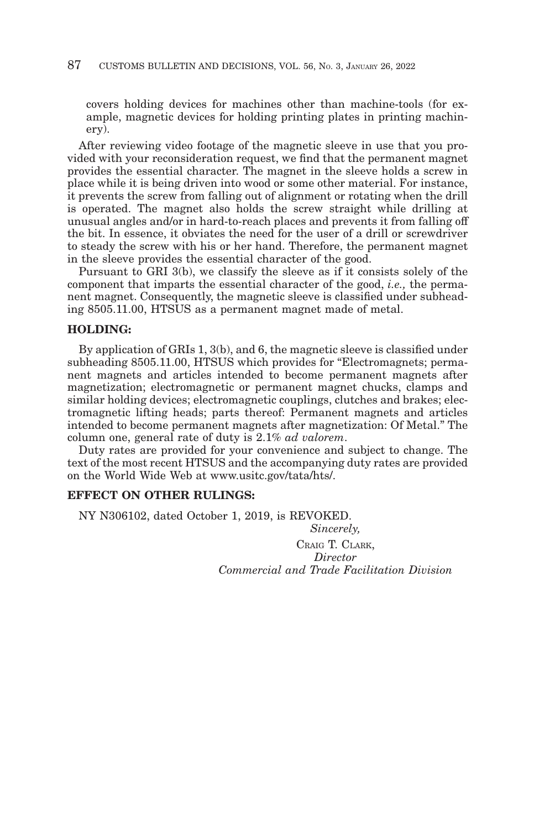covers holding devices for machines other than machine-tools (for example, magnetic devices for holding printing plates in printing machinery).

After reviewing video footage of the magnetic sleeve in use that you provided with your reconsideration request, we find that the permanent magnet provides the essential character. The magnet in the sleeve holds a screw in place while it is being driven into wood or some other material. For instance, it prevents the screw from falling out of alignment or rotating when the drill is operated. The magnet also holds the screw straight while drilling at unusual angles and/or in hard-to-reach places and prevents it from falling off the bit. In essence, it obviates the need for the user of a drill or screwdriver to steady the screw with his or her hand. Therefore, the permanent magnet in the sleeve provides the essential character of the good.

Pursuant to GRI 3(b), we classify the sleeve as if it consists solely of the component that imparts the essential character of the good, *i.e.,* the permanent magnet. Consequently, the magnetic sleeve is classified under subheading 8505.11.00, HTSUS as a permanent magnet made of metal.

#### **HOLDING:**

By application of GRIs 1, 3(b), and 6, the magnetic sleeve is classified under subheading 8505.11.00, HTSUS which provides for "Electromagnets; permanent magnets and articles intended to become permanent magnets after magnetization; electromagnetic or permanent magnet chucks, clamps and similar holding devices; electromagnetic couplings, clutches and brakes; electromagnetic lifting heads; parts thereof: Permanent magnets and articles intended to become permanent magnets after magnetization: Of Metal." The column one, general rate of duty is 2.1% *ad valorem*.

Duty rates are provided for your convenience and subject to change. The text of the most recent HTSUS and the accompanying duty rates are provided on the World Wide Web at www.usitc.gov/tata/hts/.

# **EFFECT ON OTHER RULINGS:**

NY N306102, dated October 1, 2019, is REVOKED.

*Sincerely,* CRAIG T. CLARK *Director Commercial and Trade Facilitation Division*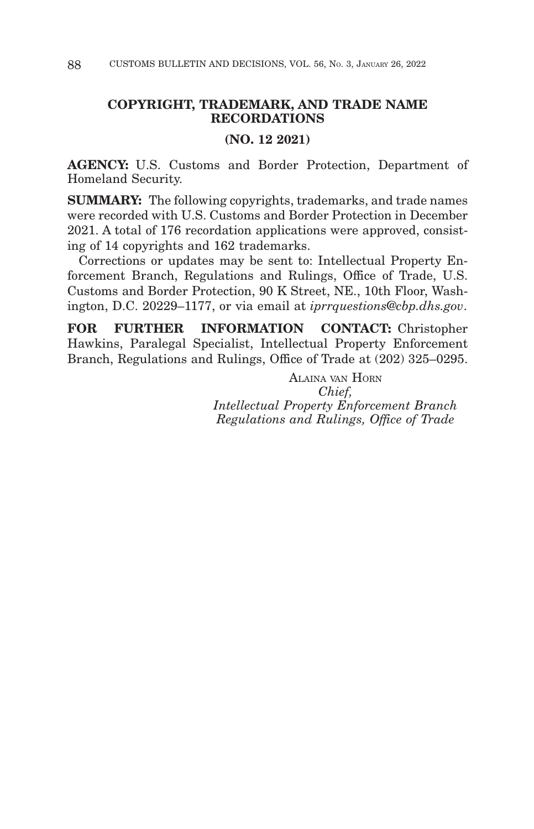# **COPYRIGHT, TRADEMARK, AND TRADE NAME RECORDATIONS**

# **(NO. 12 2021)**

**AGENCY:** U.S. Customs and Border Protection, Department of Homeland Security.

**SUMMARY:** The following copyrights, trademarks, and trade names were recorded with U.S. Customs and Border Protection in December 2021. A total of 176 recordation applications were approved, consisting of 14 copyrights and 162 trademarks.

Corrections or updates may be sent to: Intellectual Property Enforcement Branch, Regulations and Rulings, Office of Trade, U.S. Customs and Border Protection, 90 K Street, NE., 10th Floor, Washington, D.C. 20229–1177, or via email at *iprrquestions@cbp.dhs.gov*.

**FOR FURTHER INFORMATION CONTACT:** Christopher Hawkins, Paralegal Specialist, Intellectual Property Enforcement Branch, Regulations and Rulings, Office of Trade at (202) 325–0295.

> ALAINA VAN HORN *Chief, Intellectual Property Enforcement Branch Regulations and Rulings, Office of Trade*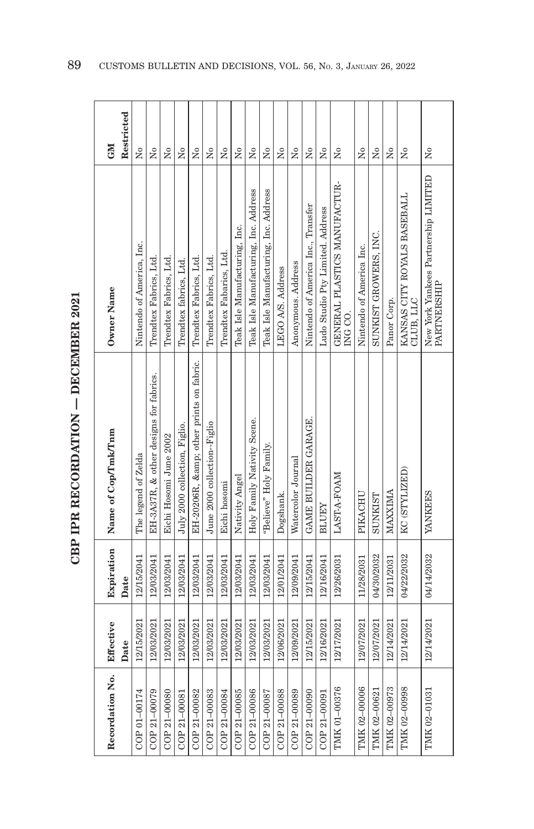| しくじ<br>í         |
|------------------|
|                  |
| i<br>I<br>I<br>J |
| トウンドウ            |
|                  |
|                  |

| Recordation No. | Effective  | Expiration | Name of Cop/Tmk/Tnm                    | Owner Name                                          | <b>CM</b>           |
|-----------------|------------|------------|----------------------------------------|-----------------------------------------------------|---------------------|
|                 | Date       | Date       |                                        |                                                     | Restricted          |
| COP 01-00174    | 12/15/2021 | 12/15/2041 | The legend of Zelda                    | Nintendo of America, Inc.                           | ż                   |
| COP 21-00079    | 12/03/2021 | 12/03/2041 | EH-3A37R, & other designs for fabrics. | Trendtex Fabrics, Ltd.                              | ż                   |
| COP 21-00080    | 12/03/2021 | 12/03/2041 | Eichi Hosomi June 2002                 | Trendtex Fabrics, Ltd.                              | Σó                  |
| COP 21-00081    | 12/03/2021 | 12/03/2041 | July 2000 collection, Figlio.          | Trendtex fabrics, Ltd.                              | ż                   |
| COP 21-00082    | 12/03/2021 | 12/03/2041 | EH-20206R, & other prints on fabric.   | Trendtex Fabrics, Ltd.                              | Σó                  |
| COP 21-00083    | 12/03/2021 | 12/03/2041 | June 2000 collection--Figlio           | Trendtex Fabrics, Ltd.                              | ż                   |
| COP 21-00084    | 12/03/2021 | 12/03/2041 | Eichi hosomi                           | Trendtex Fabarics, Ltd.                             | Σó                  |
| COP 21-00085    | 12/03/2021 | 12/03/2041 | Nativity Angel                         | Teak Isle Manufacturing, Inc.                       | Σó                  |
| COP 21-00086    | 12/03/2021 | 12/03/2041 | Holy Family Nativity Scene.            | Teak Isle Manufacturing, Inc. Address               | ž                   |
| COP 21-00087    | 12/03/2021 | 12/03/2041 | "Believe" Holy Family.                 | Teak Isle Manufacturing, Inc. Address               | $\tilde{X}^{\circ}$ |
| COP 21-00088    | 12/06/2021 | 12/01/2041 | Dogshank.                              | LEGO A/S. Address                                   | Σó                  |
| COP 21-00089    | 12/09/2021 | 12/09/2041 | Watercolor Journal                     | Anonymous. Address                                  | $\tilde{X}^{\circ}$ |
| COP 21-00090    | 12/15/2021 | 12/15/2041 | GAME BUILDER GARAGE.                   | Nintendo of America Inc., Transfer                  | $_{\rm N_0}$        |
| COP 21-00091    | 12/16/2021 | 12/16/2041 | <b>BLUEY</b>                           | Ludo Studio Pty Limited. Address                    | Σó                  |
| TMK 01-00376    | 12/17/2021 | 12/26/2031 | LAST-A-FOAM                            | GENERAL PLASTICS MANUFACTUR-<br>ING CO.             | $\overline{N}$      |
| TMK 02-00006    | 12/07/2021 | 11/28/2031 | PIKACHU                                | Nintendo of America Inc.                            | Σó                  |
| TMK 02-00621    | 12/07/2021 | 04/30/2032 | SUNKIST                                | SUNKIST GROWERS, INC.                               | Σó                  |
| TMK 02-00973    | 12/14/2021 | 12/11/2031 | MAXXIMA                                | Panor Corp.                                         | $\overline{N}$      |
| TMK 02-00998    | 12/14/2021 | 04/22/2032 | KC (STYLIZED)                          | KANSAS CITY ROYALS BASEBALL<br>CLUB, LLC            | $\overline{N}$      |
| TMK 02-01031    | 12/14/2021 | 04/14/2032 | YANKEES                                | New York Yankees Partnership LIMITED<br>PARTNERSHIP | Σó                  |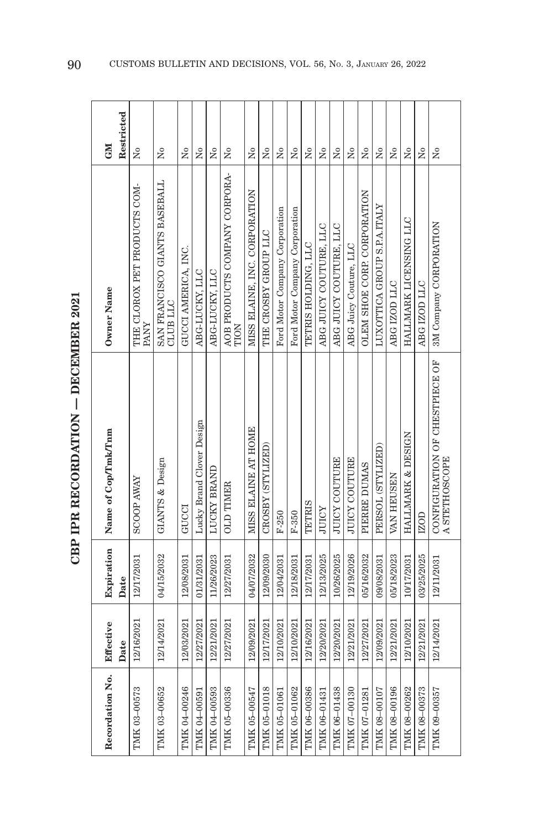| ç                            |
|------------------------------|
| $\frac{1}{2}$<br>ミドドミーク<br>i |
|                              |
|                              |
| . The American Article       |
| í                            |
|                              |

| Recordation No. | Effective  | Expiration | Name of Cop/Tmk/Tnm                             | Owner Name                                | GM                                   |
|-----------------|------------|------------|-------------------------------------------------|-------------------------------------------|--------------------------------------|
|                 | Date       | Date       |                                                 |                                           | Restricted                           |
| TMK 03-00573    | 12/16/2021 | 12/17/2031 | <b>SCOOP AWAY</b>                               | THE CLOROX PET PRODUCTS COM-<br>PANY      | $\tilde{X}^{\circ}$                  |
| TMK 03-00652    | 12/14/2021 | 04/15/2032 | GIANTS & Design                                 | SAN FRANCISCO GIANTS BASEBALL<br>CLUB LLC | Σó                                   |
| TMK 04-00246    | 12/03/2021 | 12/08/2031 | GUCCI                                           | GUCCI AMERICA, INC.                       | Σó                                   |
| TMK 04-00591    | 12/27/2021 | 01/31/2031 | Lucky Brand Clover Design                       | ABG-LUCKY, LLC                            | $\tilde{\mathbf{z}}$                 |
| TMK 04-00593    | 12/21/2021 | 11/26/2023 | LUCKY BRAND                                     | ABG-LUCKY, LLC                            | Σó                                   |
| TMK 05-00336    | 12/27/2021 | 12/27/2031 | <b>OLD TIMER</b>                                | AOB PRODUCTS COMPANY CORPORA-<br>TION     | ž                                    |
| TMK 05-00547    | 12/09/2021 | 04/07/2032 | MISS ELAINE AT HOME                             | MISS ELAINE, INC. CORPORATION             | Σò                                   |
| TMK 05-01018    | 12/17/2021 | 12/09/2030 | CROSBY (STYLIZED)                               | THE CROSBY GROUP LLC                      | Σó                                   |
| TMK 05-01061    | 12/10/2021 | 12/04/2031 | $F-250$                                         | Ford Motor Company Corporation            | $\tilde{\mathbf{X}}$                 |
| TMK 05-01062    | 12/10/2021 | 12/18/2031 | $F-350$                                         | Ford Motor Company Corporation            | Σò                                   |
| TMK 06-00386    | 12/16/2021 | 12/17/2031 | <b>TETRIS</b>                                   | TETRIS HOLDING, LLC                       | Σó                                   |
| TMK 06-01431    | 12/20/2021 | 12/13/2025 | <b>JUICY</b>                                    | ABG JUICY COUTURE, LLC                    | $\tilde{\mathbf{z}}$                 |
| TMK 06-01438    | 12/20/2021 | 10/26/2025 | JUICY COUTURE                                   | ABG JUICY COUTURE, LLC                    | $\tilde{\mathbf{z}}$                 |
| TMK 07-00130    | 12/21/2021 | 12/19/2026 | <b>JUICY COUTURE</b>                            | ABG Juicy Couture, LLC                    | Χo                                   |
| TMK 07-01281    | 12/27/2021 | 05/16/2032 | PIERRE DUMAS                                    | OLEM SHOE CORP. CORPORATION               | $\overline{\mathsf{X}}^{\mathsf{o}}$ |
| TMK 08-00107    | 12/09/2021 | 09/08/2031 | PERSOL (STYLIZED)                               | LUXOTTICA GROUP S.P.A.ITALY               | $\overline{\mathsf{X}}^{\mathsf{o}}$ |
| TMK 08-00196    | 12/21/2021 | 05/18/2023 | VAN HEUSEN                                      | ABG IZOD LLC                              | $\overline{N}$                       |
| TMK 08-00262    | 12/10/2021 | 10/17/2031 | HALLMARK & DESIGN                               | HALLMARK LICENSING LLC                    | $\tilde{\rm z}$                      |
| TMK 08-00373    | 12/21/2021 | 03/25/2025 | IZOD                                            | ABG IZOD LLC                              | $\tilde{\rm x}^{\rm o}$              |
| TMK 09-00357    | 12/14/2021 | 12/11/2031 | CONFIGURATION OF CHESTPIECE OF<br>A STETHOSCOPE | 3M Company CORPORATION                    | Χo                                   |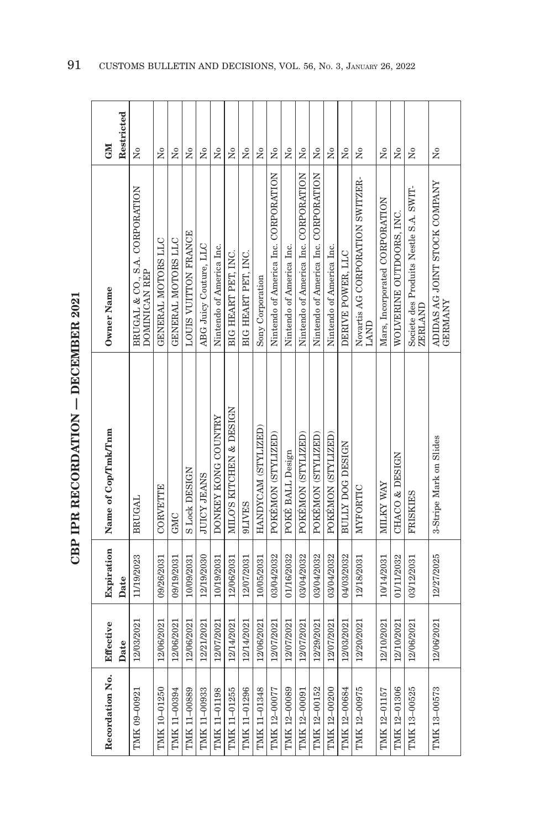| ļ<br>ーくーー   |
|-------------|
|             |
| .<br>.<br>. |
| こくしくしょう     |
|             |
|             |
|             |

| Recordation No. | Effective  | Expiration | Name of Cop/Tmk/Tnm     | Owner Name                                                                             | <b>NE</b>               |
|-----------------|------------|------------|-------------------------|----------------------------------------------------------------------------------------|-------------------------|
|                 | Date       | Date       |                         |                                                                                        | Restricted              |
| TMK 09-00921    | 12/03/2021 | 11/19/2023 | <b>BRUGAL</b>           | BRUGAL & CO., S.A. CORPORATION<br>DOMINICAN REP                                        | Σò                      |
| TMK 10-01250    | 12/06/2021 | 09/26/2031 | <b>CORVETTE</b>         | GENERAL MOTORS LLC                                                                     | $\tilde{\mathbf{z}}$    |
| TMK 11-00394    | 12/06/2021 | 09/19/2031 | GMC                     | GENERAL MOTORS LLC                                                                     | $\tilde{\mathsf{z}}$    |
| TMK 11-00889    | 12/06/2021 | 10/09/2031 | S Lock DESIGN           | LOUIS VUITTON FRANCE                                                                   | Σó                      |
| TMK 11-00933    | 12/21/2021 | 12/19/2030 | <b>SNARI ADILIT</b>     | ABG Juicy Couture, LLC                                                                 | Σò                      |
| TMK 11-01198    | 12/07/2021 | 10/19/2031 | DONKEY KONG COUNTRY     | Nintendo of America Inc.                                                               | Σó                      |
| TMK 11-01255    | 12/14/2021 | 12/06/2031 | MILO'S KITCHEN & DESIGN | BIG HEART PET. INC.                                                                    | Σó                      |
| TMK 11-01296    | 12/14/2021 | 12/07/2031 | <b>SHILL6</b>           | BIG HEART PET, INC.                                                                    | $\tilde{X}^{\circ}$     |
| TMK 11-01348    | 12/06/2021 | 10/05/2031 | HANDYCAM (STYLIZED)     | Sony Corporation                                                                       | Χo                      |
| TMK 12-00077    | 12/07/2021 | 03/04/2032 | POKÉMON (STYLIZED)      | Nintendo of America Inc. CORPORATION                                                   | $\tilde{Z}$             |
| TMK 12-00089    | 12/07/2021 | 01/16/2032 | POKÉ BALL Design        | Nintendo of America Inc.                                                               | $\tilde{\rm X}^0$       |
| TMK 12-00091    | 12/07/2021 | 03/04/2032 | POKÉMON (STYLIZED)      | Nintendo of America Inc. CORPORATION                                                   | ż                       |
| TMK 12-00152    | 12/29/2021 | 03/04/2032 | POKÉMON (STYLIZED)      | Nintendo of America Inc. CORPORATION                                                   | Σo                      |
| TMK 12-00200    | 12/07/2021 | 03/04/2032 | POKÉMON (STYLIZED)      | Nintendo of America Inc.                                                               | $\tilde{\rm x}^{\rm o}$ |
| TMK 12-00684    | 12/03/2021 | 04/03/2032 | <b>BULLY DOG DESIGN</b> | DERIVE POWER, LLC                                                                      | $\overline{N}^{\circ}$  |
| TMK 12-00975    | 12/20/2021 | 12/18/2031 | MYFORTIC                | Novartis AG CORPORATION SWITZER-<br>LAND                                               | $\tilde{X}^{\circ}$     |
| TMK 12-01157    | 12/10/2021 | 10/14/2031 | MILKY WAY               | Mars, Incorporated CORPORATION                                                         | $_{\rm N_0}$            |
| TMK 12-01306    | 12/10/2021 | 01/11/2032 | CHACO & DESIGN          | WOLVERINE OUTDOORS, INC.                                                               | $\overline{N}^{\circ}$  |
| TMK 13-00525    | 12/06/2021 | 03/12/2031 | FRISKIES                | Societe des Produits Nestle S.A. SWIT-<br><b>ZERLAND</b>                               | $\overline{N}$          |
| TMK 13-00573    | 12/06/2021 | 12/27/2025 | 3-Stripe Mark on Slides | $\begin{array}{ll} \text{ADIDAS AG JOINT STOCK COMPANY} \\ \text{GERMANY} \end{array}$ | Χo                      |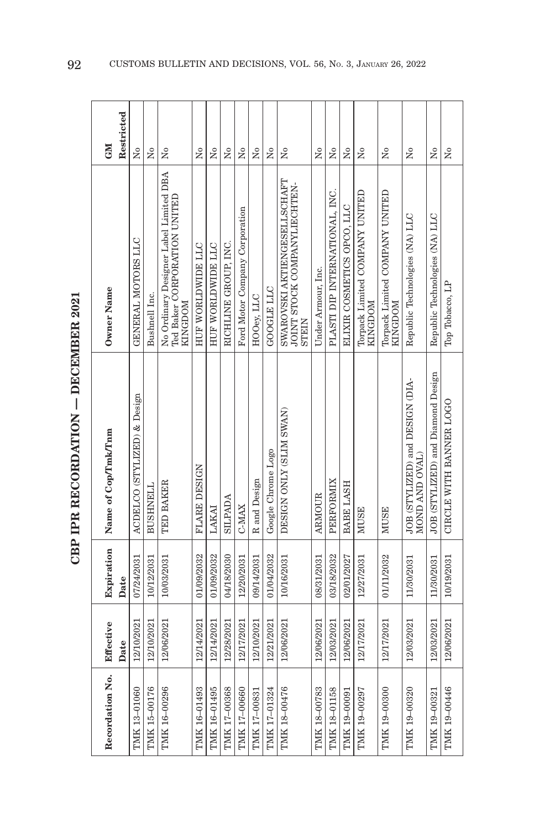| ן<br>ו     |
|------------|
|            |
|            |
| ļ<br>トくてート |
|            |
|            |
|            |

| Restricted<br><b>GM</b> | Σò                          | Χo              | ž                                                                                       | Σó                | $\tilde{\mathbf{X}}$ | ż                    | Σò                             | ž            | Χo                 | Σó                                                                    | $\overline{N}$     | $\tilde{Z}$                    | $\tilde{\mathbf{X}}$       | ż                                                | $\overline{N}$                                  | ż                                                 | $\overline{X}^{\circ}$            | $\tilde{X}^{\circ}$     |
|-------------------------|-----------------------------|-----------------|-----------------------------------------------------------------------------------------|-------------------|----------------------|----------------------|--------------------------------|--------------|--------------------|-----------------------------------------------------------------------|--------------------|--------------------------------|----------------------------|--------------------------------------------------|-------------------------------------------------|---------------------------------------------------|-----------------------------------|-------------------------|
| Owner Name              | GENERAL MOTORS LLC          | Bushnell Inc.   | No Ordinary Designer Label Limited DBA<br>Ted Baker CORPORATION UNITED<br><b>NOCDOM</b> | HUF WORLDWIDE LLC | HUF WORLDWIDE LLC    | RICHLINE GROUP. INC. | Ford Motor Company Corporation | HOOey, LLC   | GOOGLE LLC         | SWAROVSKI AKTIENGESELLSCHAFT<br>JOINT STOCK COMPANYLIECHTEN-<br>STEIN | Under Armour, Inc. | PLASTI DIP INTERNATIONAL, INC. | ELIXIR COSMETICS OPCO, LLC | Torpack Limited COMPANY UNITED<br><b>KINGDOM</b> | Torpack Limited COMPANY UNITED<br><b>MOGDOM</b> | Republic Technologies (NA) LLC                    | Republic Technologies (NA) LLC    | Top Tobacco, LP         |
| Name of Cop/Tmk/Tnm     | ACDELCO (STYLIZED) & Design | <b>BUSHNELL</b> | TED BAKER                                                                               | FLARE DESIGN      | LAKAI                | SILPADA              | C-MAX                          | R and Design | Google Chrome Logo | DESIGN ONLY (SLIM SWAN)                                               | <b>ARMOUR</b>      | PERFORMIX                      | BABE LASH                  | MUSE                                             | <b>MUSE</b>                                     | JOB (STYLIZED) and DESIGN (DIA-<br>MOND AND OVAL) | JOB (STYLIZED) and Diamond Design | CIRCLE WITH BANNER LOGO |
| Expiration<br>Date      | 07/24/2031                  | 10/12/2031      | 10/03/2031                                                                              | 01/09/2032        | 01/09/2032           | 04/18/2030           | 12/20/2031                     | 09/14/2031   | 01/04/2032         | 10/16/2031                                                            | 08/31/2031         | 03/18/2032                     | 02/01/2027                 | 12/27/2031                                       | 01/11/2032                                      | 11/30/2031                                        | 11/30/2031                        | 10/19/2031              |
| Effective<br>Date       | 12/10/2021                  | 12/10/2021      | 12/06/2021                                                                              | 12/14/2021        | 12/14/2021           | 12/28/2021           | 12/17/2021                     | 12/10/2021   | 12/21/2021         | 12/06/2021                                                            | 12/06/2021         | 12/03/2021                     | 12/06/2021                 | 12/17/2021                                       | 12/17/2021                                      | 12/03/2021                                        | 12/03/2021                        | 12/06/2021              |
| Recordation No.         | TMK 13-01060                | TMK 15-00176    | TMK 16-00296                                                                            | TMK 16-01493      | TMK 16-01495         | TMK 17-00368         | TMK 17-00660                   | TMK 17-00831 | TMK 17-01324       | TMK 18-00476                                                          | TMK 18-00783       | TMK 18-01158                   | TMK 19-00091               | TMK 19-00297                                     | TMK 19-00300                                    | TMK 19-00320                                      | TMK 19-00321                      | TMK 19-00446            |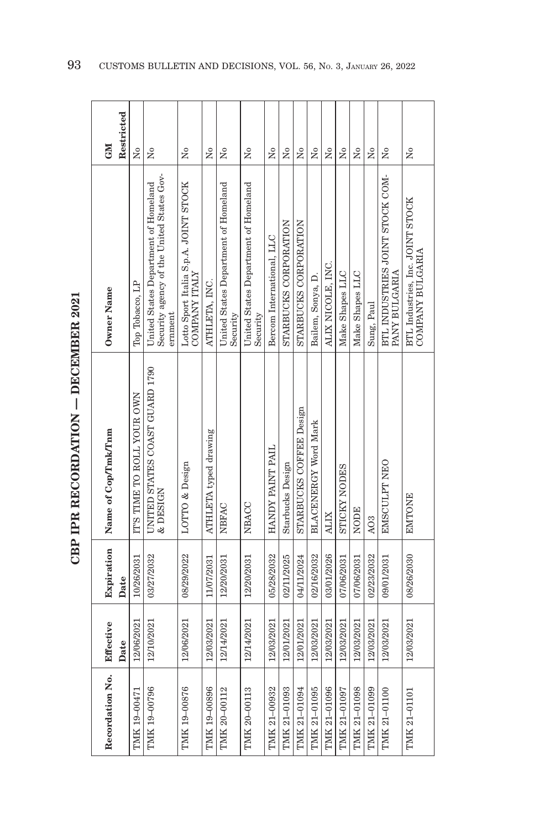| <b>NEO</b>          | Restricted | Σó                         | ž                                                                                            | ż                                                       | Σó                    | $\tilde{\rm X}^0$                                | ž                                                | ž                         | Σó                    | Σó                      | Σó                          | Σó                | Σó                  | Χo              | Σó               | $\tilde{\rm X}^0$                                | Σò                                                   |
|---------------------|------------|----------------------------|----------------------------------------------------------------------------------------------|---------------------------------------------------------|-----------------------|--------------------------------------------------|--------------------------------------------------|---------------------------|-----------------------|-------------------------|-----------------------------|-------------------|---------------------|-----------------|------------------|--------------------------------------------------|------------------------------------------------------|
| Owner Name          |            | Top Tobacco, LP            | Security agency of the United States Gov-<br>United States Department of Homeland<br>ernment | Lotto Sport Italia S.p.A. JOINT STOCK<br>COMPANY ITALIY | ATHLETA, INC.         | United States Department of Homeland<br>Security | United States Department of Homeland<br>Security | Bercom International, LLC | STARBUCKS CORPORATION | STARBUCKS CORPORATION   | Bailem, Sonya, D.           | ALIX NICOLE, INC. | Make Shapes LLC     | Make Shapes LLC | Sung, Paul       | BTL INDUSTRIES JOINT STOCK COM-<br>PANY BULGARIA | BTL Industries, Inc. JOINT STOCK<br>COMPANY BULGARIA |
| Name of Cop/Tmk/Tnm |            | IT'S TIME TO ROLL YOUR OWN | UNITED STATES COAST GUARD 1790<br>& DESIGN                                                   | LOTTO & Design                                          | ATHLETA typed drawing | NBFAC                                            | NBACC                                            | HANDY PAINT PAIL          | Starbucks Design      | STARBUCKS COFFEE Design | <b>BLACENERGY Word Mark</b> | <b>ALIX</b>       | <b>STICKY NODES</b> | NODE            | A <sub>O</sub> 3 | EMSCULPT NEO                                     | <b>EMTONE</b>                                        |
| Expiration          | Date       | 10/26/2031                 | 03/27/2032                                                                                   | 08/29/2022                                              | 11/07/2031            | 12/20/2031                                       | 12/20/2031                                       | 05/28/2032                | 02/11/2025            | 04/11/2024              | 02/16/2032                  | 03/01/2026        | 07/06/2031          | 07/06/2031      | 02/23/2032       | 09/01/2031                                       | 08/26/2030                                           |
| Effective           | Date       | 12/06/2021                 | 12/10/2021                                                                                   | 12/06/2021                                              | 12/03/2021            | 12/14/2021                                       | 12/14/2021                                       | 12/03/2021                | 12/01/2021            | 12/01/2021              | 12/03/2021                  | 12/03/2021        | 12/03/2021          | 12/03/2021      | 12/03/2021       | 12/03/2021                                       | 12/03/2021                                           |
| Recordation No.     |            | TMK 19-00471               | TMK 19-00796                                                                                 | TMK 19-00876                                            | TMK 19-00896          | TMK 20-00112                                     | TMK 20-00113                                     | TMK 21-00932              | TMK 21-01093          | TMK 21-01094            | TMK 21-01095                | TMK 21-01096      | TMK 21-01097        | TMK 21-01098    | TMK 21-01099     | TMK 21-01100                                     | TMK 21-01101                                         |

CBP IPR RECORDATION - DECEMBER 2021 **CBP IPR RECORDATION — DECEMBER 2021**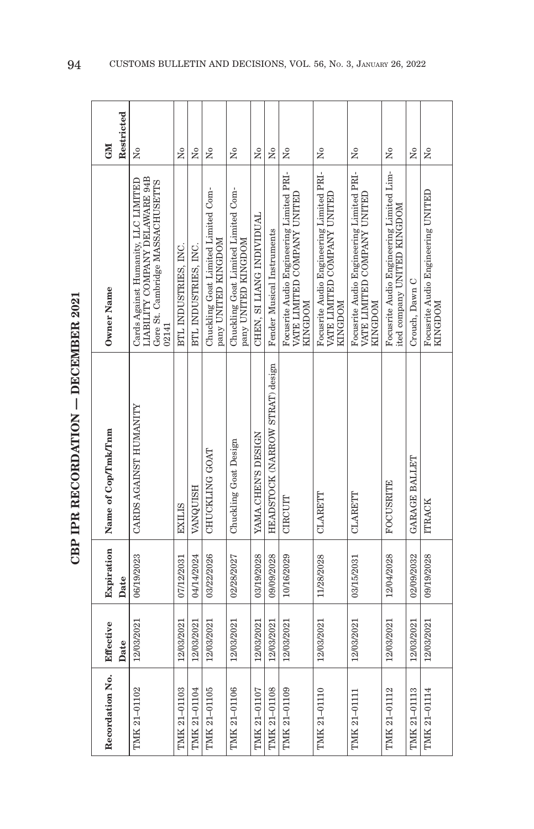| <br> <br> <br>ーくしし                     |  |
|----------------------------------------|--|
|                                        |  |
| $\sim$ mm $\sim$ mm $\sim$ mm $\sim$ m |  |
| ļ                                      |  |
| Î.                                     |  |

| Recordation No. | Effective<br>Date | Expiration<br>Date | Name of Cop/Tmk/Tnm             | Owner Name                                                                                                         | Restricted<br><b>GM</b> |
|-----------------|-------------------|--------------------|---------------------------------|--------------------------------------------------------------------------------------------------------------------|-------------------------|
| TMK 21-01102    | 12/03/2021        | 06/19/2023         | CARDS AGAINST HUMANITY          | Cards Against Humanity, LLC LIMITED<br>LIABILITY COMPANY DELAWARE 94B<br>Gore St. Cambridge MASSACHUSETTS<br>02141 | Σó                      |
| TMK 21-01103    | 12/03/2021        | 07/12/2031         | <b>EXILIS</b>                   | BTL INDUSTRIES, INC.                                                                                               | Σó                      |
| TMK 21-01104    | 12/03/2021        | 04/14/2024         | <b>VANQUISH</b>                 | BTL INDUSTRIES, INC.                                                                                               | $\tilde{Z}$             |
| TMK 21-01105    | 12/03/2021        | 03/22/2026         | CHUCKLING GOAT                  | Chuckling Goat Limited Limited Com-<br>pany UNITED KINGDOM                                                         | ż                       |
| TMK 21-01106    | 12/03/2021        | 02/28/2027         | Chuckling Goat Design           | Chuckling Goat Limited Limited Com-<br>pany UNITED KINGDOM                                                         | Σó                      |
| TMK 21-01107    | 12/03/2021        | 03/19/2028         | YAMA.CHEN'S DESIGN              | CHEN, SI LIANG INDIVIDUAL                                                                                          | Χo                      |
| TMK 21-01108    | 12/03/2021        | 09/09/2028         | HEADSTOCK (NARROW STRAT) design | Fender Musical Instruments                                                                                         | Σó                      |
| TMK 21-01109    | 12/03/2021        | 10/16/2029         | CIRCUIT                         | Focusrite Audio Engineering Limited PRI-<br>VATE LIMITED COMPANY UNITED<br><b>MOGDOM</b>                           | ž                       |
| TMK 21-01110    | 12/03/2021        | 11/28/2028         | CLARETT                         | Focusrite Audio Engineering Limited PRI-<br>VATE LIMITED COMPANY UNITED<br><b>KINGDOM</b>                          | Σò                      |
| TMK 21-01111    | 12/03/2021        | 03/15/2031         | CLARETT                         | Focusrite Audio Engineering Limited PRI-<br>VATE LIMITED COMPANY UNITED<br>MOCDOM                                  | ž                       |
| TMK 21-01112    | 12/03/2021        | 12/04/2028         | <b>FOCUSRITE</b>                | Focusrite Audio Engineering Limited Lim-<br>ited company UNITED KINGDOM                                            | ž                       |
| TMK 21-01113    | 12/03/2021        | 02/09/2032         | GARAGE BALLET                   | Crouch, Dawn C                                                                                                     | Χo                      |
| TMK 21-01114    | 12/03/2021        | 09/19/2028         | <b>ITRACK</b>                   | Focusrite Audio Engineering UNITED<br>KINGDOM                                                                      | $\tilde{\mathsf{z}}$    |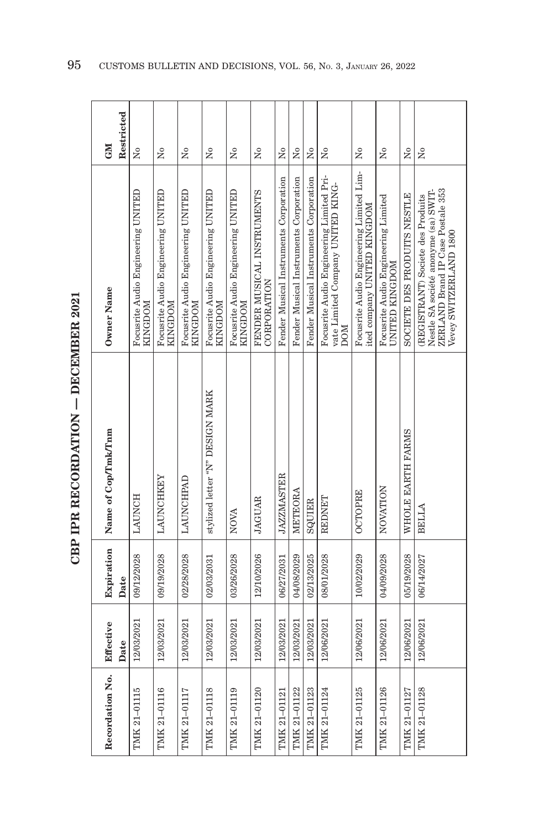| Recordation No. | Effective  | Expiration | Name of Cop/Tmk/Tnm             | Owner Name                                                                                                                               | <b>NE</b>            |
|-----------------|------------|------------|---------------------------------|------------------------------------------------------------------------------------------------------------------------------------------|----------------------|
|                 | Date       | Date       |                                 |                                                                                                                                          | Restricted           |
| TMK 21-01115    | 12/03/2021 | 09/12/2028 | <b>LAUNCH</b>                   | Focusrite Audio Engineering UNITED<br>MOCDOM                                                                                             | $\tilde{\mathbf{X}}$ |
| TMK 21-01116    | 12/03/2021 | 09/19/2028 | LAUNCHKEY                       | Focusrite Audio Engineering UNITED<br><b>KINGDOM</b>                                                                                     | Σó                   |
| TMK 21-01117    | 12/03/2021 | 02/28/2028 | <b>LAUNCHPAD</b>                | Focusrite Audio Engineering UNITED<br>KINGDOM                                                                                            | $\tilde{\mathbf{z}}$ |
| TMK 21-01118    | 12/03/2021 | 02/03/2031 | stylized letter "N" DESIGN MARK | Focusrite Audio Engineering UNITED<br>KINGDOM                                                                                            | $\tilde{\mathbf{z}}$ |
| TMK 21-01119    | 12/03/2021 | 03/26/2028 | NOVA                            | Focusrite Audio Engineering UNITED<br>KINGDOM                                                                                            | Σò                   |
| TMK 21-01120    | 12/03/2021 | 12/10/2026 | <b>JAGUAR</b>                   | FENDER MUSICAL INSTRUMENTS<br>CORPORATION                                                                                                | $\tilde{\mathbf{z}}$ |
| TMK 21-01121    | 12/03/2021 | 06/27/2031 | <b>JAZZMASTER</b>               | Fender Musical Instruments Corporation                                                                                                   | $\tilde{\mathbf{z}}$ |
| TMK 21-01122    | 12/03/2021 | 04/08/2029 | METEORA                         | Fender Musical Instruments Corporation                                                                                                   | $\mathsf{\hat{z}}$   |
| TMK 21-01123    | 12/03/2021 | 02/13/2025 | SQUIER                          | Fender Musical Instruments Corporation                                                                                                   | $\tilde{z}$          |
| TMK 21-01124    | 12/06/2021 | 08/01/2028 | REDNET                          | Focusrite Audio Engineering Limited Pri-<br>vate Limited Company UNITED KING-<br><b>NOU</b>                                              | Σò                   |
| TMK 21-01125    | 12/06/2021 | 10/02/2029 | <b>OCTOPRE</b>                  | Focusrite Audio Engineering Limited Lim-<br>ited company UNITED KINGDOM                                                                  | $\tilde{\mathsf{z}}$ |
| TMK 21-01126    | 12/06/2021 | 04/09/2028 | NOVATION                        | Focusrite Audio Engineering Limited<br>UNITED KINGDOM                                                                                    | ż                    |
| TMK 21-01127    | 12/06/2021 | 05/19/2028 | WHOLE EARTH FARMS               | SOCIETE DES PRODUTS NESTLE                                                                                                               | $\tilde{\mathbf{z}}$ |
| TMK 21-01128    | 12/06/2021 | 06/14/2027 | <b>BELLA</b>                    | ZERLAND Brand IP Case Postale 353<br>Nestle SA société anonyme (sa) SWIT-<br>(REGISTRANT) Societe des Produits<br>Vevey SWITZERLAND 1800 | $\tilde{R}$          |

CBP IPR RECORDATION - DECEMBER 2021 **CBP IPR RECORDATION — DECEMBER 2021**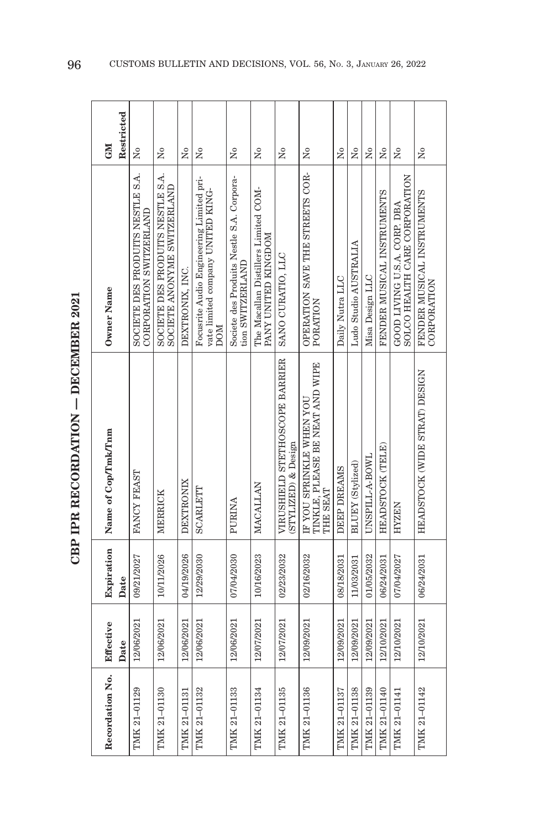| キーてい                  |
|-----------------------|
|                       |
| -<br>-<br>-<br>-<br>- |
| F CONTACT C           |
| i                     |
|                       |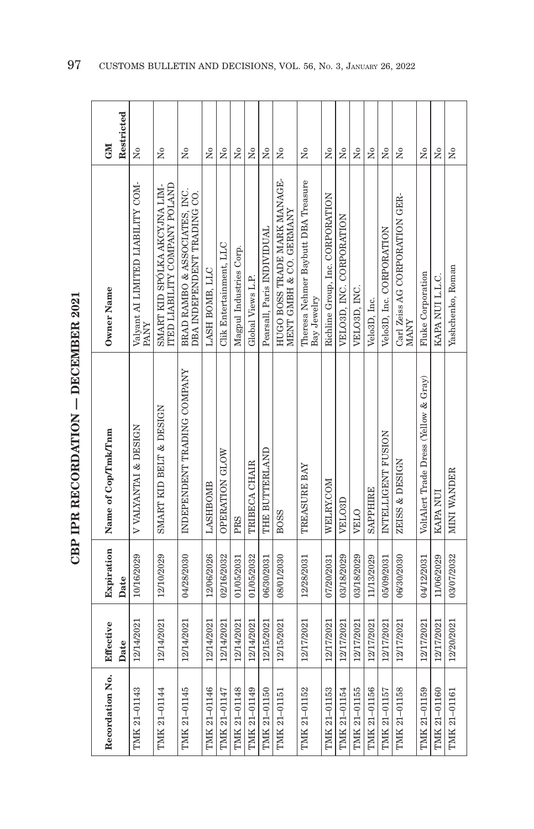| $\frac{1}{2}$<br>I<br>ーくし<br>í |
|--------------------------------|
|                                |
| くりにちょう<br>・インパード               |
|                                |
| $\frac{1}{2}$                  |
|                                |

| Recordation No. | Effective  | Expiration | Name of Cop/Tmk/Tnm                   | Owner Name                                                     | <b>CNI</b>             |
|-----------------|------------|------------|---------------------------------------|----------------------------------------------------------------|------------------------|
|                 | Date       | Date       |                                       |                                                                | Restricted             |
| TMK 21-01143    | 12/14/2021 | 10/16/2029 | V VALYANTAI & DESIGN                  | Valyant AI LIMITED LIABILITY COM-<br><b>PANY</b>               | ż                      |
| TMK 21-01144    | 12/14/2021 | 12/10/2029 | SMART KID BELT & DESIGN               | ITED LIABILITY COMPANY POLAND<br>SMART KID SPÓLKA AKCYJNA LIM- | å                      |
| TMK 21-01145    | 12/14/2021 | 04/28/2030 | INDEPENDENT TRADING COMPANY           | BRAD RAMBO & ASSOCIATES, INC.<br>DBA INDEPENDENT TRADING CO.   | Σó                     |
| TMIK 21-01146   | 12/14/2021 | 12/06/2026 | LASHBOMB                              | LASH BOMB, LLC                                                 | $\tilde{X}^{\circ}$    |
| TMK 21-01147    | 12/14/2021 | 02/16/2032 | OPERATION GLOW                        | Clik Entertainment, LLC                                        | Χo                     |
| TMK 21-01148    | 12/14/2021 | 01/05/2031 | PRS                                   | Magpul Industries Corp.                                        | Σó                     |
| TMK 21-01149    | 12/14/2021 | 01/05/2032 | TRIBECA CHAIR                         | Global Views L.P.                                              | $\tilde{\mathbf{X}}$   |
| TMK 21-01150    | 12/15/2021 | 06/30/2031 | THE BUTTERLAND                        | Pearsall, Paris INDIVIDUAL                                     | $\overline{M}$         |
| TMK 21-01151    | 12/15/2021 | 08/01/2030 | <b>BOSS</b>                           | HUGO BOSS TRADE MARK MANAGE-<br>MENT GMBH & CO. GERMANY        | Σó                     |
| TMK 21-01152    | 12/17/2021 | 12/28/2031 | TREASURE BAY                          | Theresa Nehmer Baybutt DBA Treasure<br>Bay Jewelry             | ż                      |
| TMK 21-01153    | 12/17/2021 | 07/20/2031 | WELRY.COM                             | Richline Group, Inc. CORPORATION                               | Σó                     |
| TMK 21-01154    | 12/17/2021 | 03/18/2029 | VELO <sub>3</sub> D                   | VELO3D, INC. CORPORATION                                       | ż                      |
| TMK 21-01155    | 12/17/2021 | 03/18/2029 | VELO                                  | VELO3D, INC.                                                   | ż                      |
| TMK 21-01156    | 12/17/2021 | 11/13/2029 | <b>SAPPHIRE</b>                       | Velo3D, Inc.                                                   | $\tilde{\mathbf{z}}$   |
| TMK 21-01157    | 12/17/2021 | 05/09/2031 | INTELLIGENT FUSION                    | Velo3D, Inc. CORPORATION                                       | Σò                     |
| TMK 21-01158    | 12/17/2021 | 06/30/2030 | ZEISS & DESIGN                        | Carl Zeiss AG CORPORATION GER-<br><b>NANY</b>                  | $_{\rm N_0}$           |
| TMK 21-01159    | 12/17/2021 | 04/12/2031 | VoltAlert Trade Dress (Yellow & Gray) | <b>Fluke Corporation</b>                                       | Σó                     |
| TMK 21-01160    | 12/17/2021 | 11/06/2029 | KAPA NUI                              | KAPA NUI L.L.C.                                                | $\overline{N}^{\circ}$ |
| TMK 21-01161    | 12/20/2021 | 03/07/2032 | MINI WANDER                           | Yashchenko, Roman                                              | $_{\rm N_o}$           |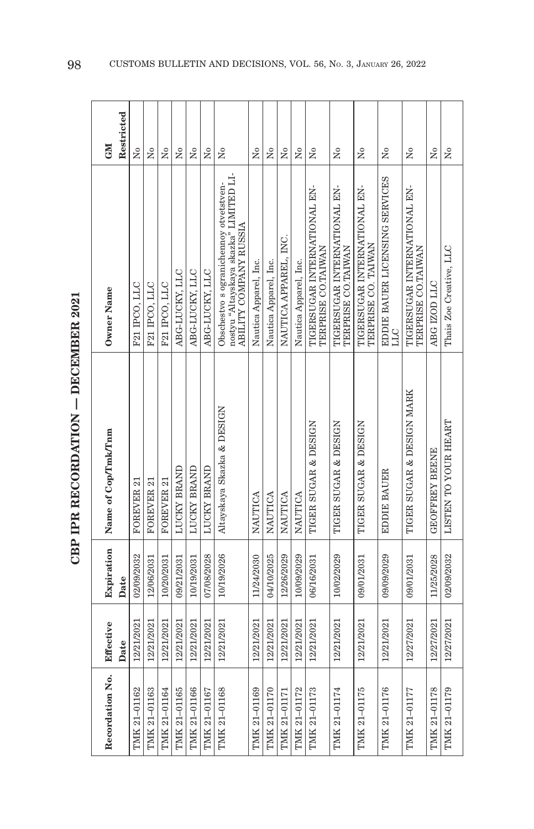| <br> <br> <br> |                             |
|----------------|-----------------------------|
|                |                             |
|                | ֧֧ׅ֧ׅ֧ׅ֚֚֓֜֜֓֜֓֜֓<br>トイペストイ |
|                |                             |
|                |                             |

| Recordation No. | Effective<br>Date | Expiration<br>Date | Name of Cop/Tmk/Tnm        | Owner Name                                                                                                 | Restricted<br><b>CNI</b> |
|-----------------|-------------------|--------------------|----------------------------|------------------------------------------------------------------------------------------------------------|--------------------------|
| TMK 21-01162    | 12/21/2021        | 02/09/2032         | FOREVER 21                 | F21 IPCO, LLC                                                                                              | Σó                       |
| TMK 21-01163    | 12/21/2021        | 12/06/2031         | FOREVER 21                 | F21 IPCO, LLC                                                                                              | Σò                       |
| TMK 21-01164    | 12/21/2021        | 10/20/2031         | FOREVER 21                 | F21 IPCO, LLC                                                                                              | Σó                       |
| TMK 21-01165    | 12/21/2021        | 09/21/2031         | LUCKY BRAND                | ABG-LUCKY, LLC                                                                                             | Σó                       |
| TMK 21-01166    | 12/21/2021        | 10/19/2031         | <b>LUCKY BRAND</b>         | ABG-LUCKY, LLC                                                                                             | $\tilde{\mathbf{z}}$     |
| TMK 21-01167    | 12/21/2021        | 07/08/2028         | LUCKY BRAND                | ABG-LUCKY, LLC                                                                                             | ż                        |
| TMK 21-01168    | 12/21/2021        | 10/19/2026         | Altayskaya Skazka & DESIGN | nostyu "Altayskaya skazka" LIMITED LI-<br>Obschestvo s ogranichennoy otvetstven-<br>ABILITY COMPANY RUSSIA | ż                        |
| TMK 21-01169    | 12/21/2021        | 11/24/2030         | <b>NAUTICA</b>             | Nautica Apparel, Inc.                                                                                      | $\overline{R}$           |
| TMK 21-01170    | 12/21/2021        | 04/10/2025         | NAUTICA                    | Nautica Apparel, Inc.                                                                                      | Σó                       |
| TMK 21-01171    | 12/21/2021        | 12/26/2029         | NAUTICA                    | NAUTICA APPAREL, INC.                                                                                      | Χo                       |
| TMK 21-01172    | 12/21/2021        | 10/09/2029         | <b>NAUTICA</b>             | Nautica Apparel, Inc.                                                                                      | $\tilde{X}^{\circ}$      |
| TMK 21-01173    | 12/21/2021        | 06/16/2031         | TIGER SUGAR & DESIGN       | TIGERSUGAR INTERNATIONAL EN-<br>TERPRISE CO.TAIWAN                                                         | Σò                       |
| TMK 21-01174    | 12/21/2021        | 10/02/2029         | TIGER SUGAR & DESIGN       | TIGERSUGAR INTERNATIONAL EN-<br>TERPRISE CO.TAIWAN                                                         | Σó                       |
| TMK 21-01175    | 12/21/2021        | 09/01/2031         | TIGER SUGAR & DESIGN       | TIGERSUGAR INTERNATIONAL EN-<br>TERPRISE CO. TAIWAN                                                        | Σó                       |
| TMK 21-01176    | 12/21/2021        | 09/09/2029         | <b>EDDIE BAUER</b>         | EDDIE BAUER LICENSING SERVICES<br><b>DTT</b>                                                               | $\tilde{\rm X}^{\rm o}$  |
| TMK 21-01177    | 12/27/2021        | 09/01/2031         | TIGER SUGAR & DESIGN MARK  | TIGERSUGAR INTERNATIONAL EN-<br>TERPRISE CO.TAIWAN                                                         | ż                        |
| TMK 21-01178    | 12/27/2021        | 11/25/2028         | <b>GEOFFREY BEENE</b>      | ABG IZOD LLC                                                                                               | $\overline{X}^{\circ}$   |
| TMK 21-01179    | 12/27/2021        | 02/09/2032         | LISTEN TO YOUR HEART       | Thais Zoe Creative, LLC                                                                                    | $\tilde{z}$              |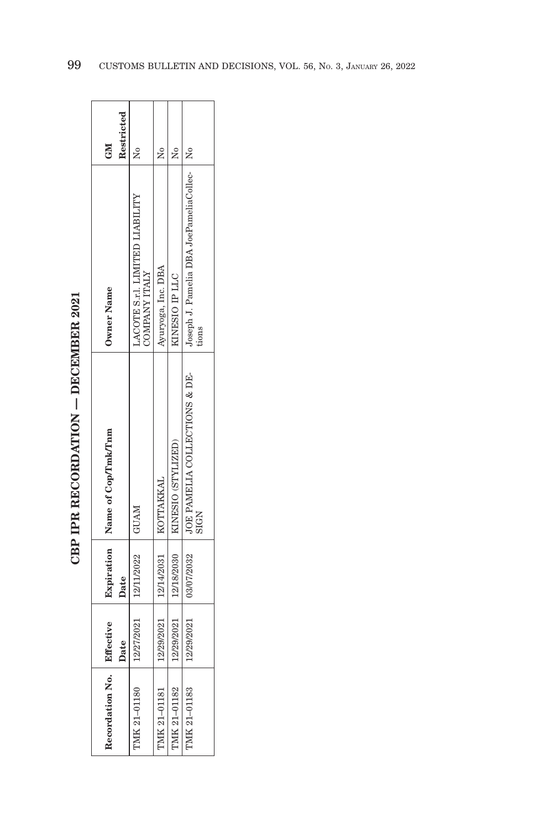| $\frac{1}{2}$      |
|--------------------|
| $\frac{1}{2}$<br>i |
|                    |
|                    |
| トレース にくしょう         |
| ĺ<br>Î.            |
|                    |

| Recordation No.     | Effective |                                     | Expiration   Name of Cop/Tmk/Tnm                                       | Owner Name                                             | GM         |
|---------------------|-----------|-------------------------------------|------------------------------------------------------------------------|--------------------------------------------------------|------------|
|                     | Date      | Date                                |                                                                        |                                                        | Restricted |
| <b>IMK 21-01180</b> |           | 12/27/2021 12/11/2022               | <b>INVADI</b>                                                          | ACOTE S.r.I. LIMITED LIABILITY<br><b>COMPANY ITALY</b> |            |
| MK 21-01181         |           | 12/29/2021   12/14/2031   KOTTAKKAL |                                                                        | Ayuryoga, Inc. DBA                                     | ž          |
| PMK 21-01182        |           |                                     | 12/29/2021   12/18/2030   KINESIO (STYLIZED)                           | KINESIO IP LLC                                         | ş          |
| IMK 21-01183        |           |                                     | 12/29/2021   03/07/2032   JOE PAMELIA COLLECTIONS & DE-<br><b>SIGN</b> | Joseph J. Pamelia DBA JoePameliaCollec-   No<br>tions  |            |